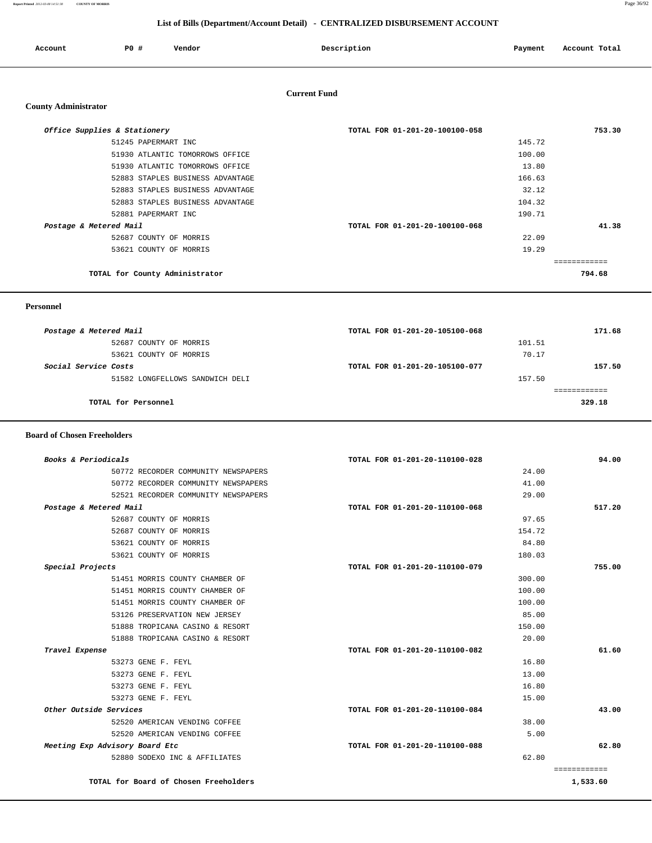**Report Printed** *2012-03-08 14:51:38* **COUNTY OF MORRIS** Page 36/92

## **List of Bills (Department/Account Detail) - CENTRALIZED DISBURSEMENT ACCOUNT**

| ccount<br>. | P <sub>0</sub> | Vendor<br>. | Description | Payment | Account Total |
|-------------|----------------|-------------|-------------|---------|---------------|
|             |                |             |             |         |               |

# **Current Fund**

### **County Administrator**

| TOTAL FOR 01-201-20-100100-058 | 753.30 |
|--------------------------------|--------|
| 145.72                         |        |
| 100.00                         |        |
| 13.80                          |        |
| 166.63                         |        |
| 32.12                          |        |
| 104.32                         |        |
| 190.71                         |        |
| TOTAL FOR 01-201-20-100100-068 | 41.38  |
| 22.09                          |        |
| 19.29                          |        |
|                                |        |
|                                | 794.68 |
|                                |        |

### **Personnel**

| Postage & Metered Mail      |                                 | TOTAL FOR 01-201-20-105100-068 |        | 171.68 |
|-----------------------------|---------------------------------|--------------------------------|--------|--------|
|                             | 52687 COUNTY OF MORRIS          |                                | 101.51 |        |
|                             | 53621 COUNTY OF MORRIS          |                                | 70.17  |        |
| <i>Social Service Costs</i> |                                 | TOTAL FOR 01-201-20-105100-077 |        | 157.50 |
|                             | 51582 LONGFELLOWS SANDWICH DELI |                                | 157.50 |        |
|                             |                                 |                                |        |        |
|                             | TOTAL for Personnel             |                                |        | 329.18 |
|                             |                                 |                                |        |        |

### **Board of Chosen Freeholders**

| Books & Periodicals            |                                       | TOTAL FOR 01-201-20-110100-028 |        | 94.00                    |
|--------------------------------|---------------------------------------|--------------------------------|--------|--------------------------|
|                                | 50772 RECORDER COMMUNITY NEWSPAPERS   |                                | 24.00  |                          |
|                                | 50772 RECORDER COMMUNITY NEWSPAPERS   |                                | 41.00  |                          |
|                                | 52521 RECORDER COMMUNITY NEWSPAPERS   |                                | 29.00  |                          |
| Postage & Metered Mail         |                                       | TOTAL FOR 01-201-20-110100-068 |        | 517.20                   |
| 52687 COUNTY OF MORRIS         |                                       |                                | 97.65  |                          |
| 52687 COUNTY OF MORRIS         |                                       |                                | 154.72 |                          |
| 53621 COUNTY OF MORRIS         |                                       |                                | 84.80  |                          |
| 53621 COUNTY OF MORRIS         |                                       |                                | 180.03 |                          |
| Special Projects               |                                       | TOTAL FOR 01-201-20-110100-079 |        | 755.00                   |
|                                | 51451 MORRIS COUNTY CHAMBER OF        |                                | 300.00 |                          |
|                                | 51451 MORRIS COUNTY CHAMBER OF        |                                | 100.00 |                          |
|                                | 51451 MORRIS COUNTY CHAMBER OF        |                                | 100.00 |                          |
|                                | 53126 PRESERVATION NEW JERSEY         |                                | 85.00  |                          |
|                                | 51888 TROPICANA CASINO & RESORT       |                                | 150.00 |                          |
|                                | 51888 TROPICANA CASINO & RESORT       |                                | 20.00  |                          |
| Travel Expense                 |                                       | TOTAL FOR 01-201-20-110100-082 |        | 61.60                    |
| 53273 GENE F. FEYL             |                                       |                                | 16.80  |                          |
| 53273 GENE F. FEYL             |                                       |                                | 13.00  |                          |
| 53273 GENE F. FEYL             |                                       |                                | 16.80  |                          |
| 53273 GENE F. FEYL             |                                       |                                | 15.00  |                          |
| Other Outside Services         |                                       | TOTAL FOR 01-201-20-110100-084 |        | 43.00                    |
|                                | 52520 AMERICAN VENDING COFFEE         |                                | 38.00  |                          |
|                                | 52520 AMERICAN VENDING COFFEE         |                                | 5.00   |                          |
| Meeting Exp Advisory Board Etc |                                       | TOTAL FOR 01-201-20-110100-088 |        | 62.80                    |
|                                | 52880 SODEXO INC & AFFILIATES         |                                | 62.80  |                          |
|                                | TOTAL for Board of Chosen Freeholders |                                |        | ============<br>1,533.60 |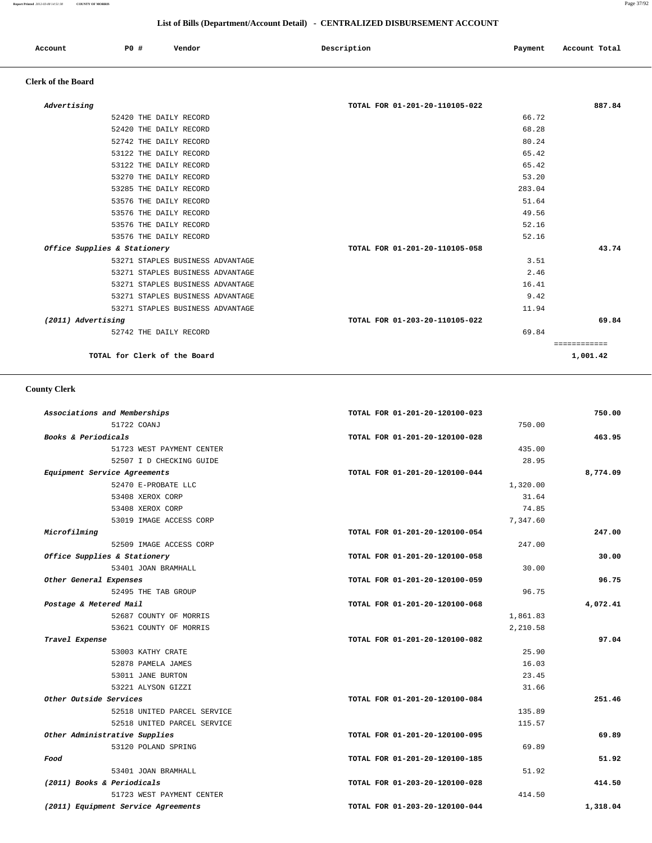**Report Printed** *2012-03-08 14:51:38* **COUNTY OF MORRIS** Page 37/92

## **List of Bills (Department/Account Detail) - CENTRALIZED DISBURSEMENT ACCOUNT**

| Account | <b>PO #</b> | Vendor | Description | Payment | Account Total |
|---------|-------------|--------|-------------|---------|---------------|
|         |             |        |             |         |               |

## **Clerk of the Board**

| Advertising                      | TOTAL FOR 01-201-20-110105-022 | 887.84       |
|----------------------------------|--------------------------------|--------------|
| 52420 THE DAILY RECORD           | 66.72                          |              |
| 52420 THE DAILY RECORD           | 68.28                          |              |
| 52742 THE DAILY RECORD           | 80.24                          |              |
| 53122 THE DAILY RECORD           | 65.42                          |              |
| 53122 THE DAILY RECORD           | 65.42                          |              |
| 53270 THE DAILY RECORD           | 53.20                          |              |
| 53285 THE DAILY RECORD           | 283.04                         |              |
| 53576 THE DAILY RECORD           | 51.64                          |              |
| 53576 THE DAILY RECORD           | 49.56                          |              |
| 53576 THE DAILY RECORD           | 52.16                          |              |
| 53576 THE DAILY RECORD           | 52.16                          |              |
| Office Supplies & Stationery     | TOTAL FOR 01-201-20-110105-058 | 43.74        |
| 53271 STAPLES BUSINESS ADVANTAGE | 3.51                           |              |
| 53271 STAPLES BUSINESS ADVANTAGE | 2.46                           |              |
| 53271 STAPLES BUSINESS ADVANTAGE | 16.41                          |              |
| 53271 STAPLES BUSINESS ADVANTAGE | 9.42                           |              |
| 53271 STAPLES BUSINESS ADVANTAGE | 11.94                          |              |
| (2011) Advertising               | TOTAL FOR 01-203-20-110105-022 | 69.84        |
| 52742 THE DAILY RECORD           | 69.84                          |              |
|                                  |                                | ============ |
| TOTAL for Clerk of the Board     |                                | 1,001.42     |

## **County Clerk**

| Associations and Memberships        | TOTAL FOR 01-201-20-120100-023 | 750.00   |
|-------------------------------------|--------------------------------|----------|
| 51722 COANJ                         | 750.00                         |          |
| Books & Periodicals                 | TOTAL FOR 01-201-20-120100-028 | 463.95   |
| 51723 WEST PAYMENT CENTER           | 435.00                         |          |
| 52507 I D CHECKING GUIDE            | 28.95                          |          |
| Equipment Service Agreements        | TOTAL FOR 01-201-20-120100-044 | 8,774.09 |
| 52470 E-PROBATE LLC                 | 1,320.00                       |          |
| 53408 XEROX CORP                    | 31.64                          |          |
| 53408 XEROX CORP                    | 74.85                          |          |
| 53019 IMAGE ACCESS CORP             | 7,347.60                       |          |
| Microfilming                        | TOTAL FOR 01-201-20-120100-054 | 247.00   |
| 52509 IMAGE ACCESS CORP             | 247.00                         |          |
| Office Supplies & Stationery        | TOTAL FOR 01-201-20-120100-058 | 30.00    |
| 53401 JOAN BRAMHALL                 | 30.00                          |          |
| Other General Expenses              | TOTAL FOR 01-201-20-120100-059 | 96.75    |
| 52495 THE TAB GROUP                 | 96.75                          |          |
| Postage & Metered Mail              | TOTAL FOR 01-201-20-120100-068 | 4,072.41 |
| 52687 COUNTY OF MORRIS              | 1,861.83                       |          |
| 53621 COUNTY OF MORRIS              | 2,210.58                       |          |
| Travel Expense                      | TOTAL FOR 01-201-20-120100-082 | 97.04    |
| 53003 KATHY CRATE                   | 25.90                          |          |
| 52878 PAMELA JAMES                  | 16.03                          |          |
| 53011 JANE BURTON                   | 23.45                          |          |
| 53221 ALYSON GIZZI                  | 31.66                          |          |
| Other Outside Services              | TOTAL FOR 01-201-20-120100-084 | 251.46   |
| 52518 UNITED PARCEL SERVICE         | 135.89                         |          |
| 52518 UNITED PARCEL SERVICE         | 115.57                         |          |
| Other Administrative Supplies       | TOTAL FOR 01-201-20-120100-095 | 69.89    |
| 53120 POLAND SPRING                 | 69.89                          |          |
| Food                                | TOTAL FOR 01-201-20-120100-185 | 51.92    |
| 53401 JOAN BRAMHALL                 | 51.92                          |          |
| (2011) Books & Periodicals          | TOTAL FOR 01-203-20-120100-028 | 414.50   |
| 51723 WEST PAYMENT CENTER           | 414.50                         |          |
| (2011) Equipment Service Agreements | TOTAL FOR 01-203-20-120100-044 | 1,318.04 |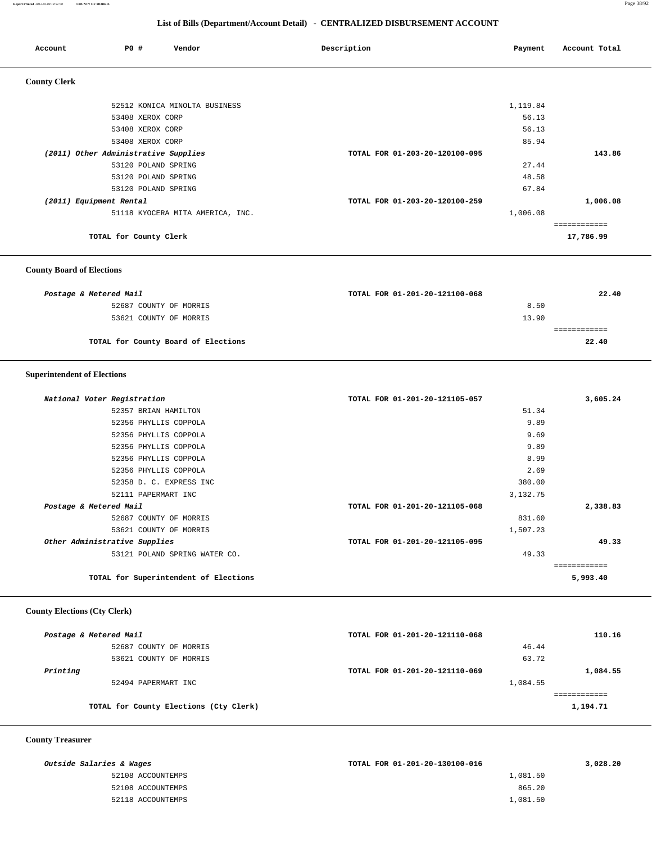### **Report Printed** *2012-03-08 14:51:38* **COUNTY OF MORRIS** Page 38/92

 **List of Bills (Department/Account Detail) - CENTRALIZED DISBURSEMENT ACCOUNT**

| Account                              | P0 #                | Vendor                           | Description                    | Payment  | Account Total |
|--------------------------------------|---------------------|----------------------------------|--------------------------------|----------|---------------|
| <b>County Clerk</b>                  |                     |                                  |                                |          |               |
|                                      |                     | 52512 KONICA MINOLTA BUSINESS    |                                | 1,119.84 |               |
|                                      | 53408 XEROX CORP    |                                  |                                | 56.13    |               |
|                                      | 53408 XEROX CORP    |                                  |                                | 56.13    |               |
|                                      | 53408 XEROX CORP    |                                  |                                | 85.94    |               |
| (2011) Other Administrative Supplies |                     |                                  | TOTAL FOR 01-203-20-120100-095 |          | 143.86        |
|                                      | 53120 POLAND SPRING |                                  |                                | 27.44    |               |
|                                      | 53120 POLAND SPRING |                                  |                                | 48.58    |               |
|                                      | 53120 POLAND SPRING |                                  |                                | 67.84    |               |
| (2011) Equipment Rental              |                     |                                  | TOTAL FOR 01-203-20-120100-259 |          | 1,006.08      |
|                                      |                     | 51118 KYOCERA MITA AMERICA, INC. |                                | 1,006.08 |               |
|                                      |                     |                                  |                                |          | ------------  |
| TOTAL for County Clerk               |                     |                                  |                                |          | 17,786.99     |

## **County Board of Elections**

| Postage & Metered Mail              | TOTAL FOR 01-201-20-121100-068 | 22.40 |
|-------------------------------------|--------------------------------|-------|
| 52687 COUNTY OF MORRIS              | 8.50                           |       |
| 53621 COUNTY OF MORRIS              | 13.90                          |       |
|                                     |                                |       |
| TOTAL for County Board of Elections |                                | 22.40 |

## **Superintendent of Elections**

| National Voter Registration   |                                       | TOTAL FOR 01-201-20-121105-057 | 3,605.24    |
|-------------------------------|---------------------------------------|--------------------------------|-------------|
|                               | 52357 BRIAN HAMILTON                  | 51.34                          |             |
|                               | 52356 PHYLLIS COPPOLA                 | 9.89                           |             |
|                               | 52356 PHYLLIS COPPOLA                 | 9.69                           |             |
|                               | 52356 PHYLLIS COPPOLA                 | 9.89                           |             |
|                               | 52356 PHYLLIS COPPOLA                 | 8.99                           |             |
|                               | 52356 PHYLLIS COPPOLA                 | 2.69                           |             |
|                               | 52358 D. C. EXPRESS INC               | 380.00                         |             |
|                               | 52111 PAPERMART INC                   | 3,132.75                       |             |
| Postage & Metered Mail        |                                       | TOTAL FOR 01-201-20-121105-068 | 2,338.83    |
|                               | 52687 COUNTY OF MORRIS                | 831.60                         |             |
|                               | 53621 COUNTY OF MORRIS                | 1,507.23                       |             |
| Other Administrative Supplies |                                       | TOTAL FOR 01-201-20-121105-095 | 49.33       |
|                               | 53121 POLAND SPRING WATER CO.         | 49.33                          |             |
|                               |                                       |                                | =========== |
|                               | TOTAL for Superintendent of Elections |                                | 5,993.40    |

## **County Elections (Cty Clerk)**

| Postage & Metered Mail |                                        | TOTAL FOR 01-201-20-121110-068 |          | 110.16   |
|------------------------|----------------------------------------|--------------------------------|----------|----------|
|                        | 52687 COUNTY OF MORRIS                 |                                | 46.44    |          |
|                        | 53621 COUNTY OF MORRIS                 |                                | 63.72    |          |
| Printing               |                                        | TOTAL FOR 01-201-20-121110-069 |          | 1,084.55 |
|                        | 52494 PAPERMART INC                    |                                | 1,084.55 |          |
|                        |                                        |                                |          |          |
|                        | TOTAL for County Elections (Cty Clerk) |                                |          | 1,194.71 |
|                        |                                        |                                |          |          |

## **County Treasurer**

| Outside Salaries & Wages | TOTAL FOR 01-201-20-130100-016 | 3,028.20 |
|--------------------------|--------------------------------|----------|
| 52108 ACCOUNTEMPS        | 1,081.50                       |          |
| 52108 ACCOUNTEMPS        | 865.20                         |          |
| 52118 ACCOUNTEMPS        | 1,081.50                       |          |
|                          |                                |          |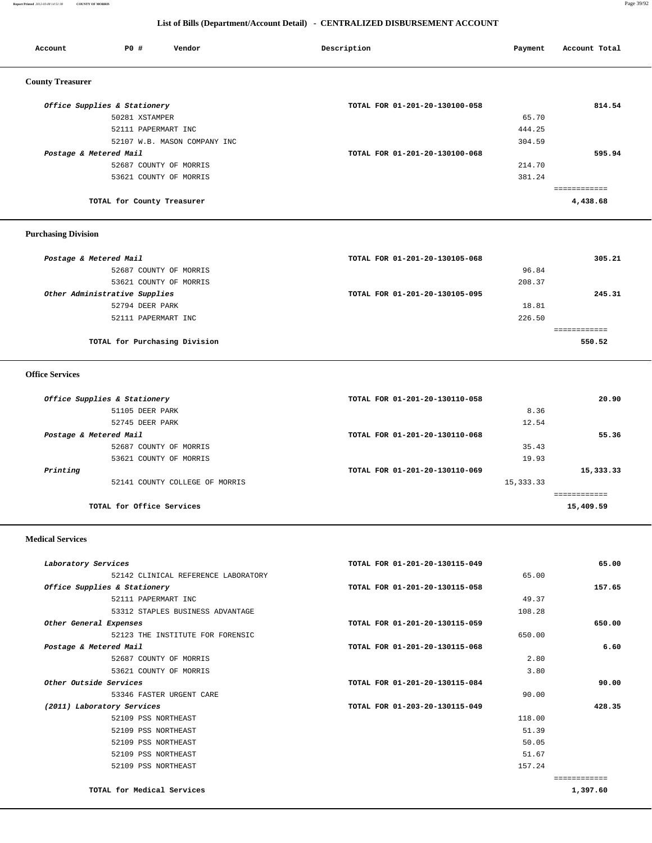**Report Printed** *2012-03-08 14:51:38* **COUNTY OF MORRIS** Page 39/92

## **List of Bills (Department/Account Detail) - CENTRALIZED DISBURSEMENT ACCOUNT**

| Account                 | <b>PO #</b>                  | Vendor                       | Description                    | Payment | Account Total |
|-------------------------|------------------------------|------------------------------|--------------------------------|---------|---------------|
| <b>County Treasurer</b> |                              |                              |                                |         |               |
|                         | Office Supplies & Stationery |                              | TOTAL FOR 01-201-20-130100-058 |         | 814.54        |
|                         | 50281 XSTAMPER               |                              |                                | 65.70   |               |
|                         | 52111 PAPERMART INC          |                              |                                | 444.25  |               |
|                         |                              | 52107 W.B. MASON COMPANY INC |                                | 304.59  |               |
| Postage & Metered Mail  |                              |                              | TOTAL FOR 01-201-20-130100-068 |         | 595.94        |
|                         |                              | 52687 COUNTY OF MORRIS       |                                | 214.70  |               |
|                         |                              | 53621 COUNTY OF MORRIS       |                                | 381.24  |               |
|                         |                              |                              |                                |         | ============  |
|                         | TOTAL for County Treasurer   |                              |                                |         | 4,438.68      |

## **Purchasing Division**

| Postage & Metered Mail        |                               | TOTAL FOR 01-201-20-130105-068 |        | 305.21 |
|-------------------------------|-------------------------------|--------------------------------|--------|--------|
|                               | 52687 COUNTY OF MORRIS        |                                | 96.84  |        |
|                               | 53621 COUNTY OF MORRIS        |                                | 208.37 |        |
| Other Administrative Supplies |                               | TOTAL FOR 01-201-20-130105-095 |        | 245.31 |
|                               | 52794 DEER PARK               |                                | 18.81  |        |
|                               | 52111 PAPERMART INC           |                                | 226.50 |        |
|                               |                               |                                |        |        |
|                               | TOTAL for Purchasing Division |                                |        | 550.52 |

## **Office Services**

| Office Supplies & Stationery   | TOTAL FOR 01-201-20-130110-058 | 20.90                   |
|--------------------------------|--------------------------------|-------------------------|
| 51105 DEER PARK                | 8.36                           |                         |
| 52745 DEER PARK                | 12.54                          |                         |
| Postage & Metered Mail         | TOTAL FOR 01-201-20-130110-068 | 55.36                   |
| 52687 COUNTY OF MORRIS         | 35.43                          |                         |
| 53621 COUNTY OF MORRIS         | 19.93                          |                         |
| Printing                       | TOTAL FOR 01-201-20-130110-069 | 15,333.33               |
| 52141 COUNTY COLLEGE OF MORRIS | 15, 333.33                     |                         |
|                                |                                | . = = = = = = = = = = = |
| TOTAL for Office Services      |                                | 15,409.59               |
|                                |                                |                         |

## **Medical Services**

| Laboratory Services                 | TOTAL FOR 01-201-20-130115-049 | 65.00        |
|-------------------------------------|--------------------------------|--------------|
| 52142 CLINICAL REFERENCE LABORATORY | 65.00                          |              |
| Office Supplies & Stationery        | TOTAL FOR 01-201-20-130115-058 | 157.65       |
| 52111 PAPERMART INC                 | 49.37                          |              |
| 53312 STAPLES BUSINESS ADVANTAGE    | 108.28                         |              |
| Other General Expenses              | TOTAL FOR 01-201-20-130115-059 | 650.00       |
| 52123 THE INSTITUTE FOR FORENSIC    | 650.00                         |              |
| Postage & Metered Mail              | TOTAL FOR 01-201-20-130115-068 | 6.60         |
| 52687 COUNTY OF MORRIS              | 2.80                           |              |
| 53621 COUNTY OF MORRIS              | 3.80                           |              |
| Other Outside Services              | TOTAL FOR 01-201-20-130115-084 | 90.00        |
| 53346 FASTER URGENT CARE            | 90.00                          |              |
| (2011) Laboratory Services          | TOTAL FOR 01-203-20-130115-049 | 428.35       |
| 52109 PSS NORTHEAST                 | 118.00                         |              |
| 52109 PSS NORTHEAST                 | 51.39                          |              |
| 52109 PSS NORTHEAST                 | 50.05                          |              |
| 52109 PSS NORTHEAST                 | 51.67                          |              |
| 52109 PSS NORTHEAST                 | 157.24                         |              |
|                                     |                                | ------------ |
| TOTAL for Medical Services          |                                | 1,397.60     |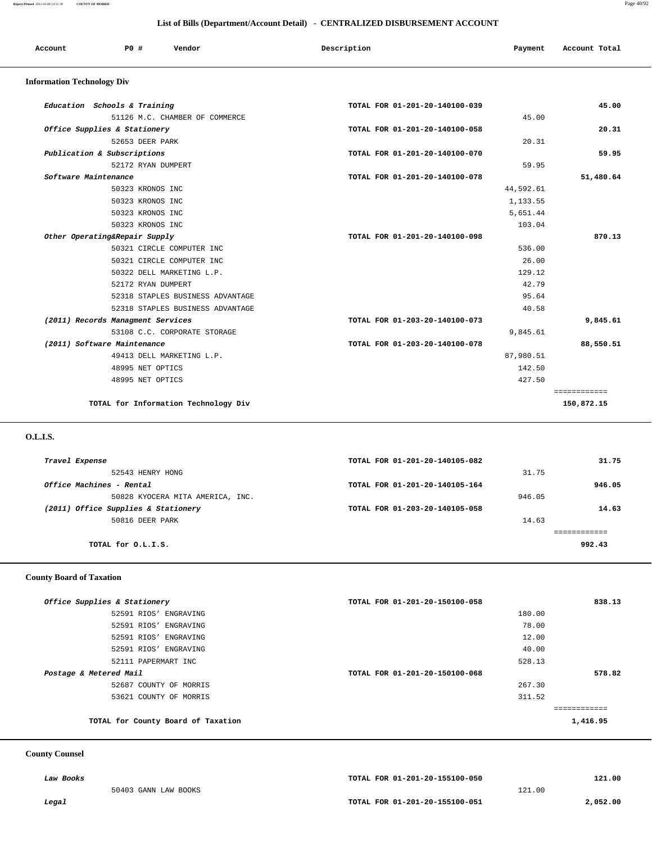**Report Printed** *2012-03-08 14:51:38* **COUNTY OF MORRIS** Page 40/92

| List of Bills (Department/Account Detail) - CENTRALIZED DISBURSEMENT ACCOUNT |                                   |                                  |                                |           |               |
|------------------------------------------------------------------------------|-----------------------------------|----------------------------------|--------------------------------|-----------|---------------|
| Account                                                                      | PO#                               | Vendor                           | Description                    | Payment   | Account Total |
| <b>Information Technology Div</b>                                            |                                   |                                  |                                |           |               |
|                                                                              | Education Schools & Training      |                                  | TOTAL FOR 01-201-20-140100-039 |           | 45.00         |
|                                                                              |                                   | 51126 M.C. CHAMBER OF COMMERCE   |                                | 45.00     |               |
|                                                                              | Office Supplies & Stationery      |                                  | TOTAL FOR 01-201-20-140100-058 |           | 20.31         |
|                                                                              | 52653 DEER PARK                   |                                  |                                | 20.31     |               |
|                                                                              | Publication & Subscriptions       |                                  | TOTAL FOR 01-201-20-140100-070 |           | 59.95         |
|                                                                              | 52172 RYAN DUMPERT                |                                  |                                | 59.95     |               |
| Software Maintenance                                                         |                                   |                                  | TOTAL FOR 01-201-20-140100-078 |           | 51,480.64     |
|                                                                              | 50323 KRONOS INC                  |                                  |                                | 44,592.61 |               |
|                                                                              | 50323 KRONOS INC                  |                                  |                                | 1,133.55  |               |
|                                                                              | 50323 KRONOS INC                  |                                  |                                | 5,651.44  |               |
|                                                                              | 50323 KRONOS INC                  |                                  |                                | 103.04    |               |
|                                                                              | Other Operating&Repair Supply     |                                  | TOTAL FOR 01-201-20-140100-098 |           | 870.13        |
|                                                                              |                                   | 50321 CIRCLE COMPUTER INC        |                                | 536.00    |               |
|                                                                              |                                   | 50321 CIRCLE COMPUTER INC        |                                | 26.00     |               |
|                                                                              |                                   | 50322 DELL MARKETING L.P.        |                                | 129.12    |               |
|                                                                              | 52172 RYAN DUMPERT                |                                  |                                | 42.79     |               |
|                                                                              |                                   | 52318 STAPLES BUSINESS ADVANTAGE |                                | 95.64     |               |
|                                                                              |                                   | 52318 STAPLES BUSINESS ADVANTAGE |                                | 40.58     |               |
|                                                                              | (2011) Records Managment Services |                                  | TOTAL FOR 01-203-20-140100-073 |           | 9,845.61      |
|                                                                              |                                   | 53108 C.C. CORPORATE STORAGE     |                                | 9,845.61  |               |
|                                                                              | (2011) Software Maintenance       |                                  | TOTAL FOR 01-203-20-140100-078 |           | 88,550.51     |
|                                                                              |                                   | 49413 DELL MARKETING L.P.        |                                | 87,980.51 |               |
|                                                                              | 48995 NET OPTICS                  |                                  |                                | 142.50    |               |
|                                                                              | 48995 NET OPTICS                  |                                  |                                | 427.50    |               |

**TOTAL for Information Technology Div 150,872.15**

 **O.L.I.S.** 

| Travel Expense |                                     | TOTAL FOR 01-201-20-140105-082 |        | 31.75  |
|----------------|-------------------------------------|--------------------------------|--------|--------|
|                | 52543 HENRY HONG                    |                                | 31.75  |        |
|                | Office Machines - Rental            | TOTAL FOR 01-201-20-140105-164 |        | 946.05 |
|                | 50828 KYOCERA MITA AMERICA, INC.    |                                | 946.05 |        |
|                | (2011) Office Supplies & Stationery | TOTAL FOR 01-203-20-140105-058 |        | 14.63  |
|                | 50816 DEER PARK                     |                                | 14.63  |        |
|                |                                     |                                |        |        |
|                | TOTAL for O.L.I.S.                  |                                |        | 992.43 |
|                |                                     |                                |        |        |

============

## **County Board of Taxation**

| Office Supplies & Stationery       | TOTAL FOR 01-201-20-150100-058 | 838.13   |
|------------------------------------|--------------------------------|----------|
| 52591 RIOS' ENGRAVING              | 180.00                         |          |
| 52591 RIOS' ENGRAVING              | 78.00                          |          |
| 52591 RIOS' ENGRAVING              | 12.00                          |          |
| 52591 RIOS' ENGRAVING              | 40.00                          |          |
| 52111 PAPERMART INC                | 528.13                         |          |
| Postage & Metered Mail             | TOTAL FOR 01-201-20-150100-068 | 578.82   |
| 52687 COUNTY OF MORRIS             | 267.30                         |          |
| 53621 COUNTY OF MORRIS             | 311.52                         |          |
|                                    |                                |          |
| TOTAL for County Board of Taxation |                                | 1,416.95 |

## **County Counsel**

|       | Law Books            | TOTAL FOR 01-201-20-155100-050 |        | 121.00   |
|-------|----------------------|--------------------------------|--------|----------|
|       | 50403 GANN LAW BOOKS |                                | 121.00 |          |
| Legal |                      | TOTAL FOR 01-201-20-155100-051 |        | 2,052.00 |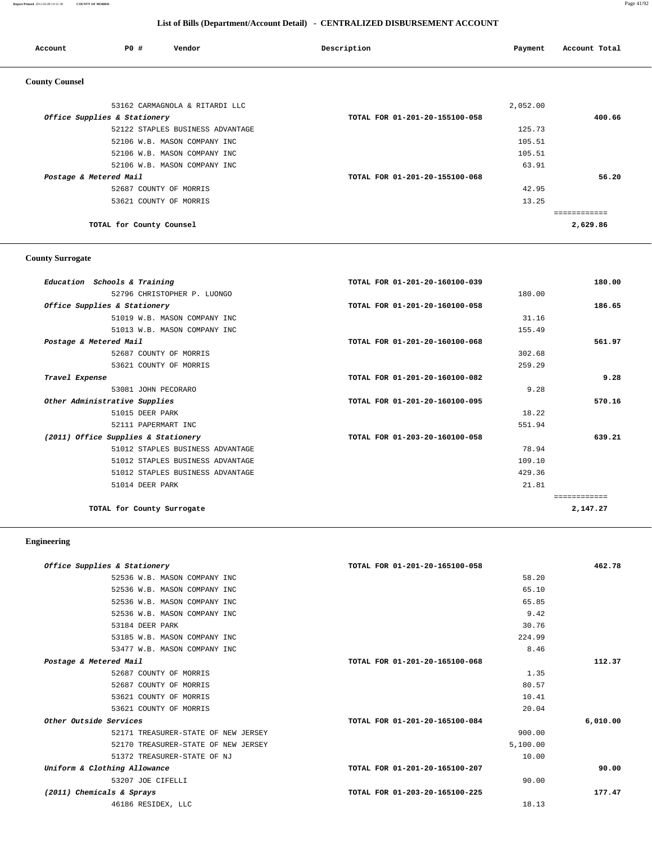**Report Printed** *2012-03-08 14:51:38* **COUNTY OF MORRIS** Page 41/92

# **List of Bills (Department/Account Detail) - CENTRALIZED DISBURSEMENT ACCOUNT**

| Account                | P0 #<br>Vendor                   | Description                    | Payment  | Account Total |
|------------------------|----------------------------------|--------------------------------|----------|---------------|
| <b>County Counsel</b>  |                                  |                                |          |               |
|                        | 53162 CARMAGNOLA & RITARDI LLC   |                                | 2,052.00 |               |
|                        | Office Supplies & Stationery     | TOTAL FOR 01-201-20-155100-058 |          | 400.66        |
|                        | 52122 STAPLES BUSINESS ADVANTAGE |                                | 125.73   |               |
|                        | 52106 W.B. MASON COMPANY INC     |                                | 105.51   |               |
|                        | 52106 W.B. MASON COMPANY INC     |                                | 105.51   |               |
|                        | 52106 W.B. MASON COMPANY INC     |                                | 63.91    |               |
| Postage & Metered Mail |                                  | TOTAL FOR 01-201-20-155100-068 |          | 56.20         |
|                        | 52687 COUNTY OF MORRIS           |                                | 42.95    |               |
|                        | 53621 COUNTY OF MORRIS           |                                | 13.25    |               |
|                        |                                  |                                |          | ------------  |
|                        | TOTAL for County Counsel         |                                |          | 2,629.86      |

# **County Surrogate**

| Education Schools & Training        | TOTAL FOR 01-201-20-160100-039 | 180.00       |
|-------------------------------------|--------------------------------|--------------|
| 52796 CHRISTOPHER P. LUONGO         | 180.00                         |              |
| Office Supplies & Stationery        | TOTAL FOR 01-201-20-160100-058 | 186.65       |
| 51019 W.B. MASON COMPANY INC        | 31.16                          |              |
| 51013 W.B. MASON COMPANY INC        | 155.49                         |              |
| Postage & Metered Mail              | TOTAL FOR 01-201-20-160100-068 | 561.97       |
| 52687 COUNTY OF MORRIS              | 302.68                         |              |
| 53621 COUNTY OF MORRIS              | 259.29                         |              |
| Travel Expense                      | TOTAL FOR 01-201-20-160100-082 | 9.28         |
| 53081 JOHN PECORARO                 | 9.28                           |              |
| Other Administrative Supplies       | TOTAL FOR 01-201-20-160100-095 | 570.16       |
| 51015 DEER PARK                     | 18.22                          |              |
| 52111 PAPERMART INC                 | 551.94                         |              |
| (2011) Office Supplies & Stationery | TOTAL FOR 01-203-20-160100-058 | 639.21       |
| 51012 STAPLES BUSINESS ADVANTAGE    | 78.94                          |              |
| 51012 STAPLES BUSINESS ADVANTAGE    | 109.10                         |              |
| 51012 STAPLES BUSINESS ADVANTAGE    | 429.36                         |              |
| 51014 DEER PARK                     | 21.81                          |              |
|                                     |                                | ============ |
| TOTAL for County Surrogate          |                                | 2,147.27     |

## **Engineering**

| Office Supplies & Stationery        | TOTAL FOR 01-201-20-165100-058 | 462.78   |
|-------------------------------------|--------------------------------|----------|
| 52536 W.B. MASON COMPANY INC        | 58.20                          |          |
| 52536 W.B. MASON COMPANY INC        | 65.10                          |          |
| 52536 W.B. MASON COMPANY INC        | 65.85                          |          |
| 52536 W.B. MASON COMPANY INC        | 9.42                           |          |
| 53184 DEER PARK                     | 30.76                          |          |
| 53185 W.B. MASON COMPANY INC        | 224.99                         |          |
| 53477 W.B. MASON COMPANY INC        | 8.46                           |          |
| Postage & Metered Mail              | TOTAL FOR 01-201-20-165100-068 | 112.37   |
| 52687 COUNTY OF MORRIS              | 1.35                           |          |
| 52687 COUNTY OF MORRIS              | 80.57                          |          |
| 53621 COUNTY OF MORRIS              | 10.41                          |          |
| 53621 COUNTY OF MORRIS              | 20.04                          |          |
| Other Outside Services              | TOTAL FOR 01-201-20-165100-084 | 6.010.00 |
| 52171 TREASURER-STATE OF NEW JERSEY | 900.00                         |          |
| 52170 TREASURER-STATE OF NEW JERSEY | 5,100.00                       |          |
| 51372 TREASURER-STATE OF NJ         | 10.00                          |          |
| Uniform & Clothing Allowance        | TOTAL FOR 01-201-20-165100-207 | 90.00    |
| 53207 JOE CIFELLI                   | 90.00                          |          |
| (2011) Chemicals & Sprays           | TOTAL FOR 01-203-20-165100-225 | 177.47   |
| 46186 RESIDEX, LLC                  | 18.13                          |          |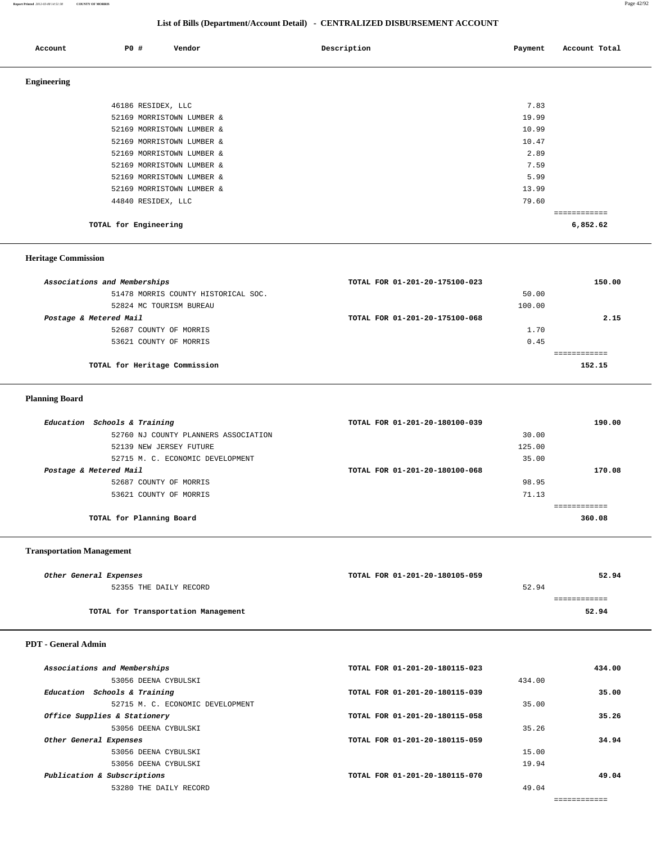**Report Printed** *2012-03-08 14:51:38* **COUNTY OF MORRIS** Page 42/92

## **List of Bills (Department/Account Detail) - CENTRALIZED DISBURSEMENT ACCOUNT**

| Account            | Vendor<br>PO#             | Description | Account Total<br>Payment |
|--------------------|---------------------------|-------------|--------------------------|
| <b>Engineering</b> |                           |             |                          |
|                    | 46186 RESIDEX, LLC        |             | 7.83                     |
|                    | 52169 MORRISTOWN LUMBER & |             | 19.99                    |
|                    | 52169 MORRISTOWN LUMBER & |             | 10.99                    |
|                    | 52169 MORRISTOWN LUMBER & |             | 10.47                    |
|                    | 52169 MORRISTOWN LUMBER & |             | 2.89                     |
|                    | 52169 MORRISTOWN LUMBER & |             | 7.59                     |
|                    | 52169 MORRISTOWN LUMBER & |             | 5.99                     |
|                    | 52169 MORRISTOWN LUMBER & |             | 13.99                    |
|                    | 44840 RESIDEX, LLC        |             | 79.60                    |
|                    |                           |             | ============             |
|                    | TOTAL for Engineering     |             | 6,852.62                 |

## **Heritage Commission**

| Associations and Memberships        | TOTAL FOR 01-201-20-175100-023 | 150.00 |
|-------------------------------------|--------------------------------|--------|
| 51478 MORRIS COUNTY HISTORICAL SOC. | 50.00                          |        |
| 52824 MC TOURISM BUREAU             | 100.00                         |        |
| Postage & Metered Mail              | TOTAL FOR 01-201-20-175100-068 | 2.15   |
| 52687 COUNTY OF MORRIS              | 1.70                           |        |
| 53621 COUNTY OF MORRIS              | 0.45                           |        |
|                                     |                                |        |
| TOTAL for Heritage Commission       |                                | 152.15 |
|                                     |                                |        |

# **Planning Board**

| Education Schools & Training         | TOTAL FOR 01-201-20-180100-039 | 190.00 |
|--------------------------------------|--------------------------------|--------|
| 52760 NJ COUNTY PLANNERS ASSOCIATION | 30.00                          |        |
| 52139 NEW JERSEY FUTURE              | 125.00                         |        |
| 52715 M. C. ECONOMIC DEVELOPMENT     | 35.00                          |        |
| Postage & Metered Mail               | TOTAL FOR 01-201-20-180100-068 | 170.08 |
| 52687 COUNTY OF MORRIS               | 98.95                          |        |
| 53621 COUNTY OF MORRIS               | 71.13                          |        |
|                                      |                                |        |
| TOTAL for Planning Board             |                                | 360.08 |

## **Transportation Management**

| Other General Expenses              | TOTAL FOR 01-201-20-180105-059 |       | 52.94 |
|-------------------------------------|--------------------------------|-------|-------|
| 52355 THE DAILY RECORD              |                                | 52.94 |       |
|                                     |                                |       |       |
| TOTAL for Transportation Management |                                |       | 52.94 |
|                                     |                                |       |       |

# **PDT - General Admin**

| Associations and Memberships     | TOTAL FOR 01-201-20-180115-023 | 434.00 |
|----------------------------------|--------------------------------|--------|
| 53056 DEENA CYBULSKI             | 434.00                         |        |
| Education Schools & Training     | TOTAL FOR 01-201-20-180115-039 | 35.00  |
| 52715 M. C. ECONOMIC DEVELOPMENT | 35.00                          |        |
| Office Supplies & Stationery     | TOTAL FOR 01-201-20-180115-058 | 35.26  |
| 53056 DEENA CYBULSKI             | 35.26                          |        |
| Other General Expenses           | TOTAL FOR 01-201-20-180115-059 | 34.94  |
| 53056 DEENA CYBULSKI             | 15.00                          |        |
| 53056 DEENA CYBULSKI             | 19.94                          |        |
| Publication & Subscriptions      | TOTAL FOR 01-201-20-180115-070 | 49.04  |
| 53280 THE DAILY RECORD           | 49.04                          |        |
|                                  |                                |        |

============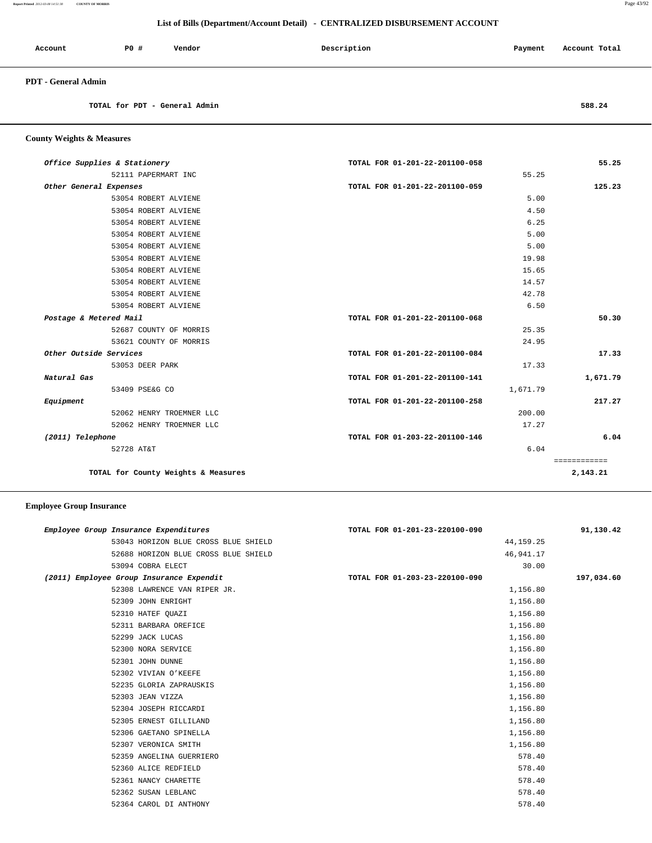**Report Printed** *2012-03-08 14:51:38* **COUNTY OF MORRIS** Page 43/92

## **List of Bills (Department/Account Detail) - CENTRALIZED DISBURSEMENT ACCOUNT**

| Account             | PO# | Vendor | Description | Payment | Account Total |
|---------------------|-----|--------|-------------|---------|---------------|
| PDT - General Admin |     |        |             |         |               |

**TOTAL for PDT - General Admin 588.24**

 **County Weights & Measures**

| Office Supplies & Stationery        | TOTAL FOR 01-201-22-201100-058 | 55.25        |
|-------------------------------------|--------------------------------|--------------|
| 52111 PAPERMART INC                 | 55.25                          |              |
| Other General Expenses              | TOTAL FOR 01-201-22-201100-059 | 125.23       |
| 53054 ROBERT ALVIENE                | 5.00                           |              |
| 53054 ROBERT ALVIENE                | 4.50                           |              |
| 53054 ROBERT ALVIENE                | 6.25                           |              |
| 53054 ROBERT ALVIENE                | 5.00                           |              |
| 53054 ROBERT ALVIENE                | 5.00                           |              |
| 53054 ROBERT ALVIENE                | 19.98                          |              |
| 53054 ROBERT ALVIENE                | 15.65                          |              |
| 53054 ROBERT ALVIENE                | 14.57                          |              |
| 53054 ROBERT ALVIENE                | 42.78                          |              |
| 53054 ROBERT ALVIENE                | 6.50                           |              |
| Postage & Metered Mail              | TOTAL FOR 01-201-22-201100-068 | 50.30        |
| 52687 COUNTY OF MORRIS              | 25.35                          |              |
| 53621 COUNTY OF MORRIS              | 24.95                          |              |
| Other Outside Services              | TOTAL FOR 01-201-22-201100-084 | 17.33        |
| 53053 DEER PARK                     | 17.33                          |              |
| Natural Gas                         | TOTAL FOR 01-201-22-201100-141 | 1,671.79     |
| 53409 PSE&G CO                      | 1,671.79                       |              |
| Equipment                           | TOTAL FOR 01-201-22-201100-258 | 217.27       |
| 52062 HENRY TROEMNER LLC            | 200.00                         |              |
| 52062 HENRY TROEMNER LLC            | 17.27                          |              |
| (2011) Telephone                    | TOTAL FOR 01-203-22-201100-146 | 6.04         |
| 52728 AT&T                          | 6.04                           |              |
|                                     |                                | ============ |
| TOTAL for County Weights & Measures |                                | 2,143.21     |

| Employee Group Insurance Expenditures    | TOTAL FOR 01-201-23-220100-090 | 91,130.42  |
|------------------------------------------|--------------------------------|------------|
| 53043 HORIZON BLUE CROSS BLUE SHIELD     | 44, 159. 25                    |            |
| 52688 HORIZON BLUE CROSS BLUE SHIELD     | 46,941.17                      |            |
| 53094 COBRA ELECT                        | 30.00                          |            |
| (2011) Employee Group Insurance Expendit | TOTAL FOR 01-203-23-220100-090 | 197,034.60 |
| 52308 LAWRENCE VAN RIPER JR.             | 1,156.80                       |            |
| 52309 JOHN ENRIGHT                       | 1,156.80                       |            |
| 52310 HATEF QUAZI                        | 1,156.80                       |            |
| 52311 BARBARA OREFICE                    | 1,156.80                       |            |
| 52299 JACK LUCAS                         | 1,156.80                       |            |
| 52300 NORA SERVICE                       | 1,156.80                       |            |
| 52301 JOHN DUNNE                         | 1,156.80                       |            |
| 52302 VIVIAN O'KEEFE                     | 1,156.80                       |            |
| 52235 GLORIA ZAPRAUSKIS                  | 1,156.80                       |            |
| 52303 JEAN VIZZA                         | 1,156.80                       |            |
| 52304 JOSEPH RICCARDI                    | 1,156.80                       |            |
| 52305 ERNEST GILLILAND                   | 1,156.80                       |            |
| 52306 GAETANO SPINELLA                   | 1,156.80                       |            |
| 52307 VERONICA SMITH                     | 1,156.80                       |            |
| 52359 ANGELINA GUERRIERO                 | 578.40                         |            |
| 52360 ALICE REDFIELD                     | 578.40                         |            |
| 52361 NANCY CHARETTE                     | 578.40                         |            |
| 52362 SUSAN LEBLANC                      | 578.40                         |            |
| 52364 CAROL DI ANTHONY                   | 578.40                         |            |
|                                          |                                |            |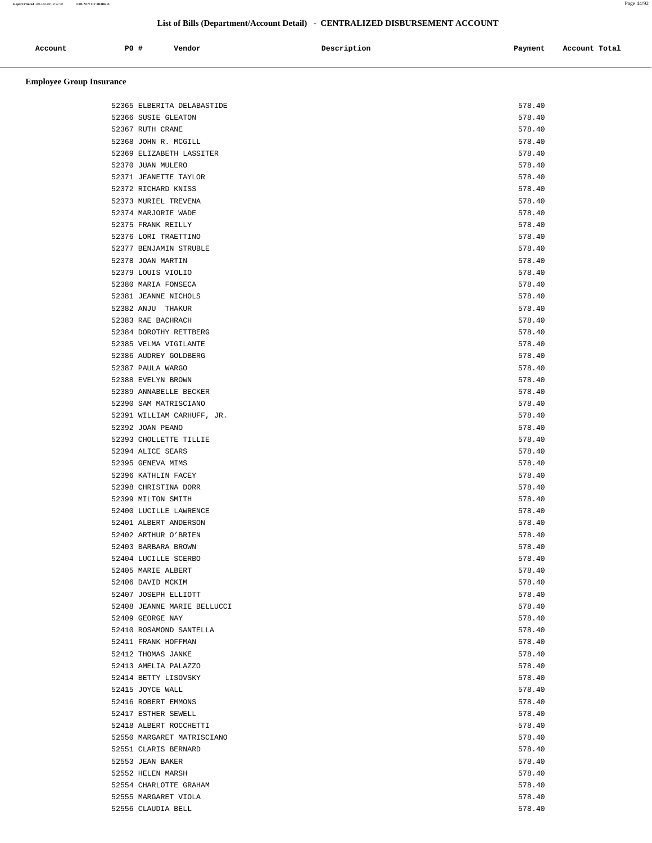| Account<br>. | P0 | Vendor<br>. | Description | Payment | Account Total<br>.<br>. |
|--------------|----|-------------|-------------|---------|-------------------------|
|              |    |             |             |         |                         |

| 52365 ELBERITA DELABASTIDE  | 578.40 |
|-----------------------------|--------|
| 52366 SUSIE GLEATON         | 578.40 |
| 52367 RUTH CRANE            | 578.40 |
| 52368 JOHN R. MCGILL        | 578.40 |
| 52369 ELIZABETH LASSITER    | 578.40 |
| 52370 JUAN MULERO           | 578.40 |
| 52371 JEANETTE TAYLOR       | 578.40 |
| 52372 RICHARD KNISS         | 578.40 |
| 52373 MURIEL TREVENA        | 578.40 |
| 52374 MARJORIE WADE         | 578.40 |
| 52375 FRANK REILLY          | 578.40 |
| 52376 LORI TRAETTINO        | 578.40 |
| 52377 BENJAMIN STRUBLE      | 578.40 |
| 52378 JOAN MARTIN           | 578.40 |
| 52379 LOUIS VIOLIO          | 578.40 |
| 52380 MARIA FONSECA         | 578.40 |
| 52381 JEANNE NICHOLS        | 578.40 |
| 52382 ANJU THAKUR           | 578.40 |
|                             |        |
| 52383 RAE BACHRACH          | 578.40 |
| 52384 DOROTHY RETTBERG      | 578.40 |
| 52385 VELMA VIGILANTE       | 578.40 |
| 52386 AUDREY GOLDBERG       | 578.40 |
| 52387 PAULA WARGO           | 578.40 |
| 52388 EVELYN BROWN          | 578.40 |
| 52389 ANNABELLE BECKER      | 578.40 |
| 52390 SAM MATRISCIANO       | 578.40 |
| 52391 WILLIAM CARHUFF, JR.  | 578.40 |
| 52392 JOAN PEANO            | 578.40 |
| 52393 CHOLLETTE TILLIE      | 578.40 |
| 52394 ALICE SEARS           | 578.40 |
| 52395 GENEVA MIMS           | 578.40 |
| 52396 KATHLIN FACEY         | 578.40 |
| 52398 CHRISTINA DORR        | 578.40 |
| 52399 MILTON SMITH          | 578.40 |
| 52400 LUCILLE LAWRENCE      | 578.40 |
| 52401 ALBERT ANDERSON       | 578.40 |
| 52402 ARTHUR O'BRIEN        | 578.40 |
| 52403 BARBARA BROWN         | 578.40 |
| 52404 LUCILLE SCERBO        | 578.40 |
| 52405 MARIE ALBERT          | 578.40 |
| 52406 DAVID MCKIM           | 578.40 |
| 52407 JOSEPH ELLIOTT        | 578.40 |
| 52408 JEANNE MARIE BELLUCCI | 578.40 |
| 52409 GEORGE NAY            | 578.40 |
| 52410 ROSAMOND SANTELLA     | 578.40 |
| 52411 FRANK HOFFMAN         | 578.40 |
| 52412 THOMAS JANKE          | 578.40 |
| 52413 AMELIA PALAZZO        | 578.40 |
| 52414 BETTY LISOVSKY        | 578.40 |
| 52415 JOYCE WALL            | 578.40 |
| 52416 ROBERT EMMONS         | 578.40 |
| 52417 ESTHER SEWELL         | 578.40 |
| 52418 ALBERT ROCCHETTI      | 578.40 |
| 52550 MARGARET MATRISCIANO  | 578.40 |
| 52551 CLARIS BERNARD        | 578.40 |
| 52553 JEAN BAKER            | 578.40 |
| 52552 HELEN MARSH           | 578.40 |
| 52554 CHARLOTTE GRAHAM      | 578.40 |
| 52555 MARGARET VIOLA        | 578.40 |
|                             | 578.40 |
| 52556 CLAUDIA BELL          |        |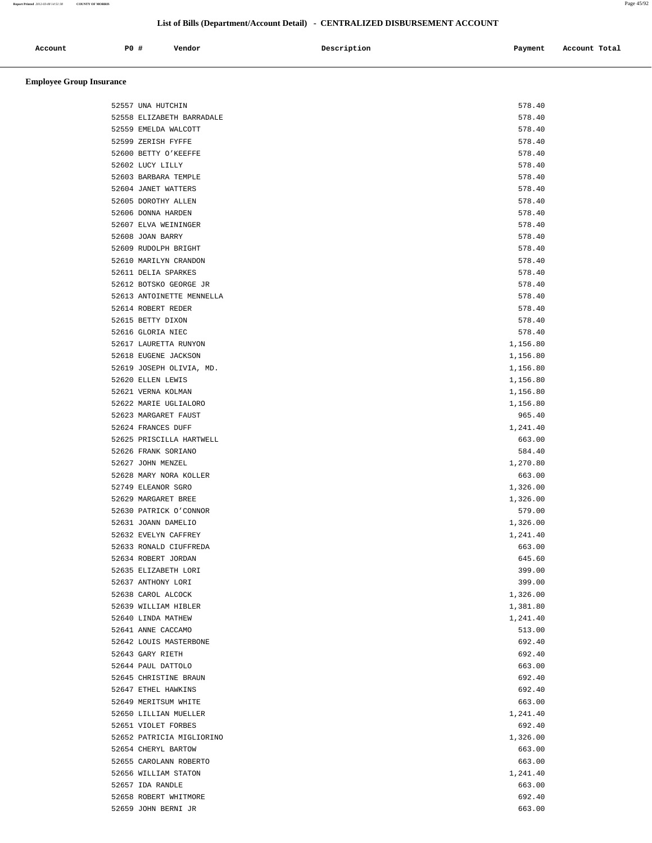**Report Printed** *2012-03-08 14:51:38* **COUNTY OF MORRIS** Page 45/92

# **List of Bills (Department/Account Detail) - CENTRALIZED DISBURSEMENT ACCOUNT**

| Account | P0 | Vendor | Description | Payment | Account Total |
|---------|----|--------|-------------|---------|---------------|
|         |    |        |             |         |               |

| 52557 UNA HUTCHIN         | 578.40   |
|---------------------------|----------|
| 52558 ELIZABETH BARRADALE | 578.40   |
| 52559 EMELDA WALCOTT      | 578.40   |
| 52599 ZERISH FYFFE        | 578.40   |
| 52600 BETTY O'KEEFFE      | 578.40   |
| 52602 LUCY LILLY          | 578.40   |
| 52603 BARBARA TEMPLE      | 578.40   |
| 52604 JANET WATTERS       | 578.40   |
| 52605 DOROTHY ALLEN       | 578.40   |
| 52606 DONNA HARDEN        | 578.40   |
| 52607 ELVA WEININGER      | 578.40   |
| 52608 JOAN BARRY          | 578.40   |
| 52609 RUDOLPH BRIGHT      | 578.40   |
| 52610 MARILYN CRANDON     | 578.40   |
| 52611 DELIA SPARKES       | 578.40   |
| 52612 BOTSKO GEORGE JR    | 578.40   |
| 52613 ANTOINETTE MENNELLA | 578.40   |
| 52614 ROBERT REDER        | 578.40   |
| 52615 BETTY DIXON         | 578.40   |
| 52616 GLORIA NIEC         | 578.40   |
| 52617 LAURETTA RUNYON     | 1,156.80 |
|                           |          |
| 52618 EUGENE JACKSON      | 1,156.80 |
| 52619 JOSEPH OLIVIA, MD.  | 1,156.80 |
| 52620 ELLEN LEWIS         | 1,156.80 |
| 52621 VERNA KOLMAN        | 1,156.80 |
| 52622 MARIE UGLIALORO     | 1,156.80 |
| 52623 MARGARET FAUST      | 965.40   |
| 52624 FRANCES DUFF        | 1,241.40 |
| 52625 PRISCILLA HARTWELL  | 663.00   |
| 52626 FRANK SORIANO       | 584.40   |
| 52627 JOHN MENZEL         | 1,270.80 |
| 52628 MARY NORA KOLLER    | 663.00   |
| 52749 ELEANOR SGRO        | 1,326.00 |
| 52629 MARGARET BREE       | 1,326.00 |
| 52630 PATRICK O'CONNOR    | 579.00   |
| 52631 JOANN DAMELIO       | 1,326.00 |
| 52632 EVELYN CAFFREY      | 1,241.40 |
| 52633 RONALD CIUFFREDA    | 663.00   |
| 52634 ROBERT JORDAN       | 645.60   |
| 52635 ELIZABETH LORI      | 399.00   |
| 52637 ANTHONY LORI        | 399.00   |
| 52638 CAROL ALCOCK        | 1,326.00 |
| 52639 WILLIAM HIBLER      | 1,381.80 |
| 52640 LINDA MATHEW        | 1,241.40 |
| 52641 ANNE CACCAMO        | 513.00   |
| 52642 LOUIS MASTERBONE    | 692.40   |
| 52643 GARY RIETH          | 692.40   |
| 52644 PAUL DATTOLO        | 663.00   |
| 52645 CHRISTINE BRAUN     | 692.40   |
| 52647 ETHEL HAWKINS       | 692.40   |
| 52649 MERITSUM WHITE      | 663.00   |
| 52650 LILLIAN MUELLER     | 1,241.40 |
| 52651 VIOLET FORBES       | 692.40   |
| 52652 PATRICIA MIGLIORINO | 1,326.00 |
| 52654 CHERYL BARTOW       | 663.00   |
| 52655 CAROLANN ROBERTO    | 663.00   |
| 52656 WILLIAM STATON      | 1,241.40 |
| 52657 IDA RANDLE          | 663.00   |
| 52658 ROBERT WHITMORE     | 692.40   |
| 52659 JOHN BERNI JR       | 663.00   |
|                           |          |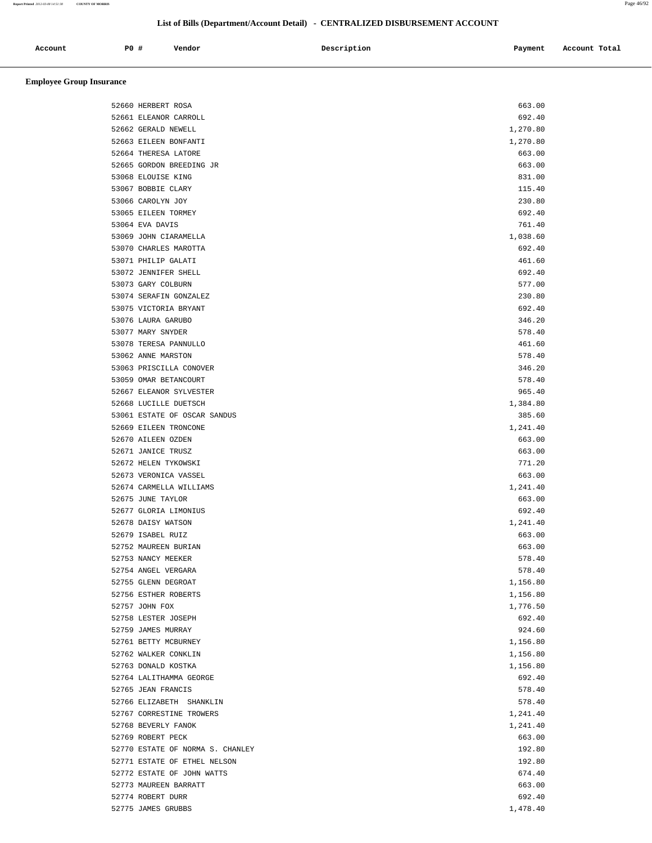| Account | P0 # | Vendor<br>. | Description<br>$\sim$ $\sim$ $\sim$ | Payment | Account Total |
|---------|------|-------------|-------------------------------------|---------|---------------|
|         |      |             |                                     |         |               |

| 52660 HERBERT ROSA               | 663.00   |
|----------------------------------|----------|
| 52661 ELEANOR CARROLL            | 692.40   |
| 52662 GERALD NEWELL              | 1,270.80 |
| 52663 EILEEN BONFANTI            | 1,270.80 |
| 52664 THERESA LATORE             | 663.00   |
| 52665 GORDON BREEDING JR         | 663.00   |
| 53068 ELOUISE KING               | 831.00   |
| 53067 BOBBIE CLARY               | 115.40   |
| 53066 CAROLYN JOY                | 230.80   |
| 53065 EILEEN TORMEY              | 692.40   |
| 53064 EVA DAVIS                  | 761.40   |
| 53069 JOHN CIARAMELLA            | 1,038.60 |
| 53070 CHARLES MAROTTA            | 692.40   |
| 53071 PHILIP GALATI              | 461.60   |
| 53072 JENNIFER SHELL             | 692.40   |
|                                  | 577.00   |
| 53073 GARY COLBURN               |          |
| 53074 SERAFIN GONZALEZ           | 230.80   |
| 53075 VICTORIA BRYANT            | 692.40   |
| 53076 LAURA GARUBO               | 346.20   |
| 53077 MARY SNYDER                | 578.40   |
| 53078 TERESA PANNULLO            | 461.60   |
| 53062 ANNE MARSTON               | 578.40   |
| 53063 PRISCILLA CONOVER          | 346.20   |
| 53059 OMAR BETANCOURT            | 578.40   |
| 52667 ELEANOR SYLVESTER          | 965.40   |
| 52668 LUCILLE DUETSCH            | 1,384.80 |
| 53061 ESTATE OF OSCAR SANDUS     | 385.60   |
| 52669 EILEEN TRONCONE            | 1,241.40 |
| 52670 AILEEN OZDEN               | 663.00   |
| 52671 JANICE TRUSZ               | 663.00   |
| 52672 HELEN TYKOWSKI             | 771.20   |
| 52673 VERONICA VASSEL            | 663.00   |
| 52674 CARMELLA WILLIAMS          | 1,241.40 |
| 52675 JUNE TAYLOR                | 663.00   |
| 52677 GLORIA LIMONIUS            | 692.40   |
| 52678 DAISY WATSON               | 1,241.40 |
| 52679 ISABEL RUIZ                | 663.00   |
| 52752 MAUREEN BURIAN             | 663.00   |
| 52753 NANCY MEEKER               | 578.40   |
| 52754 ANGEL VERGARA              | 578.40   |
| 52755 GLENN DEGROAT              | 1,156.80 |
| 52756 ESTHER ROBERTS             | 1,156.80 |
| 52757 JOHN FOX                   | 1,776.50 |
| 52758 LESTER JOSEPH              | 692.40   |
| 52759 JAMES MURRAY               | 924.60   |
| 52761 BETTY MCBURNEY             | 1,156.80 |
|                                  |          |
| 52762 WALKER CONKLIN             | 1,156.80 |
| 52763 DONALD KOSTKA              | 1,156.80 |
| 52764 LALITHAMMA GEORGE          | 692.40   |
| 52765 JEAN FRANCIS               | 578.40   |
| 52766 ELIZABETH SHANKLIN         | 578.40   |
| 52767 CORRESTINE TROWERS         | 1,241.40 |
| 52768 BEVERLY FANOK              | 1,241.40 |
| 52769 ROBERT PECK                | 663.00   |
| 52770 ESTATE OF NORMA S. CHANLEY | 192.80   |
| 52771 ESTATE OF ETHEL NELSON     | 192.80   |
| 52772 ESTATE OF JOHN WATTS       | 674.40   |
| 52773 MAUREEN BARRATT            | 663.00   |
| 52774 ROBERT DURR                | 692.40   |
| 52775 JAMES GRUBBS               | 1,478.40 |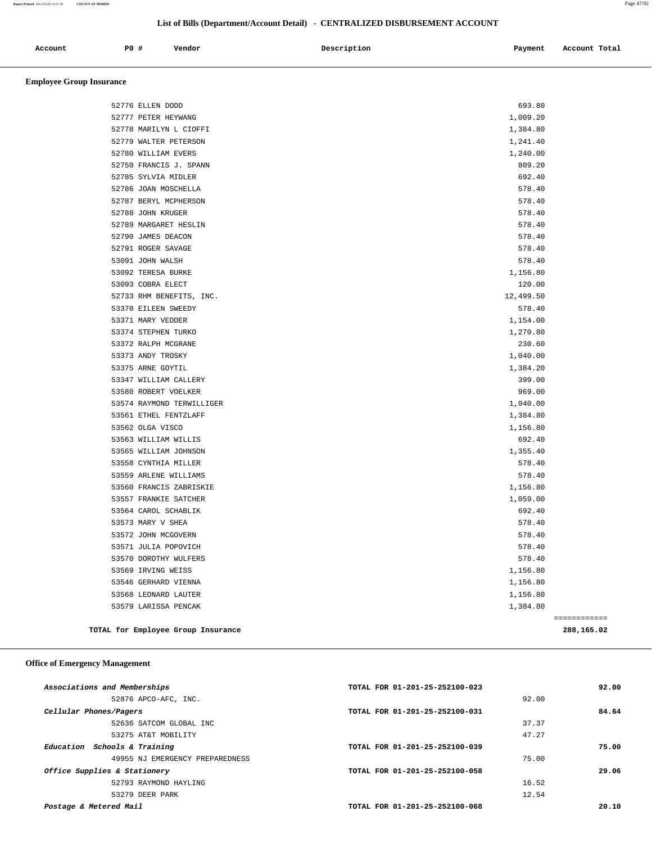| Account | P <sub>0</sub> | Vendor<br>. | Description | Pavment | Account Total |
|---------|----------------|-------------|-------------|---------|---------------|
|         |                |             |             |         |               |

# **Employee Group Insurance**

| 52776 ELLEN DODD          | 693.80    |              |
|---------------------------|-----------|--------------|
| 52777 PETER HEYWANG       | 1,009.20  |              |
| 52778 MARILYN L CIOFFI    | 1,384.80  |              |
| 52779 WALTER PETERSON     | 1,241.40  |              |
| 52780 WILLIAM EVERS       | 1,240.00  |              |
| 52750 FRANCIS J. SPANN    | 809.20    |              |
| 52785 SYLVIA MIDLER       | 692.40    |              |
| 52786 JOAN MOSCHELLA      | 578.40    |              |
| 52787 BERYL MCPHERSON     | 578.40    |              |
| 52788 JOHN KRUGER         | 578.40    |              |
| 52789 MARGARET HESLIN     | 578.40    |              |
| 52790 JAMES DEACON        | 578.40    |              |
| 52791 ROGER SAVAGE        | 578.40    |              |
| 53091 JOHN WALSH          | 578.40    |              |
| 53092 TERESA BURKE        | 1,156.80  |              |
| 53093 COBRA ELECT         | 120.00    |              |
| 52733 RHM BENEFITS, INC.  | 12,499.50 |              |
| 53370 EILEEN SWEEDY       | 578.40    |              |
| 53371 MARY VEDDER         | 1,154.00  |              |
| 53374 STEPHEN TURKO       | 1,270.80  |              |
| 53372 RALPH MCGRANE       | 230.60    |              |
| 53373 ANDY TROSKY         | 1,040.00  |              |
| 53375 ARNE GOYTIL         | 1,384.20  |              |
| 53347 WILLIAM CALLERY     | 399.00    |              |
| 53580 ROBERT VOELKER      | 969.00    |              |
| 53574 RAYMOND TERWILLIGER | 1,040.00  |              |
| 53561 ETHEL FENTZLAFF     | 1,384.80  |              |
| 53562 OLGA VISCO          | 1,156.80  |              |
| 53563 WILLIAM WILLIS      | 692.40    |              |
| 53565 WILLIAM JOHNSON     | 1,355.40  |              |
| 53558 CYNTHIA MILLER      | 578.40    |              |
| 53559 ARLENE WILLIAMS     | 578.40    |              |
| 53560 FRANCIS ZABRISKIE   | 1,156.80  |              |
| 53557 FRANKIE SATCHER     | 1,059.00  |              |
| 53564 CAROL SCHABLIK      | 692.40    |              |
| 53573 MARY V SHEA         | 578.40    |              |
| 53572 JOHN MCGOVERN       | 578.40    |              |
| 53571 JULIA POPOVICH      | 578.40    |              |
| 53570 DOROTHY WULFERS     | 578.40    |              |
| 53569 IRVING WEISS        | 1,156.80  |              |
| 53546 GERHARD VIENNA      | 1,156.80  |              |
| 53568 LEONARD LAUTER      | 1,156.80  |              |
| 53579 LARISSA PENCAK      | 1,384.80  |              |
|                           |           | ============ |

**TOTAL for Employee Group Insurance 288,165.02**

## **Office of Emergency Management**

| Associations and Memberships    | TOTAL FOR 01-201-25-252100-023 | 92.00 |
|---------------------------------|--------------------------------|-------|
| 52876 APCO-AFC, INC.            | 92.00                          |       |
| Cellular Phones/Pagers          | TOTAL FOR 01-201-25-252100-031 | 84.64 |
| 52636 SATCOM GLOBAL INC         | 37.37                          |       |
| 53275 AT&T MOBILITY             | 47.27                          |       |
| Education Schools & Training    | TOTAL FOR 01-201-25-252100-039 | 75.00 |
| 49955 NJ EMERGENCY PREPAREDNESS | 75.00                          |       |
| Office Supplies & Stationery    | TOTAL FOR 01-201-25-252100-058 | 29.06 |
| 52793 RAYMOND HAYLING           | 16.52                          |       |
| 53279 DEER PARK                 | 12.54                          |       |
| Postage & Metered Mail          | TOTAL FOR 01-201-25-252100-068 | 20.10 |
|                                 |                                |       |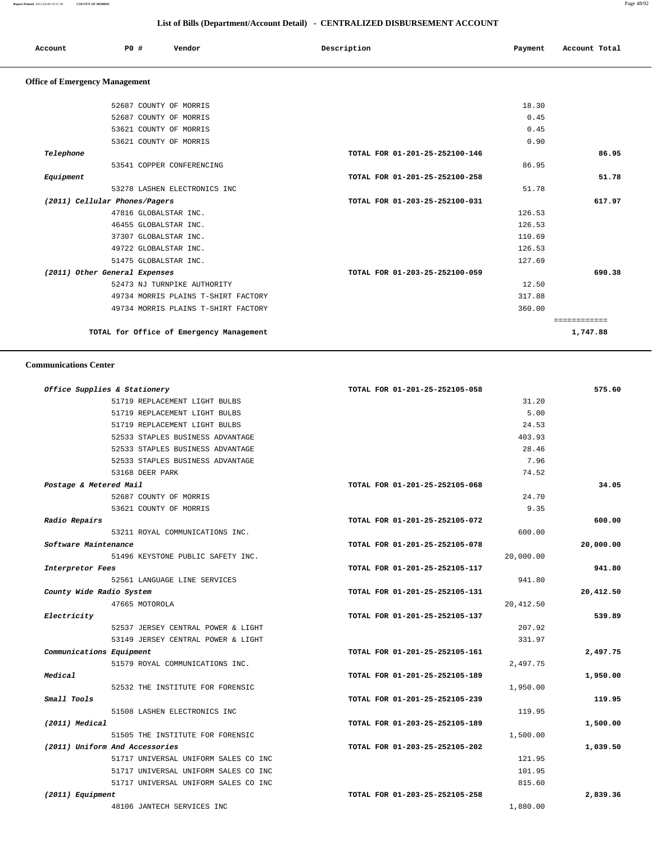| Account | PO# | Vendor | Description | Payment | Account Total |
|---------|-----|--------|-------------|---------|---------------|
|         |     |        |             |         |               |

# **Office of Emergency Management**

|                               | 52687 COUNTY OF MORRIS                   |                                | 18.30  |          |
|-------------------------------|------------------------------------------|--------------------------------|--------|----------|
|                               | 52687 COUNTY OF MORRIS                   |                                | 0.45   |          |
|                               | 53621 COUNTY OF MORRIS                   |                                | 0.45   |          |
|                               | 53621 COUNTY OF MORRIS                   |                                | 0.90   |          |
| Telephone                     |                                          | TOTAL FOR 01-201-25-252100-146 |        | 86.95    |
|                               | 53541 COPPER CONFERENCING                |                                | 86.95  |          |
| Equipment                     |                                          | TOTAL FOR 01-201-25-252100-258 |        | 51.78    |
|                               | 53278 LASHEN ELECTRONICS INC             |                                | 51.78  |          |
| (2011) Cellular Phones/Pagers |                                          | TOTAL FOR 01-203-25-252100-031 |        | 617.97   |
|                               | 47816 GLOBALSTAR INC.                    |                                | 126.53 |          |
|                               | 46455 GLOBALSTAR INC.                    |                                | 126.53 |          |
|                               | 37307 GLOBALSTAR INC.                    |                                | 110.69 |          |
|                               | 49722 GLOBALSTAR INC.                    |                                | 126.53 |          |
|                               | 51475 GLOBALSTAR INC.                    |                                | 127.69 |          |
| (2011) Other General Expenses |                                          | TOTAL FOR 01-203-25-252100-059 |        | 690.38   |
|                               | 52473 NJ TURNPIKE AUTHORITY              |                                | 12.50  |          |
|                               | 49734 MORRIS PLAINS T-SHIRT FACTORY      |                                | 317.88 |          |
|                               | 49734 MORRIS PLAINS T-SHIRT FACTORY      |                                | 360.00 |          |
|                               |                                          |                                |        |          |
|                               | TOTAL for Office of Emergency Management |                                |        | 1,747.88 |
|                               |                                          |                                |        |          |

### **Communications Center**

| 575.60    |           | TOTAL FOR 01-201-25-252105-058 |                                      | Office Supplies & Stationery   |
|-----------|-----------|--------------------------------|--------------------------------------|--------------------------------|
|           | 31.20     |                                | 51719 REPLACEMENT LIGHT BULBS        |                                |
|           | 5.00      |                                | 51719 REPLACEMENT LIGHT BULBS        |                                |
|           | 24.53     |                                | 51719 REPLACEMENT LIGHT BULBS        |                                |
|           | 403.93    |                                | 52533 STAPLES BUSINESS ADVANTAGE     |                                |
|           | 28.46     |                                | 52533 STAPLES BUSINESS ADVANTAGE     |                                |
|           | 7.96      |                                | 52533 STAPLES BUSINESS ADVANTAGE     |                                |
|           | 74.52     |                                | 53168 DEER PARK                      |                                |
| 34.05     |           | TOTAL FOR 01-201-25-252105-068 |                                      | Postage & Metered Mail         |
|           | 24.70     |                                | 52687 COUNTY OF MORRIS               |                                |
|           | 9.35      |                                | 53621 COUNTY OF MORRIS               |                                |
| 600.00    |           | TOTAL FOR 01-201-25-252105-072 |                                      | Radio Repairs                  |
|           | 600.00    |                                | 53211 ROYAL COMMUNICATIONS INC.      |                                |
| 20,000.00 |           | TOTAL FOR 01-201-25-252105-078 |                                      | Software Maintenance           |
|           | 20,000.00 |                                | 51496 KEYSTONE PUBLIC SAFETY INC.    |                                |
| 941.80    |           | TOTAL FOR 01-201-25-252105-117 |                                      | Interpretor Fees               |
|           | 941.80    |                                | 52561 LANGUAGE LINE SERVICES         |                                |
| 20,412.50 |           | TOTAL FOR 01-201-25-252105-131 |                                      | County Wide Radio System       |
|           | 20,412.50 |                                | 47665 MOTOROLA                       |                                |
| 539.89    |           | TOTAL FOR 01-201-25-252105-137 |                                      | Electricity                    |
|           | 207.92    |                                | 52537 JERSEY CENTRAL POWER & LIGHT   |                                |
|           | 331.97    |                                | 53149 JERSEY CENTRAL POWER & LIGHT   |                                |
| 2,497.75  |           | TOTAL FOR 01-201-25-252105-161 |                                      | Communications Equipment       |
|           | 2,497.75  |                                | 51579 ROYAL COMMUNICATIONS INC.      |                                |
| 1,950.00  |           | TOTAL FOR 01-201-25-252105-189 |                                      | Medical                        |
|           | 1,950.00  |                                | 52532 THE INSTITUTE FOR FORENSIC     |                                |
| 119.95    |           | TOTAL FOR 01-201-25-252105-239 |                                      | Small Tools                    |
|           | 119.95    |                                | 51508 LASHEN ELECTRONICS INC         |                                |
| 1,500.00  |           | TOTAL FOR 01-203-25-252105-189 |                                      | (2011) Medical                 |
|           | 1,500.00  |                                | 51505 THE INSTITUTE FOR FORENSIC     |                                |
| 1,039.50  |           | TOTAL FOR 01-203-25-252105-202 |                                      | (2011) Uniform And Accessories |
|           | 121.95    |                                | 51717 UNIVERSAL UNIFORM SALES CO INC |                                |
|           | 101.95    |                                | 51717 UNIVERSAL UNIFORM SALES CO INC |                                |
|           | 815.60    |                                | 51717 UNIVERSAL UNIFORM SALES CO INC |                                |
| 2,839.36  |           | TOTAL FOR 01-203-25-252105-258 |                                      | (2011) Equipment               |
|           |           |                                |                                      |                                |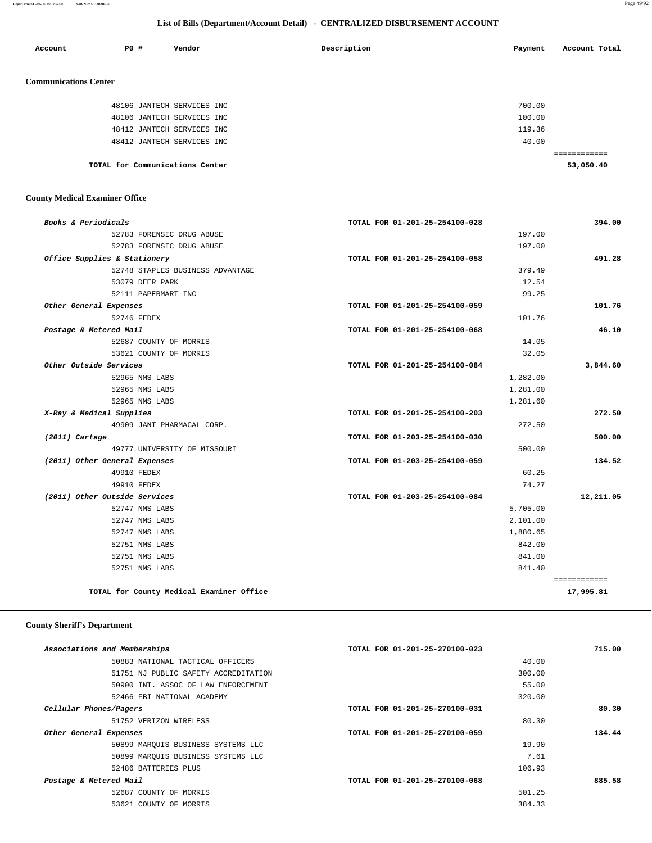**Report Printed** *2012-03-08 14:51:38* **COUNTY OF MORRIS** Page 49/92

## **List of Bills (Department/Account Detail) - CENTRALIZED DISBURSEMENT ACCOUNT**

| Account                      | PO# | Vendor                          | Description | Payment | Account Total |
|------------------------------|-----|---------------------------------|-------------|---------|---------------|
| <b>Communications Center</b> |     |                                 |             |         |               |
|                              |     | 48106 JANTECH SERVICES INC      |             | 700.00  |               |
|                              |     | 48106 JANTECH SERVICES INC      |             | 100.00  |               |
|                              |     | 48412 JANTECH SERVICES INC      |             | 119.36  |               |
|                              |     | 48412 JANTECH SERVICES INC      |             | 40.00   |               |
|                              |     |                                 |             |         | ============  |
|                              |     | TOTAL for Communications Center |             |         | 53,050.40     |

## **County Medical Examiner Office**

| Books & Periodicals                      | TOTAL FOR 01-201-25-254100-028 | 394.00       |
|------------------------------------------|--------------------------------|--------------|
| 52783 FORENSIC DRUG ABUSE                | 197.00                         |              |
| 52783 FORENSIC DRUG ABUSE                | 197.00                         |              |
| Office Supplies & Stationery             | TOTAL FOR 01-201-25-254100-058 | 491.28       |
| 52748 STAPLES BUSINESS ADVANTAGE         | 379.49                         |              |
| 53079 DEER PARK                          | 12.54                          |              |
| 52111 PAPERMART INC                      | 99.25                          |              |
| Other General Expenses                   | TOTAL FOR 01-201-25-254100-059 | 101.76       |
| 52746 FEDEX                              | 101.76                         |              |
| Postage & Metered Mail                   | TOTAL FOR 01-201-25-254100-068 | 46.10        |
| 52687 COUNTY OF MORRIS                   | 14.05                          |              |
| 53621 COUNTY OF MORRIS                   | 32.05                          |              |
| Other Outside Services                   | TOTAL FOR 01-201-25-254100-084 | 3,844.60     |
| 52965 NMS LABS                           | 1,282.00                       |              |
| 52965 NMS LABS                           | 1,281.00                       |              |
| 52965 NMS LABS                           | 1,281.60                       |              |
| X-Ray & Medical Supplies                 | TOTAL FOR 01-201-25-254100-203 | 272.50       |
| 49909 JANT PHARMACAL CORP.               | 272.50                         |              |
| $(2011)$ Cartage                         | TOTAL FOR 01-203-25-254100-030 | 500.00       |
| 49777 UNIVERSITY OF MISSOURI             | 500.00                         |              |
| (2011) Other General Expenses            | TOTAL FOR 01-203-25-254100-059 | 134.52       |
| 49910 FEDEX                              | 60.25                          |              |
| 49910 FEDEX                              | 74.27                          |              |
| (2011) Other Outside Services            | TOTAL FOR 01-203-25-254100-084 | 12,211.05    |
| 52747 NMS LABS                           | 5,705.00                       |              |
| 52747 NMS LABS                           | 2,101.00                       |              |
| 52747 NMS LABS                           | 1,880.65                       |              |
| 52751 NMS LABS                           | 842.00                         |              |
| 52751 NMS LABS                           | 841.00                         |              |
| 52751 NMS LABS                           | 841.40                         |              |
|                                          |                                | ============ |
| TOTAL for County Medical Examiner Office |                                | 17,995.81    |

# **County Sheriff's Department**

| Associations and Memberships         | TOTAL FOR 01-201-25-270100-023 | 715.00 |
|--------------------------------------|--------------------------------|--------|
| 50883 NATIONAL TACTICAL OFFICERS     | 40.00                          |        |
| 51751 NJ PUBLIC SAFETY ACCREDITATION | 300.00                         |        |
| 50900 INT. ASSOC OF LAW ENFORCEMENT  | 55.00                          |        |
| 52466 FBI NATIONAL ACADEMY           | 320.00                         |        |
| Cellular Phones/Pagers               | TOTAL FOR 01-201-25-270100-031 | 80.30  |
| 51752 VERIZON WIRELESS               | 80.30                          |        |
| Other General Expenses               | TOTAL FOR 01-201-25-270100-059 | 134.44 |
| 50899 MAROUIS BUSINESS SYSTEMS LLC   | 19.90                          |        |
| 50899 MAROUIS BUSINESS SYSTEMS LLC   | 7.61                           |        |
| 52486 BATTERIES PLUS                 | 106.93                         |        |
| Postage & Metered Mail               | TOTAL FOR 01-201-25-270100-068 | 885.58 |
| 52687 COUNTY OF MORRIS               | 501.25                         |        |
| 53621 COUNTY OF MORRIS               | 384.33                         |        |
|                                      |                                |        |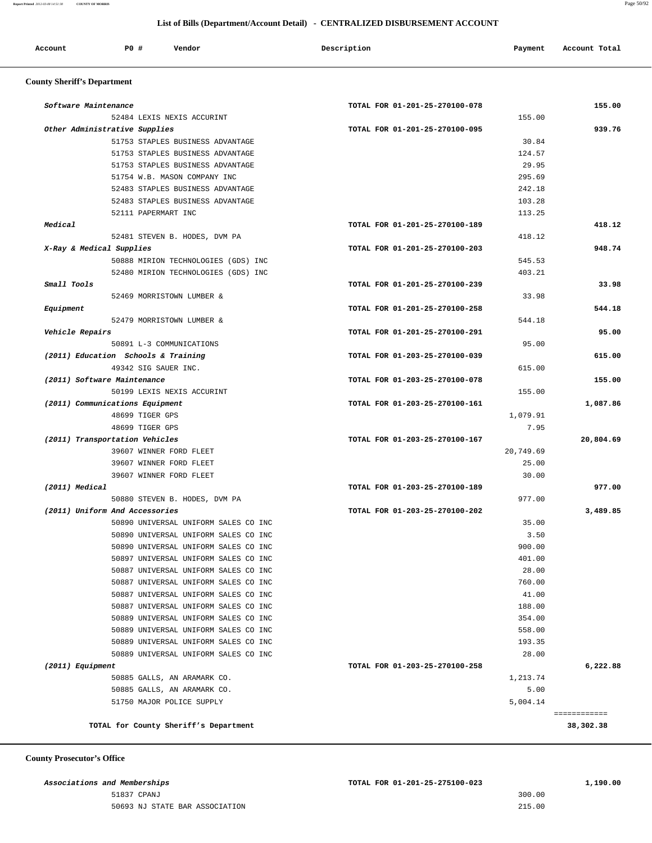| Account<br>. | P0 | Vendor<br>. | Description | Payment | Account Total |
|--------------|----|-------------|-------------|---------|---------------|
|              |    |             |             |         |               |

# **County Sheriff's Department**

| Software Maintenance        |                                                          | TOTAL FOR 01-201-25-270100-078 |                  | 155.00    |
|-----------------------------|----------------------------------------------------------|--------------------------------|------------------|-----------|
|                             | 52484 LEXIS NEXIS ACCURINT                               |                                | 155.00           |           |
|                             | Other Administrative Supplies                            | TOTAL FOR 01-201-25-270100-095 |                  | 939.76    |
|                             | 51753 STAPLES BUSINESS ADVANTAGE                         |                                | 30.84            |           |
|                             | 51753 STAPLES BUSINESS ADVANTAGE                         |                                | 124.57           |           |
|                             | 51753 STAPLES BUSINESS ADVANTAGE                         |                                | 29.95            |           |
|                             | 51754 W.B. MASON COMPANY INC                             |                                | 295.69           |           |
|                             | 52483 STAPLES BUSINESS ADVANTAGE                         |                                | 242.18           |           |
|                             | 52483 STAPLES BUSINESS ADVANTAGE                         |                                | 103.28           |           |
|                             | 52111 PAPERMART INC                                      |                                | 113.25           |           |
| Medical                     |                                                          | TOTAL FOR 01-201-25-270100-189 |                  | 418.12    |
|                             | 52481 STEVEN B. HODES, DVM PA                            |                                | 418.12           |           |
| X-Ray & Medical Supplies    |                                                          | TOTAL FOR 01-201-25-270100-203 |                  | 948.74    |
|                             | 50888 MIRION TECHNOLOGIES (GDS) INC                      |                                | 545.53           |           |
|                             | 52480 MIRION TECHNOLOGIES (GDS) INC                      |                                | 403.21           |           |
| Small Tools                 |                                                          | TOTAL FOR 01-201-25-270100-239 |                  | 33.98     |
|                             | 52469 MORRISTOWN LUMBER &                                |                                | 33.98            |           |
| Equipment                   |                                                          | TOTAL FOR 01-201-25-270100-258 |                  | 544.18    |
|                             | 52479 MORRISTOWN LUMBER &                                |                                | 544.18           |           |
| Vehicle Repairs             |                                                          | TOTAL FOR 01-201-25-270100-291 |                  | 95.00     |
|                             | 50891 L-3 COMMUNICATIONS                                 |                                | 95.00            |           |
|                             | (2011) Education Schools & Training                      | TOTAL FOR 01-203-25-270100-039 |                  | 615.00    |
|                             | 49342 SIG SAUER INC.                                     |                                | 615.00           |           |
| (2011) Software Maintenance |                                                          | TOTAL FOR 01-203-25-270100-078 |                  | 155.00    |
|                             | 50199 LEXIS NEXIS ACCURINT                               |                                | 155.00           |           |
|                             | (2011) Communications Equipment                          | TOTAL FOR 01-203-25-270100-161 |                  | 1,087.86  |
|                             | 48699 TIGER GPS                                          |                                | 1,079.91         |           |
|                             | 48699 TIGER GPS                                          |                                | 7.95             |           |
|                             | (2011) Transportation Vehicles                           | TOTAL FOR 01-203-25-270100-167 |                  | 20,804.69 |
|                             | 39607 WINNER FORD FLEET                                  |                                | 20,749.69        |           |
|                             | 39607 WINNER FORD FLEET                                  |                                | 25.00            |           |
|                             | 39607 WINNER FORD FLEET                                  |                                | 30.00            |           |
| (2011) Medical              |                                                          | TOTAL FOR 01-203-25-270100-189 |                  | 977.00    |
|                             | 50880 STEVEN B. HODES, DVM PA                            |                                | 977.00           |           |
|                             | (2011) Uniform And Accessories                           | TOTAL FOR 01-203-25-270100-202 |                  | 3,489.85  |
|                             | 50890 UNIVERSAL UNIFORM SALES CO INC                     |                                | 35.00            |           |
|                             | 50890 UNIVERSAL UNIFORM SALES CO INC                     |                                | 3.50             |           |
|                             | 50890 UNIVERSAL UNIFORM SALES CO INC                     |                                | 900.00           |           |
|                             | 50897 UNIVERSAL UNIFORM SALES CO INC                     |                                | 401.00           |           |
|                             | 50887 UNIVERSAL UNIFORM SALES CO INC                     |                                | 28.00            |           |
|                             | 50887 UNIVERSAL UNIFORM SALES CO INC                     |                                | 760.00           |           |
|                             | 50887 UNIVERSAL UNIFORM SALES CO INC                     |                                | 41.00            |           |
|                             | 50887 UNIVERSAL UNIFORM SALES CO INC                     |                                | 188.00           |           |
|                             | 50889 UNIVERSAL UNIFORM SALES CO INC                     |                                | 354.00           |           |
|                             | 50889 UNIVERSAL UNIFORM SALES CO INC                     |                                | 558.00           |           |
|                             | 50889 UNIVERSAL UNIFORM SALES CO INC                     |                                | 193.35           |           |
|                             | 50889 UNIVERSAL UNIFORM SALES CO INC                     |                                | 28.00            |           |
|                             |                                                          | TOTAL FOR 01-203-25-270100-258 |                  | 6,222.88  |
|                             | 50885 GALLS, AN ARAMARK CO.                              |                                | 1,213.74         |           |
|                             |                                                          |                                |                  |           |
| (2011) Equipment            |                                                          |                                |                  |           |
|                             | 50885 GALLS, AN ARAMARK CO.<br>51750 MAJOR POLICE SUPPLY |                                | 5.00<br>5,004.14 |           |

 **County Prosecutor's Office**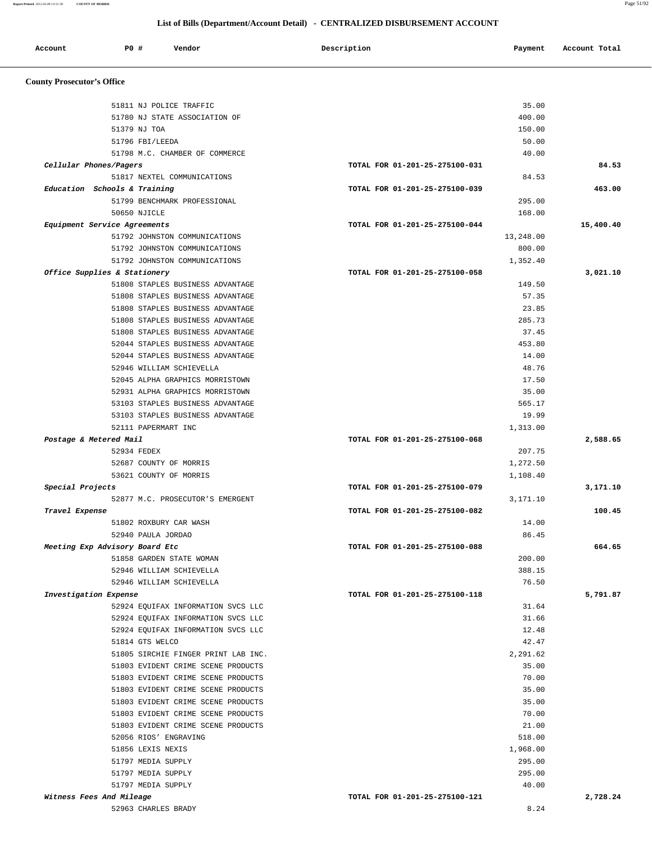**Report Printed** *2012-03-08 14:51:38* **COUNTY OF MORRIS** Page 51/92

# **List of Bills (Department/Account Detail) - CENTRALIZED DISBURSEMENT ACCOUNT**

| Account                           | PO# | Vendor                              | Description                    | Payment   | Account Total |
|-----------------------------------|-----|-------------------------------------|--------------------------------|-----------|---------------|
| <b>County Prosecutor's Office</b> |     |                                     |                                |           |               |
|                                   |     | 51811 NJ POLICE TRAFFIC             |                                | 35.00     |               |
|                                   |     | 51780 NJ STATE ASSOCIATION OF       |                                | 400.00    |               |
|                                   |     | 51379 NJ TOA                        |                                | 150.00    |               |
|                                   |     | 51796 FBI/LEEDA                     |                                | 50.00     |               |
|                                   |     | 51798 M.C. CHAMBER OF COMMERCE      |                                | 40.00     |               |
| Cellular Phones/Pagers            |     |                                     | TOTAL FOR 01-201-25-275100-031 |           | 84.53         |
|                                   |     | 51817 NEXTEL COMMUNICATIONS         |                                | 84.53     |               |
| Education Schools & Training      |     |                                     | TOTAL FOR 01-201-25-275100-039 |           | 463.00        |
|                                   |     | 51799 BENCHMARK PROFESSIONAL        |                                | 295.00    |               |
|                                   |     | 50650 NJICLE                        |                                | 168.00    |               |
| Equipment Service Agreements      |     |                                     | TOTAL FOR 01-201-25-275100-044 |           | 15,400.40     |
|                                   |     | 51792 JOHNSTON COMMUNICATIONS       |                                | 13,248.00 |               |
|                                   |     | 51792 JOHNSTON COMMUNICATIONS       |                                | 800.00    |               |
|                                   |     | 51792 JOHNSTON COMMUNICATIONS       |                                | 1,352.40  |               |
| Office Supplies & Stationery      |     |                                     | TOTAL FOR 01-201-25-275100-058 |           | 3,021.10      |
|                                   |     | 51808 STAPLES BUSINESS ADVANTAGE    |                                | 149.50    |               |
|                                   |     | 51808 STAPLES BUSINESS ADVANTAGE    |                                | 57.35     |               |
|                                   |     | 51808 STAPLES BUSINESS ADVANTAGE    |                                | 23.85     |               |
|                                   |     | 51808 STAPLES BUSINESS ADVANTAGE    |                                | 285.73    |               |
|                                   |     | 51808 STAPLES BUSINESS ADVANTAGE    |                                | 37.45     |               |
|                                   |     | 52044 STAPLES BUSINESS ADVANTAGE    |                                | 453.80    |               |
|                                   |     | 52044 STAPLES BUSINESS ADVANTAGE    |                                | 14.00     |               |
|                                   |     | 52946 WILLIAM SCHIEVELLA            |                                | 48.76     |               |
|                                   |     | 52045 ALPHA GRAPHICS MORRISTOWN     |                                | 17.50     |               |
|                                   |     | 52931 ALPHA GRAPHICS MORRISTOWN     |                                | 35.00     |               |
|                                   |     | 53103 STAPLES BUSINESS ADVANTAGE    |                                | 565.17    |               |
|                                   |     | 53103 STAPLES BUSINESS ADVANTAGE    |                                | 19.99     |               |
| Postage & Metered Mail            |     | 52111 PAPERMART INC                 | TOTAL FOR 01-201-25-275100-068 | 1,313.00  | 2,588.65      |
|                                   |     | 52934 FEDEX                         |                                | 207.75    |               |
|                                   |     | 52687 COUNTY OF MORRIS              |                                | 1,272.50  |               |
|                                   |     | 53621 COUNTY OF MORRIS              |                                | 1,108.40  |               |
| Special Projects                  |     |                                     | TOTAL FOR 01-201-25-275100-079 |           | 3,171.10      |
|                                   |     | 52877 M.C. PROSECUTOR'S EMERGENT    |                                | 3,171.10  |               |
| Travel Expense                    |     |                                     | TOTAL FOR 01-201-25-275100-082 |           | 100.45        |
|                                   |     | 51802 ROXBURY CAR WASH              |                                | 14.00     |               |
|                                   |     | 52940 PAULA JORDAO                  |                                | 86.45     |               |
| Meeting Exp Advisory Board Etc    |     |                                     | TOTAL FOR 01-201-25-275100-088 |           | 664.65        |
|                                   |     | 51858 GARDEN STATE WOMAN            |                                | 200.00    |               |
|                                   |     | 52946 WILLIAM SCHIEVELLA            |                                | 388.15    |               |
|                                   |     | 52946 WILLIAM SCHIEVELLA            |                                | 76.50     |               |
| Investigation Expense             |     |                                     | TOTAL FOR 01-201-25-275100-118 |           | 5,791.87      |
|                                   |     | 52924 EOUIFAX INFORMATION SVCS LLC  |                                | 31.64     |               |
|                                   |     | 52924 EQUIFAX INFORMATION SVCS LLC  |                                | 31.66     |               |
|                                   |     | 52924 EQUIFAX INFORMATION SVCS LLC  |                                | 12.48     |               |
|                                   |     | 51814 GTS WELCO                     |                                | 42.47     |               |
|                                   |     | 51805 SIRCHIE FINGER PRINT LAB INC. |                                | 2,291.62  |               |
|                                   |     | 51803 EVIDENT CRIME SCENE PRODUCTS  |                                | 35.00     |               |
|                                   |     | 51803 EVIDENT CRIME SCENE PRODUCTS  |                                | 70.00     |               |
|                                   |     | 51803 EVIDENT CRIME SCENE PRODUCTS  |                                | 35.00     |               |
|                                   |     | 51803 EVIDENT CRIME SCENE PRODUCTS  |                                | 35.00     |               |
|                                   |     | 51803 EVIDENT CRIME SCENE PRODUCTS  |                                | 70.00     |               |
|                                   |     | 51803 EVIDENT CRIME SCENE PRODUCTS  |                                | 21.00     |               |
|                                   |     | 52056 RIOS' ENGRAVING               |                                | 518.00    |               |
|                                   |     | 51856 LEXIS NEXIS                   |                                | 1,968.00  |               |
|                                   |     | 51797 MEDIA SUPPLY                  |                                | 295.00    |               |
|                                   |     | 51797 MEDIA SUPPLY                  |                                | 295.00    |               |
|                                   |     | 51797 MEDIA SUPPLY                  |                                | 40.00     |               |
| Witness Fees And Mileage          |     |                                     | TOTAL FOR 01-201-25-275100-121 | 8.24      | 2,728.24      |
|                                   |     | 52963 CHARLES BRADY                 |                                |           |               |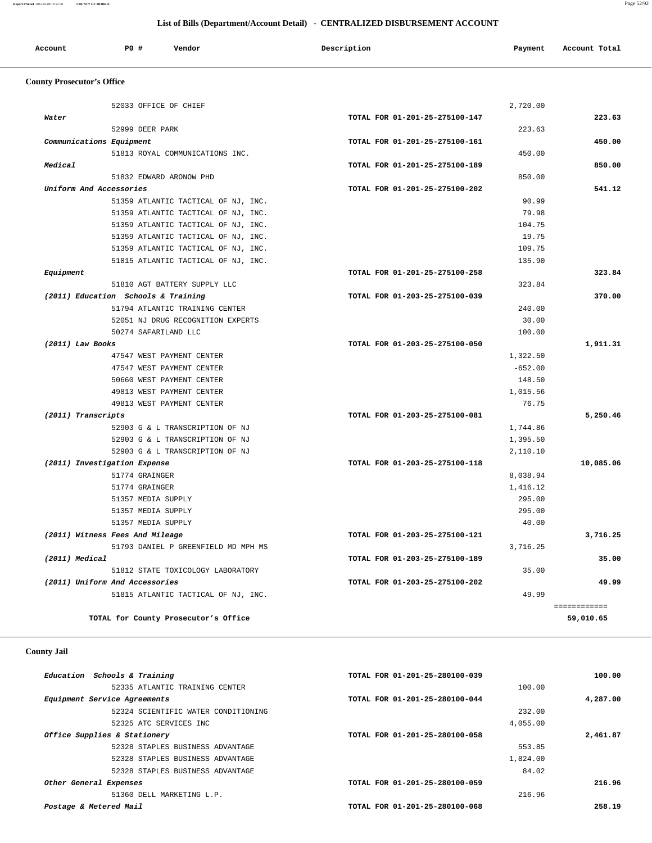| Account | P0 # | Vendor | Description | Payment | Account Total |
|---------|------|--------|-------------|---------|---------------|
|         |      |        |             |         |               |

# **County Prosecutor's Office**

| 52033 OFFICE OF CHIEF                | 2,720.00                       |              |
|--------------------------------------|--------------------------------|--------------|
| Water                                | TOTAL FOR 01-201-25-275100-147 | 223.63       |
| 52999 DEER PARK                      |                                | 223.63       |
| Communications Equipment             | TOTAL FOR 01-201-25-275100-161 | 450.00       |
| 51813 ROYAL COMMUNICATIONS INC.      |                                | 450.00       |
| Medical                              | TOTAL FOR 01-201-25-275100-189 | 850.00       |
| 51832 EDWARD ARONOW PHD              |                                | 850.00       |
| Uniform And Accessories              | TOTAL FOR 01-201-25-275100-202 | 541.12       |
| 51359 ATLANTIC TACTICAL OF NJ, INC.  |                                | 90.99        |
| 51359 ATLANTIC TACTICAL OF NJ, INC.  |                                | 79.98        |
| 51359 ATLANTIC TACTICAL OF NJ, INC.  |                                | 104.75       |
| 51359 ATLANTIC TACTICAL OF NJ, INC.  |                                | 19.75        |
| 51359 ATLANTIC TACTICAL OF NJ, INC.  |                                | 109.75       |
| 51815 ATLANTIC TACTICAL OF NJ, INC.  |                                | 135.90       |
| Equipment                            | TOTAL FOR 01-201-25-275100-258 | 323.84       |
| 51810 AGT BATTERY SUPPLY LLC         |                                | 323.84       |
| (2011) Education Schools & Training  | TOTAL FOR 01-203-25-275100-039 | 370.00       |
| 51794 ATLANTIC TRAINING CENTER       |                                | 240.00       |
| 52051 NJ DRUG RECOGNITION EXPERTS    |                                | 30.00        |
| 50274 SAFARILAND LLC                 |                                | 100.00       |
| (2011) Law Books                     | TOTAL FOR 01-203-25-275100-050 | 1,911.31     |
| 47547 WEST PAYMENT CENTER            | 1,322.50                       |              |
| 47547 WEST PAYMENT CENTER            | $-652.00$                      |              |
| 50660 WEST PAYMENT CENTER            | 148.50                         |              |
| 49813 WEST PAYMENT CENTER            | 1,015.56                       |              |
| 49813 WEST PAYMENT CENTER            |                                | 76.75        |
| (2011) Transcripts                   | TOTAL FOR 01-203-25-275100-081 | 5,250.46     |
| 52903 G & L TRANSCRIPTION OF NJ      | 1,744.86                       |              |
| 52903 G & L TRANSCRIPTION OF NJ      | 1,395.50                       |              |
| 52903 G & L TRANSCRIPTION OF NJ      | 2,110.10                       |              |
| (2011) Investigation Expense         | TOTAL FOR 01-203-25-275100-118 | 10,085.06    |
| 51774 GRAINGER                       | 8,038.94                       |              |
| 51774 GRAINGER                       | 1,416.12                       |              |
| 51357 MEDIA SUPPLY                   |                                | 295.00       |
| 51357 MEDIA SUPPLY                   |                                | 295.00       |
| 51357 MEDIA SUPPLY                   |                                | 40.00        |
| (2011) Witness Fees And Mileage      | TOTAL FOR 01-203-25-275100-121 | 3,716.25     |
| 51793 DANIEL P GREENFIELD MD MPH MS  | 3,716.25                       |              |
| (2011) Medical                       | TOTAL FOR 01-203-25-275100-189 | 35.00        |
| 51812 STATE TOXICOLOGY LABORATORY    |                                | 35.00        |
| (2011) Uniform And Accessories       | TOTAL FOR 01-203-25-275100-202 | 49.99        |
| 51815 ATLANTIC TACTICAL OF NJ, INC.  |                                | 49.99        |
|                                      |                                | ============ |
|                                      |                                |              |
| TOTAL for County Prosecutor's Office |                                | 59,010.65    |

# **County Jail**

| Education Schools & Training        | TOTAL FOR 01-201-25-280100-039 | 100.00   |
|-------------------------------------|--------------------------------|----------|
| 52335 ATLANTIC TRAINING CENTER      | 100.00                         |          |
| Equipment Service Agreements        | TOTAL FOR 01-201-25-280100-044 | 4,287.00 |
| 52324 SCIENTIFIC WATER CONDITIONING | 232.00                         |          |
| 52325 ATC SERVICES INC              | 4,055.00                       |          |
| Office Supplies & Stationery        | TOTAL FOR 01-201-25-280100-058 | 2,461.87 |
| 52328 STAPLES BUSINESS ADVANTAGE    | 553.85                         |          |
| 52328 STAPLES BUSINESS ADVANTAGE    | 1,824.00                       |          |
| 52328 STAPLES BUSINESS ADVANTAGE    | 84.02                          |          |
| Other General Expenses              | TOTAL FOR 01-201-25-280100-059 | 216.96   |
| 51360 DELL MARKETING L.P.           | 216.96                         |          |
| Postage & Metered Mail              | TOTAL FOR 01-201-25-280100-068 | 258.19   |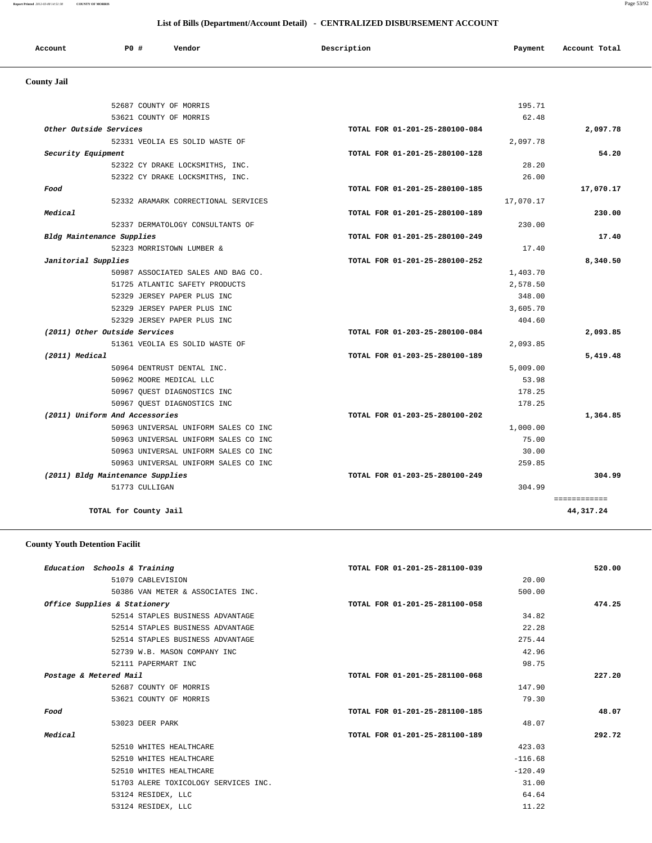| Account<br>. | <b>PO #</b> | Vendor | Description | Payment | Account Total |
|--------------|-------------|--------|-------------|---------|---------------|
|              |             |        |             |         |               |

# **County Jail**

|                                  | 52687 COUNTY OF MORRIS               |                                | 195.71    |              |
|----------------------------------|--------------------------------------|--------------------------------|-----------|--------------|
|                                  | 53621 COUNTY OF MORRIS               |                                | 62.48     |              |
| Other Outside Services           |                                      | TOTAL FOR 01-201-25-280100-084 |           | 2,097.78     |
|                                  | 52331 VEOLIA ES SOLID WASTE OF       |                                | 2,097.78  |              |
| Security Equipment               |                                      | TOTAL FOR 01-201-25-280100-128 |           | 54.20        |
|                                  | 52322 CY DRAKE LOCKSMITHS, INC.      |                                | 28.20     |              |
|                                  | 52322 CY DRAKE LOCKSMITHS, INC.      |                                | 26.00     |              |
| Food                             |                                      | TOTAL FOR 01-201-25-280100-185 |           | 17,070.17    |
|                                  | 52332 ARAMARK CORRECTIONAL SERVICES  |                                | 17,070.17 |              |
| Medical                          |                                      | TOTAL FOR 01-201-25-280100-189 |           | 230.00       |
|                                  | 52337 DERMATOLOGY CONSULTANTS OF     |                                | 230.00    |              |
| Bldg Maintenance Supplies        |                                      | TOTAL FOR 01-201-25-280100-249 |           | 17.40        |
|                                  | 52323 MORRISTOWN LUMBER &            |                                | 17.40     |              |
| Janitorial Supplies              |                                      | TOTAL FOR 01-201-25-280100-252 |           | 8,340.50     |
|                                  | 50987 ASSOCIATED SALES AND BAG CO.   |                                | 1,403.70  |              |
|                                  | 51725 ATLANTIC SAFETY PRODUCTS       |                                | 2,578.50  |              |
|                                  | 52329 JERSEY PAPER PLUS INC          |                                | 348.00    |              |
|                                  | 52329 JERSEY PAPER PLUS INC          |                                | 3,605.70  |              |
|                                  | 52329 JERSEY PAPER PLUS INC          |                                | 404.60    |              |
| (2011) Other Outside Services    |                                      | TOTAL FOR 01-203-25-280100-084 |           | 2,093.85     |
|                                  | 51361 VEOLIA ES SOLID WASTE OF       |                                | 2,093.85  |              |
| (2011) Medical                   |                                      | TOTAL FOR 01-203-25-280100-189 |           | 5,419.48     |
|                                  | 50964 DENTRUST DENTAL INC.           |                                | 5,009.00  |              |
|                                  | 50962 MOORE MEDICAL LLC              |                                | 53.98     |              |
|                                  | 50967 QUEST DIAGNOSTICS INC          |                                | 178.25    |              |
|                                  | 50967 OUEST DIAGNOSTICS INC          |                                | 178.25    |              |
| (2011) Uniform And Accessories   |                                      | TOTAL FOR 01-203-25-280100-202 |           | 1,364.85     |
|                                  | 50963 UNIVERSAL UNIFORM SALES CO INC |                                | 1,000.00  |              |
|                                  | 50963 UNIVERSAL UNIFORM SALES CO INC |                                | 75.00     |              |
|                                  | 50963 UNIVERSAL UNIFORM SALES CO INC |                                | 30.00     |              |
|                                  | 50963 UNIVERSAL UNIFORM SALES CO INC |                                | 259.85    |              |
| (2011) Bldg Maintenance Supplies |                                      | TOTAL FOR 01-203-25-280100-249 |           | 304.99       |
| 51773 CULLIGAN                   |                                      |                                | 304.99    |              |
|                                  |                                      |                                |           | ============ |
| TOTAL for County Jail            |                                      |                                |           | 44,317.24    |

# **County Youth Detention Facilit**

|         | Education Schools & Training         | TOTAL FOR 01-201-25-281100-039 | 520.00 |
|---------|--------------------------------------|--------------------------------|--------|
|         | 51079 CABLEVISION                    | 20.00                          |        |
|         | 50386 VAN METER & ASSOCIATES INC.    | 500.00                         |        |
|         | Office Supplies & Stationery         | TOTAL FOR 01-201-25-281100-058 | 474.25 |
|         | 52514 STAPLES BUSINESS ADVANTAGE     | 34.82                          |        |
|         | 52514 STAPLES BUSINESS ADVANTAGE     | 22.28                          |        |
|         | 52514 STAPLES BUSINESS ADVANTAGE     | 275.44                         |        |
|         | 52739 W.B. MASON COMPANY INC         | 42.96                          |        |
|         | 52111 PAPERMART INC                  | 98.75                          |        |
|         | Postage & Metered Mail               | TOTAL FOR 01-201-25-281100-068 | 227.20 |
|         | 52687 COUNTY OF MORRIS               | 147.90                         |        |
|         | 53621 COUNTY OF MORRIS               | 79.30                          |        |
| Food    |                                      | TOTAL FOR 01-201-25-281100-185 | 48.07  |
|         | 53023 DEER PARK                      | 48.07                          |        |
| Medical |                                      | TOTAL FOR 01-201-25-281100-189 | 292.72 |
|         | 52510 WHITES HEALTHCARE              | 423.03                         |        |
|         | 52510 WHITES HEALTHCARE              | $-116.68$                      |        |
|         | 52510 WHITES HEALTHCARE              | $-120.49$                      |        |
|         | 51703 ALERE TOXICOLOGY SERVICES INC. | 31.00                          |        |
|         | 53124 RESIDEX, LLC                   | 64.64                          |        |
|         | 53124 RESIDEX, LLC                   | 11.22                          |        |
|         |                                      |                                |        |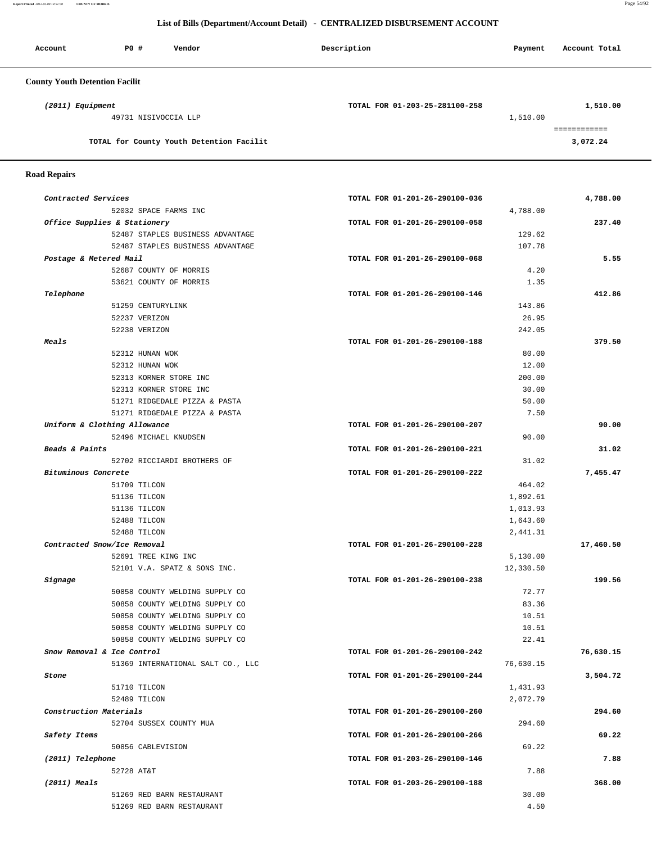**Report Printed** *2012-03-08 14:51:38* **COUNTY OF MORRIS** Page 54/92

# **List of Bills (Department/Account Detail) - CENTRALIZED DISBURSEMENT ACCOUNT**

| Account                               | P0 #                 | Vendor                                   | Description                    | Payment  | Account Total            |
|---------------------------------------|----------------------|------------------------------------------|--------------------------------|----------|--------------------------|
| <b>County Youth Detention Facilit</b> |                      |                                          |                                |          |                          |
| (2011) Equipment                      |                      |                                          | TOTAL FOR 01-203-25-281100-258 |          | 1,510.00                 |
|                                       | 49731 NISIVOCCIA LLP |                                          |                                | 1,510.00 |                          |
|                                       |                      | TOTAL for County Youth Detention Facilit |                                |          | ============<br>3,072.24 |
|                                       |                      |                                          |                                |          |                          |

 **Road Repairs** 

| Contracted Services               | TOTAL FOR 01-201-26-290100-036 | 4,788.00  |
|-----------------------------------|--------------------------------|-----------|
| 52032 SPACE FARMS INC             | 4,788.00                       |           |
| Office Supplies & Stationery      | TOTAL FOR 01-201-26-290100-058 | 237.40    |
| 52487 STAPLES BUSINESS ADVANTAGE  | 129.62                         |           |
| 52487 STAPLES BUSINESS ADVANTAGE  | 107.78                         |           |
| Postage & Metered Mail            | TOTAL FOR 01-201-26-290100-068 |           |
| 52687 COUNTY OF MORRIS            | 4.20                           |           |
| 53621 COUNTY OF MORRIS            | 1.35                           |           |
| Telephone                         | TOTAL FOR 01-201-26-290100-146 | 412.86    |
| 51259 CENTURYLINK                 | 143.86                         |           |
| 52237 VERIZON                     | 26.95                          |           |
| 52238 VERIZON                     | 242.05                         |           |
| <i><b>Meals</b></i>               | TOTAL FOR 01-201-26-290100-188 | 379.50    |
| 52312 HUNAN WOK                   | 80.00                          |           |
| 52312 HUNAN WOK                   | 12.00                          |           |
| 52313 KORNER STORE INC            | 200.00                         |           |
| 52313 KORNER STORE INC            | 30.00                          |           |
| 51271 RIDGEDALE PIZZA & PASTA     | 50.00                          |           |
| 51271 RIDGEDALE PIZZA & PASTA     | 7.50                           |           |
| Uniform & Clothing Allowance      | TOTAL FOR 01-201-26-290100-207 |           |
| 52496 MICHAEL KNUDSEN             | 90.00                          |           |
| Beads & Paints                    |                                |           |
|                                   | TOTAL FOR 01-201-26-290100-221 |           |
| 52702 RICCIARDI BROTHERS OF       | 31.02                          |           |
| Bituminous Concrete               | TOTAL FOR 01-201-26-290100-222 | 7,455.47  |
| 51709 TILCON                      | 464.02                         |           |
| 51136 TILCON                      | 1,892.61                       |           |
| 51136 TILCON                      | 1,013.93                       |           |
| 52488 TILCON                      | 1,643.60                       |           |
| 52488 TILCON                      | 2,441.31                       |           |
| Contracted Snow/Ice Removal       | TOTAL FOR 01-201-26-290100-228 | 17,460.50 |
| 52691 TREE KING INC               | 5,130.00                       |           |
| 52101 V.A. SPATZ & SONS INC.      | 12,330.50                      |           |
| Signage                           | TOTAL FOR 01-201-26-290100-238 | 199.56    |
| 50858 COUNTY WELDING SUPPLY CO    | 72.77                          |           |
| 50858 COUNTY WELDING SUPPLY CO    | 83.36                          |           |
| 50858 COUNTY WELDING SUPPLY CO    | 10.51                          |           |
| 50858 COUNTY WELDING SUPPLY CO    | 10.51                          |           |
| 50858 COUNTY WELDING SUPPLY CO    | 22.41                          |           |
| Snow Removal & Ice Control        | TOTAL FOR 01-201-26-290100-242 | 76,630.15 |
| 51369 INTERNATIONAL SALT CO., LLC | 76,630.15                      |           |
| Stone                             | TOTAL FOR 01-201-26-290100-244 | 3,504.72  |
| 51710 TILCON                      | 1,431.93                       |           |
| 52489 TILCON                      | 2,072.79                       |           |
| Construction Materials            | TOTAL FOR 01-201-26-290100-260 | 294.60    |
| 52704 SUSSEX COUNTY MUA           | 294.60                         |           |
| Safety Items                      | TOTAL FOR 01-201-26-290100-266 |           |
| 50856 CABLEVISION                 | 69.22                          |           |
| (2011) Telephone                  | TOTAL FOR 01-203-26-290100-146 |           |
| 52728 AT&T                        | 7.88                           |           |
| $(2011)$ Meals                    | TOTAL FOR 01-203-26-290100-188 | 368.00    |
|                                   |                                |           |
| 51269 RED BARN RESTAURANT         | 30.00                          |           |
| 51269 RED BARN RESTAURANT         | 4.50                           |           |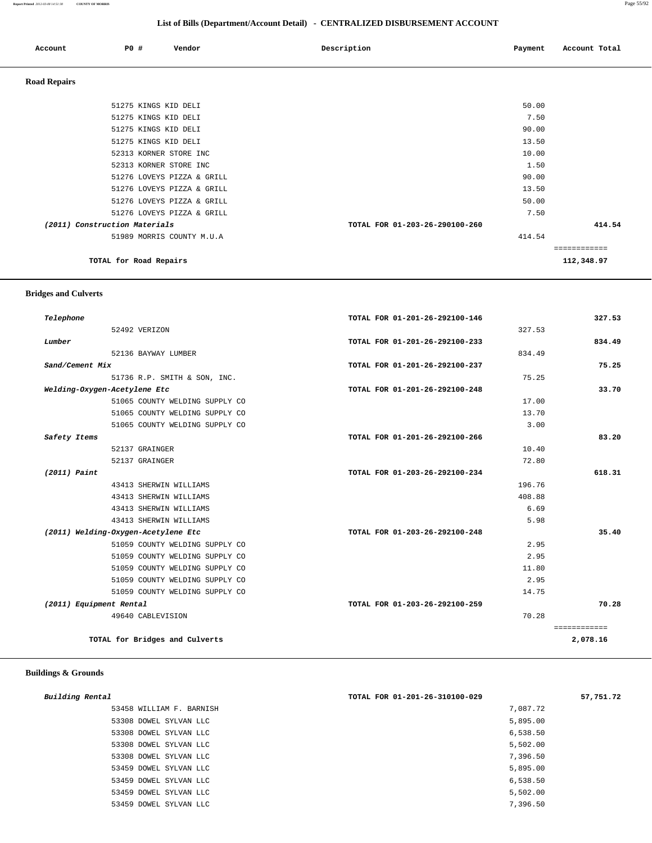### **Report Printed** *2012-03-08 14:51:38* **COUNTY OF MORRIS** Page 55/92

| List of Bills (Department/Account Detail) - CENTRALIZED DISBURSEMENT ACCOUNT |  |
|------------------------------------------------------------------------------|--|
|------------------------------------------------------------------------------|--|

| Account             | <b>PO #</b>                                    | Vendor                                                   | Description                    | Payment        | Account Total |
|---------------------|------------------------------------------------|----------------------------------------------------------|--------------------------------|----------------|---------------|
| <b>Road Repairs</b> |                                                |                                                          |                                |                |               |
|                     | 51275 KINGS KID DELI                           |                                                          |                                | 50.00          |               |
|                     | 51275 KINGS KID DELI<br>51275 KINGS KID DELI   |                                                          |                                | 7.50<br>90.00  |               |
|                     | 51275 KINGS KID DELI<br>52313 KORNER STORE INC |                                                          |                                | 13.50<br>10.00 |               |
|                     | 52313 KORNER STORE INC                         |                                                          |                                | 1.50           |               |
|                     |                                                | 51276 LOVEYS PIZZA & GRILL<br>51276 LOVEYS PIZZA & GRILL |                                | 90.00<br>13.50 |               |
|                     |                                                | 51276 LOVEYS PIZZA & GRILL                               |                                | 50.00          |               |
|                     | (2011) Construction Materials                  | 51276 LOVEYS PIZZA & GRILL                               | TOTAL FOR 01-203-26-290100-260 | 7.50           | 414.54        |
|                     |                                                | 51989 MORRIS COUNTY M.U.A                                |                                | 414.54         | ============  |
|                     | TOTAL for Road Repairs                         |                                                          |                                |                | 112,348.97    |

## **Bridges and Culverts**

| Telephone               |                                     | TOTAL FOR 01-201-26-292100-146 | 327.53 |
|-------------------------|-------------------------------------|--------------------------------|--------|
|                         | 52492 VERIZON                       |                                | 327.53 |
| Lumber                  |                                     | TOTAL FOR 01-201-26-292100-233 | 834.49 |
|                         | 52136 BAYWAY LUMBER                 |                                | 834.49 |
| Sand/Cement Mix         |                                     | TOTAL FOR 01-201-26-292100-237 | 75.25  |
|                         | 51736 R.P. SMITH & SON, INC.        |                                | 75.25  |
|                         | Welding-Oxygen-Acetylene Etc        | TOTAL FOR 01-201-26-292100-248 | 33.70  |
|                         | 51065 COUNTY WELDING SUPPLY CO      |                                | 17.00  |
|                         | 51065 COUNTY WELDING SUPPLY CO      |                                | 13.70  |
|                         | 51065 COUNTY WELDING SUPPLY CO      |                                | 3.00   |
| Safety Items            |                                     | TOTAL FOR 01-201-26-292100-266 | 83.20  |
|                         | 52137 GRAINGER                      |                                | 10.40  |
|                         | 52137 GRAINGER                      |                                | 72.80  |
| $(2011)$ Paint          |                                     | TOTAL FOR 01-203-26-292100-234 | 618.31 |
|                         | 43413 SHERWIN WILLIAMS              |                                | 196.76 |
|                         | 43413 SHERWIN WILLIAMS              |                                | 408.88 |
|                         | 43413 SHERWIN WILLIAMS              |                                | 6.69   |
|                         | 43413 SHERWIN WILLIAMS              |                                | 5.98   |
|                         | (2011) Welding-Oxygen-Acetylene Etc | TOTAL FOR 01-203-26-292100-248 | 35.40  |
|                         | 51059 COUNTY WELDING SUPPLY CO      |                                | 2.95   |
|                         | 51059 COUNTY WELDING SUPPLY CO      |                                | 2.95   |
|                         | 51059 COUNTY WELDING SUPPLY CO      |                                | 11.80  |
|                         | 51059 COUNTY WELDING SUPPLY CO      |                                | 2.95   |
|                         | 51059 COUNTY WELDING SUPPLY CO      |                                | 14.75  |
| (2011) Equipment Rental |                                     | TOTAL FOR 01-203-26-292100-259 | 70.28  |
|                         | 49640 CABLEVISION                   |                                | 70.28  |

# **Buildings & Grounds**

| Building Rental          | TOTAL FOR 01-201-26-310100-029 | 57,751.72 |
|--------------------------|--------------------------------|-----------|
| 53458 WILLIAM F. BARNISH | 7,087.72                       |           |
| 53308 DOWEL SYLVAN LLC   | 5,895.00                       |           |
| 53308 DOWEL SYLVAN LLC   | 6,538.50                       |           |
| 53308 DOWEL SYLVAN LLC   | 5,502.00                       |           |
| 53308 DOWEL SYLVAN LLC   | 7,396.50                       |           |
| 53459 DOWEL SYLVAN LLC   | 5,895.00                       |           |
| 53459 DOWEL SYLVAN LLC   | 6,538.50                       |           |
| 53459 DOWEL SYLVAN LLC   | 5,502.00                       |           |
| 53459 DOWEL SYLVAN LLC   | 7,396.50                       |           |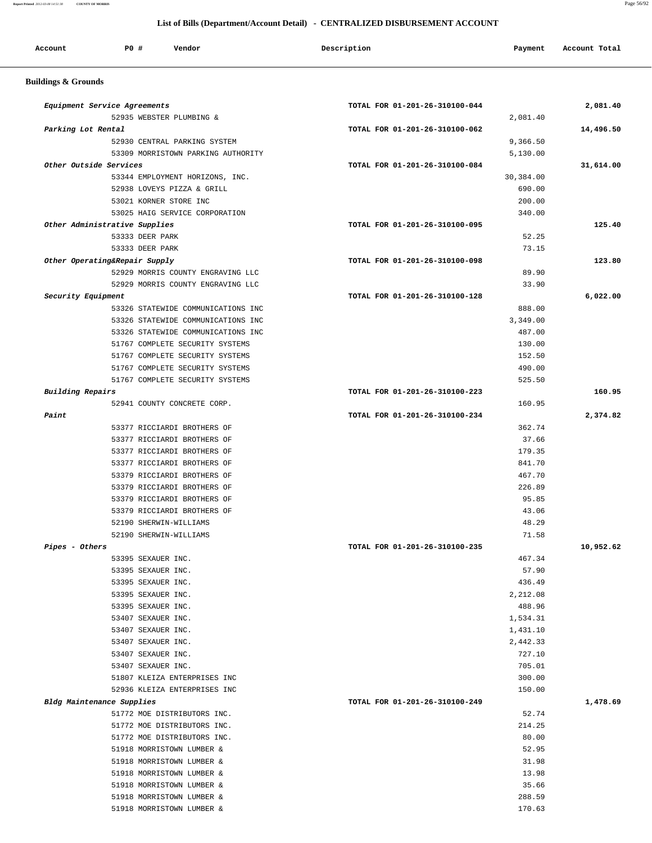### **Report Printed** *2012-03-08 14:51:38* **COUNTY OF MORRIS** Page 56/92

L,

| Account                        | <b>PO #</b><br>Vendor                                                    | Description                    | Payment        | Account Total |
|--------------------------------|--------------------------------------------------------------------------|--------------------------------|----------------|---------------|
| <b>Buildings &amp; Grounds</b> |                                                                          |                                |                |               |
|                                | Equipment Service Agreements                                             | TOTAL FOR 01-201-26-310100-044 |                | 2,081.40      |
|                                | 52935 WEBSTER PLUMBING &                                                 |                                | 2,081.40       |               |
| Parking Lot Rental             |                                                                          | TOTAL FOR 01-201-26-310100-062 |                | 14,496.50     |
|                                | 52930 CENTRAL PARKING SYSTEM                                             |                                | 9,366.50       |               |
|                                | 53309 MORRISTOWN PARKING AUTHORITY                                       |                                | 5,130.00       |               |
|                                | Other Outside Services                                                   | TOTAL FOR 01-201-26-310100-084 |                | 31,614.00     |
|                                | 53344 EMPLOYMENT HORIZONS, INC.                                          |                                | 30,384.00      |               |
|                                | 52938 LOVEYS PIZZA & GRILL                                               |                                | 690.00         |               |
|                                | 53021 KORNER STORE INC                                                   |                                | 200.00         |               |
|                                | 53025 HAIG SERVICE CORPORATION                                           |                                | 340.00         |               |
|                                | Other Administrative Supplies                                            | TOTAL FOR 01-201-26-310100-095 |                | 125.40        |
|                                | 53333 DEER PARK                                                          |                                | 52.25          |               |
|                                | 53333 DEER PARK                                                          |                                | 73.15          |               |
|                                | Other Operating&Repair Supply                                            | TOTAL FOR 01-201-26-310100-098 |                | 123.80        |
|                                | 52929 MORRIS COUNTY ENGRAVING LLC                                        |                                | 89.90          |               |
|                                | 52929 MORRIS COUNTY ENGRAVING LLC                                        |                                | 33.90          | 6,022.00      |
| <i>Security Equipment</i>      | 53326 STATEWIDE COMMUNICATIONS INC                                       | TOTAL FOR 01-201-26-310100-128 | 888.00         |               |
|                                |                                                                          |                                | 3,349.00       |               |
|                                | 53326 STATEWIDE COMMUNICATIONS INC<br>53326 STATEWIDE COMMUNICATIONS INC |                                | 487.00         |               |
|                                | 51767 COMPLETE SECURITY SYSTEMS                                          |                                | 130.00         |               |
|                                | 51767 COMPLETE SECURITY SYSTEMS                                          |                                | 152.50         |               |
|                                | 51767 COMPLETE SECURITY SYSTEMS                                          |                                | 490.00         |               |
|                                | 51767 COMPLETE SECURITY SYSTEMS                                          |                                | 525.50         |               |
| Building Repairs               |                                                                          | TOTAL FOR 01-201-26-310100-223 |                | 160.95        |
|                                | 52941 COUNTY CONCRETE CORP.                                              |                                | 160.95         |               |
| Paint                          |                                                                          | TOTAL FOR 01-201-26-310100-234 |                | 2,374.82      |
|                                | 53377 RICCIARDI BROTHERS OF                                              |                                | 362.74         |               |
|                                | 53377 RICCIARDI BROTHERS OF                                              |                                | 37.66          |               |
|                                | 53377 RICCIARDI BROTHERS OF                                              |                                | 179.35         |               |
|                                | 53377 RICCIARDI BROTHERS OF                                              |                                | 841.70         |               |
|                                | 53379 RICCIARDI BROTHERS OF                                              |                                | 467.70         |               |
|                                | 53379 RICCIARDI BROTHERS OF                                              |                                | 226.89         |               |
|                                | 53379 RICCIARDI BROTHERS OF                                              |                                | 95.85          |               |
|                                | 53379 RICCIARDI BROTHERS OF                                              |                                | 43.06          |               |
|                                | 52190 SHERWIN-WILLIAMS                                                   |                                | 48.29          |               |
|                                | 52190 SHERWIN-WILLIAMS                                                   |                                | 71.58          |               |
| Pipes - Others                 |                                                                          | TOTAL FOR 01-201-26-310100-235 |                | 10,952.62     |
|                                | 53395 SEXAUER INC.                                                       |                                | 467.34         |               |
|                                | 53395 SEXAUER INC.                                                       |                                | 57.90          |               |
|                                | 53395 SEXAUER INC.                                                       |                                | 436.49         |               |
|                                | 53395 SEXAUER INC.                                                       |                                | 2,212.08       |               |
|                                | 53395 SEXAUER INC.                                                       |                                | 488.96         |               |
|                                | 53407 SEXAUER INC.                                                       |                                | 1,534.31       |               |
|                                | 53407 SEXAUER INC.                                                       |                                | 1,431.10       |               |
|                                | 53407 SEXAUER INC.                                                       |                                | 2,442.33       |               |
|                                | 53407 SEXAUER INC.                                                       |                                | 727.10         |               |
|                                | 53407 SEXAUER INC.                                                       |                                | 705.01         |               |
|                                | 51807 KLEIZA ENTERPRISES INC                                             |                                | 300.00         |               |
|                                | 52936 KLEIZA ENTERPRISES INC                                             |                                | 150.00         |               |
|                                | Bldg Maintenance Supplies                                                | TOTAL FOR 01-201-26-310100-249 |                | 1,478.69      |
|                                | 51772 MOE DISTRIBUTORS INC.                                              |                                | 52.74          |               |
|                                | 51772 MOE DISTRIBUTORS INC.                                              |                                | 214.25         |               |
|                                | 51772 MOE DISTRIBUTORS INC.                                              |                                | 80.00          |               |
|                                | 51918 MORRISTOWN LUMBER &                                                |                                | 52.95          |               |
|                                | 51918 MORRISTOWN LUMBER &                                                |                                | 31.98<br>13.98 |               |
|                                | 51918 MORRISTOWN LUMBER &<br>51918 MORRISTOWN LUMBER &                   |                                | 35.66          |               |
|                                |                                                                          |                                |                |               |
|                                | 51918 MORRISTOWN LUMBER &                                                |                                | 288.59         |               |

51918 MORRISTOWN LUMBER & 170.63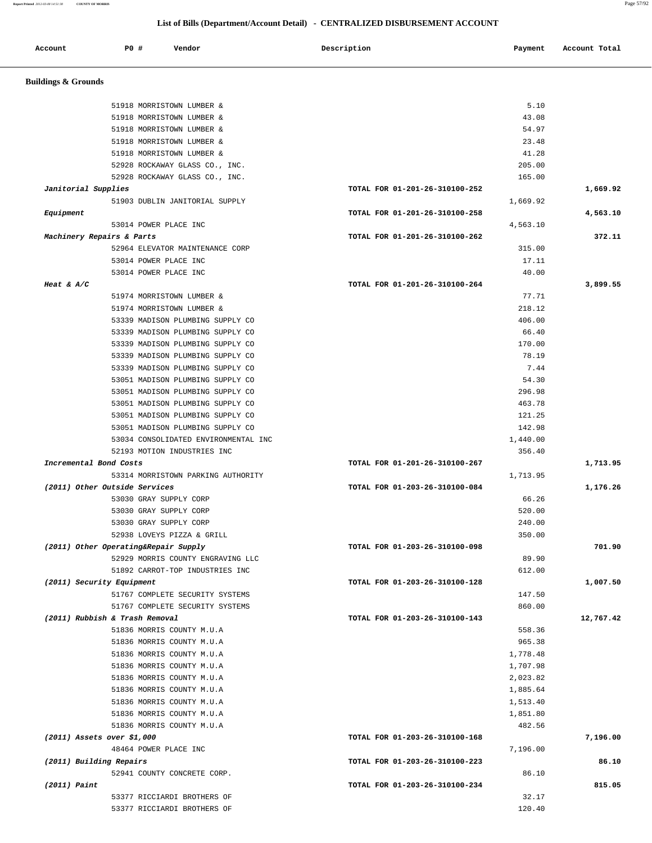**Report Printed** *2012-03-08 14:51:38* **COUNTY OF MORRIS** Page 57/92

# **List of Bills (Department/Account Detail) - CENTRALIZED DISBURSEMENT ACCOUNT**

| Account                              | <b>PO #</b> | Vendor                                                               | Description                    | Payment              | Account Total |
|--------------------------------------|-------------|----------------------------------------------------------------------|--------------------------------|----------------------|---------------|
| <b>Buildings &amp; Grounds</b>       |             |                                                                      |                                |                      |               |
|                                      |             | 51918 MORRISTOWN LUMBER &                                            |                                | 5.10                 |               |
|                                      |             | 51918 MORRISTOWN LUMBER &                                            |                                | 43.08                |               |
|                                      |             | 51918 MORRISTOWN LUMBER &                                            |                                | 54.97                |               |
|                                      |             | 51918 MORRISTOWN LUMBER &                                            |                                | 23.48                |               |
|                                      |             | 51918 MORRISTOWN LUMBER &                                            |                                | 41.28                |               |
|                                      |             | 52928 ROCKAWAY GLASS CO., INC.                                       |                                | 205.00               |               |
|                                      |             | 52928 ROCKAWAY GLASS CO., INC.                                       |                                | 165.00               |               |
| Janitorial Supplies                  |             |                                                                      | TOTAL FOR 01-201-26-310100-252 |                      | 1,669.92      |
|                                      |             | 51903 DUBLIN JANITORIAL SUPPLY                                       |                                | 1,669.92             |               |
| Equipment                            |             |                                                                      | TOTAL FOR 01-201-26-310100-258 |                      | 4,563.10      |
| Machinery Repairs & Parts            |             | 53014 POWER PLACE INC                                                | TOTAL FOR 01-201-26-310100-262 | 4,563.10             | 372.11        |
|                                      |             | 52964 ELEVATOR MAINTENANCE CORP                                      |                                | 315.00               |               |
|                                      |             | 53014 POWER PLACE INC                                                |                                | 17.11                |               |
|                                      |             | 53014 POWER PLACE INC                                                |                                | 40.00                |               |
| Heat & $A/C$                         |             |                                                                      | TOTAL FOR 01-201-26-310100-264 |                      | 3,899.55      |
|                                      |             | 51974 MORRISTOWN LUMBER &                                            |                                | 77.71                |               |
|                                      |             | 51974 MORRISTOWN LUMBER &                                            |                                | 218.12               |               |
|                                      |             | 53339 MADISON PLUMBING SUPPLY CO                                     |                                | 406.00               |               |
|                                      |             | 53339 MADISON PLUMBING SUPPLY CO                                     |                                | 66.40                |               |
|                                      |             | 53339 MADISON PLUMBING SUPPLY CO                                     |                                | 170.00               |               |
|                                      |             | 53339 MADISON PLUMBING SUPPLY CO                                     |                                | 78.19                |               |
|                                      |             | 53339 MADISON PLUMBING SUPPLY CO                                     |                                | 7.44                 |               |
|                                      |             | 53051 MADISON PLUMBING SUPPLY CO                                     |                                | 54.30                |               |
|                                      |             | 53051 MADISON PLUMBING SUPPLY CO<br>53051 MADISON PLUMBING SUPPLY CO |                                | 296.98<br>463.78     |               |
|                                      |             | 53051 MADISON PLUMBING SUPPLY CO                                     |                                | 121.25               |               |
|                                      |             | 53051 MADISON PLUMBING SUPPLY CO                                     |                                | 142.98               |               |
|                                      |             | 53034 CONSOLIDATED ENVIRONMENTAL INC                                 |                                | 1,440.00             |               |
|                                      |             | 52193 MOTION INDUSTRIES INC                                          |                                | 356.40               |               |
| Incremental Bond Costs               |             |                                                                      | TOTAL FOR 01-201-26-310100-267 |                      | 1,713.95      |
|                                      |             | 53314 MORRISTOWN PARKING AUTHORITY                                   |                                | 1,713.95             |               |
| (2011) Other Outside Services        |             |                                                                      | TOTAL FOR 01-203-26-310100-084 |                      | 1,176.26      |
|                                      |             | 53030 GRAY SUPPLY CORP                                               |                                | 66.26                |               |
|                                      |             | 53030 GRAY SUPPLY CORP                                               |                                | 520.00               |               |
|                                      |             | 53030 GRAY SUPPLY CORP<br>52938 LOVEYS PIZZA & GRILL                 |                                | 240.00<br>350.00     |               |
| (2011) Other Operating&Repair Supply |             |                                                                      | TOTAL FOR 01-203-26-310100-098 |                      | 701.90        |
|                                      |             | 52929 MORRIS COUNTY ENGRAVING LLC                                    |                                | 89.90                |               |
|                                      |             | 51892 CARROT-TOP INDUSTRIES INC                                      |                                | 612.00               |               |
| (2011) Security Equipment            |             |                                                                      | TOTAL FOR 01-203-26-310100-128 |                      | 1,007.50      |
|                                      |             | 51767 COMPLETE SECURITY SYSTEMS                                      |                                | 147.50               |               |
|                                      |             | 51767 COMPLETE SECURITY SYSTEMS                                      |                                | 860.00               |               |
| (2011) Rubbish & Trash Removal       |             |                                                                      | TOTAL FOR 01-203-26-310100-143 |                      | 12,767.42     |
|                                      |             | 51836 MORRIS COUNTY M.U.A                                            |                                | 558.36               |               |
|                                      |             | 51836 MORRIS COUNTY M.U.A                                            |                                | 965.38               |               |
|                                      |             | 51836 MORRIS COUNTY M.U.A                                            |                                | 1,778.48             |               |
|                                      |             | 51836 MORRIS COUNTY M.U.A<br>51836 MORRIS COUNTY M.U.A               |                                | 1,707.98             |               |
|                                      |             | 51836 MORRIS COUNTY M.U.A                                            |                                | 2,023.82<br>1,885.64 |               |
|                                      |             | 51836 MORRIS COUNTY M.U.A                                            |                                | 1,513.40             |               |
|                                      |             | 51836 MORRIS COUNTY M.U.A                                            |                                | 1,851.80             |               |
|                                      |             | 51836 MORRIS COUNTY M.U.A                                            |                                | 482.56               |               |
| $(2011)$ Assets over \$1,000         |             |                                                                      | TOTAL FOR 01-203-26-310100-168 |                      | 7,196.00      |
|                                      |             | 48464 POWER PLACE INC                                                |                                | 7,196.00             |               |
| (2011) Building Repairs              |             |                                                                      | TOTAL FOR 01-203-26-310100-223 |                      | 86.10         |
|                                      |             | 52941 COUNTY CONCRETE CORP.                                          |                                | 86.10                |               |
| $(2011)$ Paint                       |             |                                                                      | TOTAL FOR 01-203-26-310100-234 |                      | 815.05        |
|                                      |             | 53377 RICCIARDI BROTHERS OF                                          |                                | 32.17                |               |
|                                      |             | 53377 RICCIARDI BROTHERS OF                                          |                                | 120.40               |               |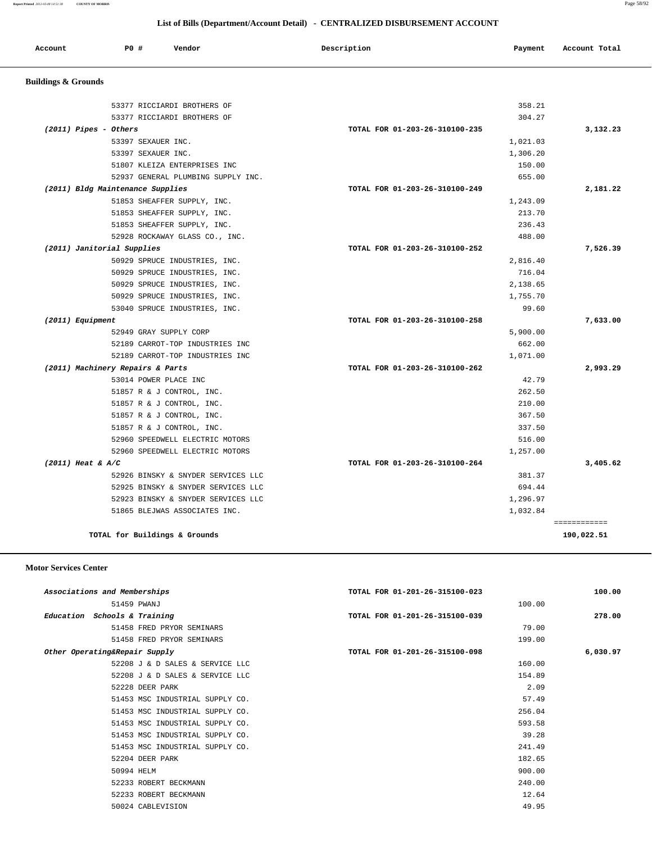============

| List of Bills (Department/Account Detail) - CENTRALIZED DISBURSEMENT ACCOUNT |                                    |                                |          |               |
|------------------------------------------------------------------------------|------------------------------------|--------------------------------|----------|---------------|
| Account                                                                      | P0 #<br>Vendor                     | Description                    | Payment  | Account Total |
| <b>Buildings &amp; Grounds</b>                                               |                                    |                                |          |               |
|                                                                              | 53377 RICCIARDI BROTHERS OF        |                                | 358.21   |               |
|                                                                              | 53377 RICCIARDI BROTHERS OF        |                                | 304.27   |               |
| $(2011)$ Pipes - Others                                                      |                                    | TOTAL FOR 01-203-26-310100-235 |          | 3,132.23      |
|                                                                              | 53397 SEXAUER INC.                 |                                | 1,021.03 |               |
|                                                                              | 53397 SEXAUER INC.                 |                                | 1,306.20 |               |
|                                                                              | 51807 KLEIZA ENTERPRISES INC       |                                | 150.00   |               |
|                                                                              | 52937 GENERAL PLUMBING SUPPLY INC. |                                | 655.00   |               |
|                                                                              | (2011) Bldg Maintenance Supplies   | TOTAL FOR 01-203-26-310100-249 |          | 2,181.22      |
|                                                                              | 51853 SHEAFFER SUPPLY, INC.        |                                | 1,243.09 |               |
|                                                                              | 51853 SHEAFFER SUPPLY, INC.        |                                | 213.70   |               |
|                                                                              | 51853 SHEAFFER SUPPLY, INC.        |                                | 236.43   |               |
|                                                                              | 52928 ROCKAWAY GLASS CO., INC.     |                                | 488.00   |               |
|                                                                              | (2011) Janitorial Supplies         | TOTAL FOR 01-203-26-310100-252 |          | 7,526.39      |
|                                                                              | 50929 SPRUCE INDUSTRIES, INC.      |                                | 2,816.40 |               |
|                                                                              | 50929 SPRUCE INDUSTRIES, INC.      |                                | 716.04   |               |
|                                                                              | 50929 SPRUCE INDUSTRIES, INC.      |                                | 2,138.65 |               |
|                                                                              | 50929 SPRUCE INDUSTRIES, INC.      |                                | 1,755.70 |               |
|                                                                              | 53040 SPRUCE INDUSTRIES, INC.      |                                | 99.60    |               |
| (2011) Equipment                                                             |                                    | TOTAL FOR 01-203-26-310100-258 |          | 7,633.00      |
|                                                                              | 52949 GRAY SUPPLY CORP             |                                | 5,900.00 |               |
|                                                                              | 52189 CARROT-TOP INDUSTRIES INC    |                                | 662.00   |               |
|                                                                              | 52189 CARROT-TOP INDUSTRIES INC    |                                | 1,071.00 |               |
|                                                                              | (2011) Machinery Repairs & Parts   | TOTAL FOR 01-203-26-310100-262 |          | 2,993.29      |
|                                                                              | 53014 POWER PLACE INC              |                                | 42.79    |               |
|                                                                              | 51857 R & J CONTROL, INC.          |                                | 262.50   |               |
|                                                                              | 51857 R & J CONTROL, INC.          |                                | 210.00   |               |
|                                                                              | 51857 R & J CONTROL, INC.          |                                | 367.50   |               |
|                                                                              | 51857 R & J CONTROL, INC.          |                                | 337.50   |               |
|                                                                              | 52960 SPEEDWELL ELECTRIC MOTORS    |                                | 516.00   |               |
|                                                                              | 52960 SPEEDWELL ELECTRIC MOTORS    |                                | 1,257.00 |               |
| $(2011)$ Heat & A/C                                                          |                                    | TOTAL FOR 01-203-26-310100-264 |          | 3,405.62      |
|                                                                              | 52926 BINSKY & SNYDER SERVICES LLC |                                | 381.37   |               |
|                                                                              | 52925 BINSKY & SNYDER SERVICES LLC |                                | 694.44   |               |
|                                                                              | 52923 BINSKY & SNYDER SERVICES LLC |                                | 1,296.97 |               |

**TOTAL for Buildings & Grounds 190,022.51**

### **Motor Services Center**

| Associations and Memberships    | TOTAL FOR 01-201-26-315100-023 | 100.00   |
|---------------------------------|--------------------------------|----------|
| 51459 PWANJ                     | 100.00                         |          |
| Education Schools & Training    | TOTAL FOR 01-201-26-315100-039 | 278.00   |
| 51458 FRED PRYOR SEMINARS       | 79.00                          |          |
| 51458 FRED PRYOR SEMINARS       | 199.00                         |          |
| Other Operating&Repair Supply   | TOTAL FOR 01-201-26-315100-098 | 6,030.97 |
| 52208 J & D SALES & SERVICE LLC | 160.00                         |          |
| 52208 J & D SALES & SERVICE LLC | 154.89                         |          |
| 52228 DEER PARK                 | 2.09                           |          |
| 51453 MSC INDUSTRIAL SUPPLY CO. | 57.49                          |          |
| 51453 MSC INDUSTRIAL SUPPLY CO. | 256.04                         |          |
| 51453 MSC INDUSTRIAL SUPPLY CO. | 593.58                         |          |
| 51453 MSC INDUSTRIAL SUPPLY CO. | 39.28                          |          |
| 51453 MSC INDUSTRIAL SUPPLY CO. | 241.49                         |          |
| 52204 DEER PARK                 | 182.65                         |          |
| 50994 HELM                      | 900.00                         |          |
| 52233 ROBERT BECKMANN           | 240.00                         |          |
| 52233 ROBERT BECKMANN           | 12.64                          |          |
| 50024 CABLEVISION               | 49.95                          |          |

51865 BLEJWAS ASSOCIATES INC. 1,032.84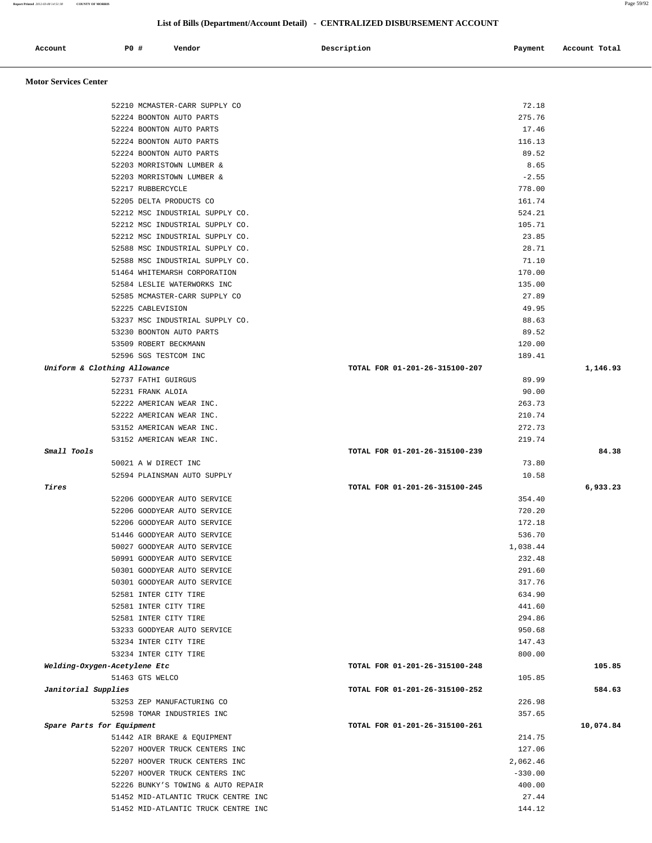**Report Printed** *2012-03-08 14:51:38* **COUNTY OF MORRIS** Page 59/92

## **List of Bills (Department/Account Detail) - CENTRALIZED DISBURSEMENT ACCOUNT**

| Account<br>. | P0 # | Vendor | Description | Payment | Account Total |
|--------------|------|--------|-------------|---------|---------------|
|              |      |        |             |         |               |

 **Motor Services Center** 

| 52210 MCMASTER-CARR SUPPLY CO       | 72.18                          |           |
|-------------------------------------|--------------------------------|-----------|
| 52224 BOONTON AUTO PARTS            | 275.76                         |           |
| 52224 BOONTON AUTO PARTS            | 17.46                          |           |
| 52224 BOONTON AUTO PARTS            | 116.13                         |           |
| 52224 BOONTON AUTO PARTS            | 89.52                          |           |
| 52203 MORRISTOWN LUMBER &           | 8.65                           |           |
| 52203 MORRISTOWN LUMBER &           | $-2.55$                        |           |
| 52217 RUBBERCYCLE                   | 778.00                         |           |
| 52205 DELTA PRODUCTS CO             | 161.74                         |           |
| 52212 MSC INDUSTRIAL SUPPLY CO.     | 524.21                         |           |
| 52212 MSC INDUSTRIAL SUPPLY CO.     | 105.71                         |           |
| 52212 MSC INDUSTRIAL SUPPLY CO.     | 23.85                          |           |
| 52588 MSC INDUSTRIAL SUPPLY CO.     | 28.71                          |           |
|                                     | 71.10                          |           |
| 52588 MSC INDUSTRIAL SUPPLY CO.     |                                |           |
| 51464 WHITEMARSH CORPORATION        | 170.00                         |           |
| 52584 LESLIE WATERWORKS INC         | 135.00                         |           |
| 52585 MCMASTER-CARR SUPPLY CO       | 27.89                          |           |
| 52225 CABLEVISION                   | 49.95                          |           |
| 53237 MSC INDUSTRIAL SUPPLY CO.     | 88.63                          |           |
| 53230 BOONTON AUTO PARTS            | 89.52                          |           |
| 53509 ROBERT BECKMANN               | 120.00                         |           |
| 52596 SGS TESTCOM INC               | 189.41                         |           |
| Uniform & Clothing Allowance        | TOTAL FOR 01-201-26-315100-207 | 1,146.93  |
| 52737 FATHI GUIRGUS                 | 89.99                          |           |
| 52231 FRANK ALOIA                   | 90.00                          |           |
| 52222 AMERICAN WEAR INC.            | 263.73                         |           |
| 52222 AMERICAN WEAR INC.            | 210.74                         |           |
| 53152 AMERICAN WEAR INC.            | 272.73                         |           |
| 53152 AMERICAN WEAR INC.            | 219.74                         |           |
| Small Tools                         | TOTAL FOR 01-201-26-315100-239 | 84.38     |
| 50021 A W DIRECT INC                | 73.80                          |           |
| 52594 PLAINSMAN AUTO SUPPLY         | 10.58                          |           |
| Tires                               | TOTAL FOR 01-201-26-315100-245 | 6,933.23  |
| 52206 GOODYEAR AUTO SERVICE         | 354.40                         |           |
| 52206 GOODYEAR AUTO SERVICE         | 720.20                         |           |
| 52206 GOODYEAR AUTO SERVICE         | 172.18                         |           |
| 51446 GOODYEAR AUTO SERVICE         | 536.70                         |           |
| 50027 GOODYEAR AUTO SERVICE         | 1,038.44                       |           |
| 50991 GOODYEAR AUTO SERVICE         | 232.48                         |           |
| 50301 GOODYEAR AUTO SERVICE         | 291.60                         |           |
| 50301 GOODYEAR AUTO SERVICE         | 317.76                         |           |
| 52581 INTER CITY TIRE               | 634.90                         |           |
| 52581 INTER CITY TIRE               | 441.60                         |           |
| 52581 INTER CITY TIRE               | 294.86                         |           |
| 53233 GOODYEAR AUTO SERVICE         | 950.68                         |           |
| 53234 INTER CITY TIRE               | 147.43                         |           |
| 53234 INTER CITY TIRE               | 800.00                         |           |
| Welding-Oxygen-Acetylene Etc        | TOTAL FOR 01-201-26-315100-248 | 105.85    |
| 51463 GTS WELCO                     | 105.85                         |           |
| Janitorial Supplies                 | TOTAL FOR 01-201-26-315100-252 | 584.63    |
| 53253 ZEP MANUFACTURING CO          | 226.98                         |           |
| 52598 TOMAR INDUSTRIES INC          | 357.65                         |           |
| Spare Parts for Equipment           | TOTAL FOR 01-201-26-315100-261 | 10,074.84 |
| 51442 AIR BRAKE & EQUIPMENT         | 214.75                         |           |
|                                     | 127.06                         |           |
| 52207 HOOVER TRUCK CENTERS INC      |                                |           |
| 52207 HOOVER TRUCK CENTERS INC      | 2,062.46                       |           |
| 52207 HOOVER TRUCK CENTERS INC      | $-330.00$                      |           |
| 52226 BUNKY'S TOWING & AUTO REPAIR  | 400.00                         |           |
| 51452 MID-ATLANTIC TRUCK CENTRE INC | 27.44                          |           |
| 51452 MID-ATLANTIC TRUCK CENTRE INC | 144.12                         |           |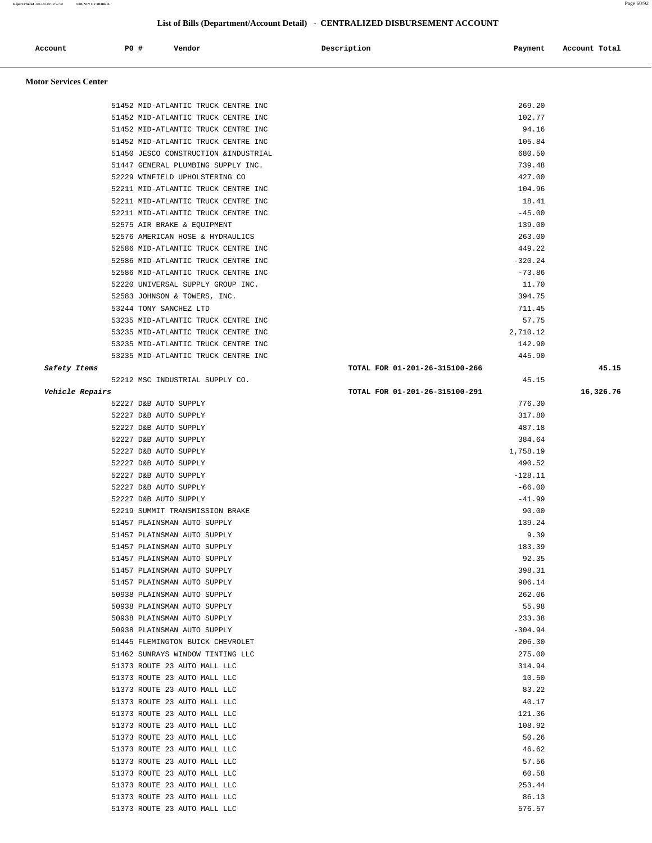| Account | PO# | Vendor | Description | Payment | Account Total |
|---------|-----|--------|-------------|---------|---------------|
|         |     |        |             |         |               |

# **Motor Services Center**

|                 | 51452 MID-ATLANTIC TRUCK CENTRE INC                          | 269.20                         |           |
|-----------------|--------------------------------------------------------------|--------------------------------|-----------|
|                 | 51452 MID-ATLANTIC TRUCK CENTRE INC                          | 102.77                         |           |
|                 | 51452 MID-ATLANTIC TRUCK CENTRE INC                          | 94.16                          |           |
|                 | 51452 MID-ATLANTIC TRUCK CENTRE INC                          | 105.84                         |           |
|                 | 51450 JESCO CONSTRUCTION & INDUSTRIAL                        | 680.50                         |           |
|                 | 51447 GENERAL PLUMBING SUPPLY INC.                           | 739.48                         |           |
|                 | 52229 WINFIELD UPHOLSTERING CO                               | 427.00                         |           |
|                 | 52211 MID-ATLANTIC TRUCK CENTRE INC                          | 104.96                         |           |
|                 | 52211 MID-ATLANTIC TRUCK CENTRE INC                          | 18.41                          |           |
|                 | 52211 MID-ATLANTIC TRUCK CENTRE INC                          | $-45.00$                       |           |
|                 | 52575 AIR BRAKE & EQUIPMENT                                  | 139.00                         |           |
|                 | 52576 AMERICAN HOSE & HYDRAULICS                             | 263.00                         |           |
|                 | 52586 MID-ATLANTIC TRUCK CENTRE INC                          | 449.22                         |           |
|                 | 52586 MID-ATLANTIC TRUCK CENTRE INC                          | $-320.24$                      |           |
|                 | 52586 MID-ATLANTIC TRUCK CENTRE INC                          | $-73.86$                       |           |
|                 | 52220 UNIVERSAL SUPPLY GROUP INC.                            | 11.70                          |           |
|                 | 52583 JOHNSON & TOWERS, INC.                                 | 394.75                         |           |
|                 | 53244 TONY SANCHEZ LTD                                       | 711.45                         |           |
|                 | 53235 MID-ATLANTIC TRUCK CENTRE INC                          | 57.75                          |           |
|                 | 53235 MID-ATLANTIC TRUCK CENTRE INC                          | 2,710.12                       |           |
|                 | 53235 MID-ATLANTIC TRUCK CENTRE INC                          | 142.90                         |           |
|                 | 53235 MID-ATLANTIC TRUCK CENTRE INC                          | 445.90                         |           |
| Safety Items    |                                                              | TOTAL FOR 01-201-26-315100-266 | 45.15     |
|                 | 52212 MSC INDUSTRIAL SUPPLY CO.                              | 45.15                          |           |
| Vehicle Repairs |                                                              | TOTAL FOR 01-201-26-315100-291 | 16,326.76 |
|                 | 52227 D&B AUTO SUPPLY                                        | 776.30                         |           |
|                 | 52227 D&B AUTO SUPPLY                                        | 317.80                         |           |
|                 | 52227 D&B AUTO SUPPLY                                        | 487.18                         |           |
|                 | 52227 D&B AUTO SUPPLY                                        | 384.64                         |           |
|                 | 52227 D&B AUTO SUPPLY                                        | 1,758.19                       |           |
|                 | 52227 D&B AUTO SUPPLY                                        | 490.52                         |           |
|                 | 52227 D&B AUTO SUPPLY                                        | $-128.11$                      |           |
|                 | 52227 D&B AUTO SUPPLY                                        | $-66.00$                       |           |
|                 | 52227 D&B AUTO SUPPLY<br>52219 SUMMIT TRANSMISSION BRAKE     | $-41.99$<br>90.00              |           |
|                 | 51457 PLAINSMAN AUTO SUPPLY                                  | 139.24                         |           |
|                 | 51457 PLAINSMAN AUTO SUPPLY                                  | 9.39                           |           |
|                 | 51457 PLAINSMAN AUTO SUPPLY                                  | 183.39                         |           |
|                 | 51457 PLAINSMAN AUTO SUPPLY                                  | 92.35                          |           |
|                 | 51457 PLAINSMAN AUTO SUPPLY                                  | 398.31                         |           |
|                 | 51457 PLAINSMAN AUTO SUPPLY                                  | 906.14                         |           |
|                 | 50938 PLAINSMAN AUTO SUPPLY                                  | 262.06                         |           |
|                 | 50938 PLAINSMAN AUTO SUPPLY                                  | 55.98                          |           |
|                 | 50938 PLAINSMAN AUTO SUPPLY                                  | 233.38                         |           |
|                 | 50938 PLAINSMAN AUTO SUPPLY                                  | $-304.94$                      |           |
|                 | 51445 FLEMINGTON BUICK CHEVROLET                             | 206.30                         |           |
|                 | 51462 SUNRAYS WINDOW TINTING LLC                             | 275.00                         |           |
|                 | 51373 ROUTE 23 AUTO MALL LLC                                 | 314.94                         |           |
|                 | 51373 ROUTE 23 AUTO MALL LLC                                 | 10.50                          |           |
|                 | 51373 ROUTE 23 AUTO MALL LLC                                 | 83.22                          |           |
|                 | 51373 ROUTE 23 AUTO MALL LLC                                 | 40.17                          |           |
|                 | 51373 ROUTE 23 AUTO MALL LLC                                 | 121.36                         |           |
|                 | 51373 ROUTE 23 AUTO MALL LLC                                 | 108.92                         |           |
|                 | 51373 ROUTE 23 AUTO MALL LLC                                 | 50.26                          |           |
|                 | 51373 ROUTE 23 AUTO MALL LLC                                 | 46.62                          |           |
|                 |                                                              |                                |           |
|                 |                                                              |                                |           |
|                 | 51373 ROUTE 23 AUTO MALL LLC                                 | 57.56                          |           |
|                 | 51373 ROUTE 23 AUTO MALL LLC                                 | 60.58                          |           |
|                 | 51373 ROUTE 23 AUTO MALL LLC                                 | 253.44                         |           |
|                 | 51373 ROUTE 23 AUTO MALL LLC<br>51373 ROUTE 23 AUTO MALL LLC | 86.13<br>576.57                |           |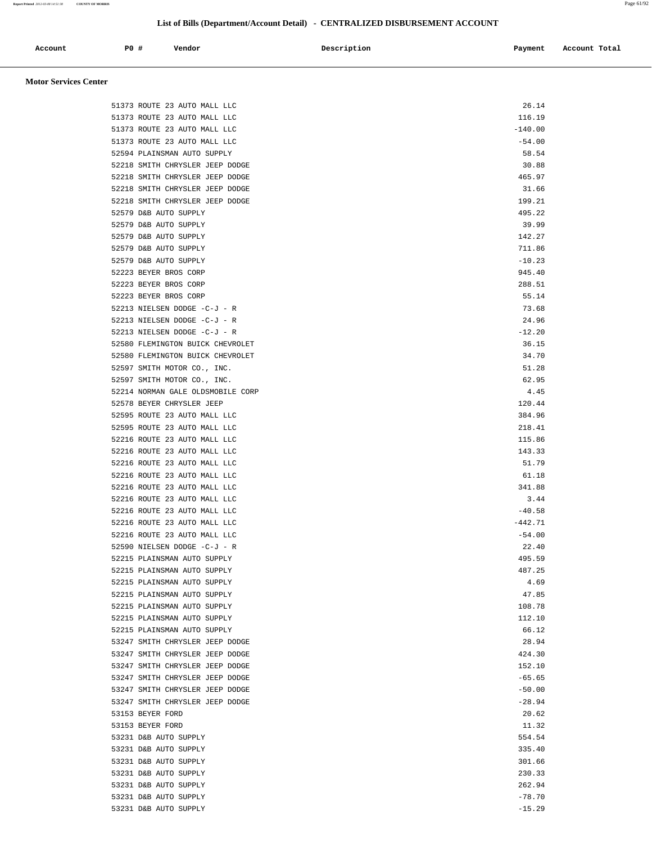| Account | P0 # | Vendor | Description | Payment | Account Total |
|---------|------|--------|-------------|---------|---------------|
|         |      |        |             |         |               |

## **Motor Services Center**

| 51373 ROUTE 23 AUTO MALL LLC      | 26.14     |
|-----------------------------------|-----------|
| 51373 ROUTE 23 AUTO MALL LLC      | 116.19    |
| 51373 ROUTE 23 AUTO MALL LLC      | $-140.00$ |
| 51373 ROUTE 23 AUTO MALL LLC      | $-54.00$  |
| 52594 PLAINSMAN AUTO SUPPLY       | 58.54     |
| 52218 SMITH CHRYSLER JEEP DODGE   | 30.88     |
| 52218 SMITH CHRYSLER JEEP DODGE   | 465.97    |
| 52218 SMITH CHRYSLER JEEP DODGE   | 31.66     |
| 52218 SMITH CHRYSLER JEEP DODGE   | 199.21    |
| 52579 D&B AUTO SUPPLY             | 495.22    |
| 52579 D&B AUTO SUPPLY             | 39.99     |
| 52579 D&B AUTO SUPPLY             | 142.27    |
| 52579 D&B AUTO SUPPLY             | 711.86    |
| 52579 D&B AUTO SUPPLY             | $-10.23$  |
| 52223 BEYER BROS CORP             | 945.40    |
|                                   |           |
| 52223 BEYER BROS CORP             | 288.51    |
| 52223 BEYER BROS CORP             | 55.14     |
| 52213 NIELSEN DODGE -C-J - R      | 73.68     |
| 52213 NIELSEN DODGE -C-J - R      | 24.96     |
| 52213 NIELSEN DODGE -C-J - R      | $-12.20$  |
| 52580 FLEMINGTON BUICK CHEVROLET  | 36.15     |
| 52580 FLEMINGTON BUICK CHEVROLET  | 34.70     |
| 52597 SMITH MOTOR CO., INC.       | 51.28     |
| 52597 SMITH MOTOR CO., INC.       | 62.95     |
| 52214 NORMAN GALE OLDSMOBILE CORP | 4.45      |
| 52578 BEYER CHRYSLER JEEP         | 120.44    |
| 52595 ROUTE 23 AUTO MALL LLC      | 384.96    |
| 52595 ROUTE 23 AUTO MALL LLC      | 218.41    |
| 52216 ROUTE 23 AUTO MALL LLC      | 115.86    |
| 52216 ROUTE 23 AUTO MALL LLC      | 143.33    |
| 52216 ROUTE 23 AUTO MALL LLC      | 51.79     |
| 52216 ROUTE 23 AUTO MALL LLC      | 61.18     |
| 52216 ROUTE 23 AUTO MALL LLC      | 341.88    |
| 52216 ROUTE 23 AUTO MALL LLC      | 3.44      |
| 52216 ROUTE 23 AUTO MALL LLC      | $-40.58$  |
| 52216 ROUTE 23 AUTO MALL LLC      | $-442.71$ |
| 52216 ROUTE 23 AUTO MALL LLC      | $-54.00$  |
| 52590 NIELSEN DODGE -C-J - R      | 22.40     |
| 52215 PLAINSMAN AUTO SUPPLY       | 495.59    |
| 52215 PLAINSMAN AUTO SUPPLY       |           |
|                                   | 487.25    |
| 52215 PLAINSMAN AUTO SUPPLY       | 4.69      |
| 52215 PLAINSMAN AUTO SUPPLY       | 47.85     |
| 52215 PLAINSMAN AUTO SUPPLY       | 108.78    |
| 52215 PLAINSMAN AUTO SUPPLY       | 112.10    |
| 52215 PLAINSMAN AUTO SUPPLY       | 66.12     |
| 53247 SMITH CHRYSLER JEEP DODGE   | 28.94     |
| 53247 SMITH CHRYSLER JEEP DODGE   | 424.30    |
| 53247 SMITH CHRYSLER JEEP DODGE   | 152.10    |
| 53247 SMITH CHRYSLER JEEP DODGE   | $-65.65$  |
| 53247 SMITH CHRYSLER JEEP DODGE   | $-50.00$  |
| 53247 SMITH CHRYSLER JEEP DODGE   | $-28.94$  |
| 53153 BEYER FORD                  | 20.62     |
| 53153 BEYER FORD                  | 11.32     |
| 53231 D&B AUTO SUPPLY             | 554.54    |
| 53231 D&B AUTO SUPPLY             | 335.40    |
| 53231 D&B AUTO SUPPLY             | 301.66    |
| 53231 D&B AUTO SUPPLY             | 230.33    |
| 53231 D&B AUTO SUPPLY             | 262.94    |
| 53231 D&B AUTO SUPPLY             | $-78.70$  |
| 53231 D&B AUTO SUPPLY             | $-15.29$  |
|                                   |           |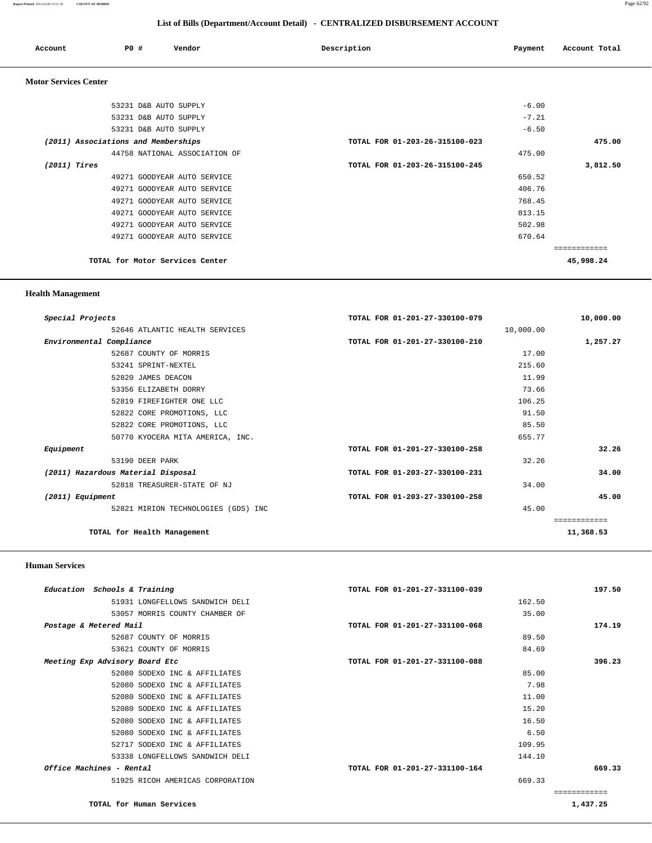| Account                      | P0 #                                | Vendor                        | Description                    | Payment | Account Total |
|------------------------------|-------------------------------------|-------------------------------|--------------------------------|---------|---------------|
| <b>Motor Services Center</b> |                                     |                               |                                |         |               |
|                              | 53231 D&B AUTO SUPPLY               |                               |                                | $-6.00$ |               |
|                              | 53231 D&B AUTO SUPPLY               |                               |                                | $-7.21$ |               |
|                              | 53231 D&B AUTO SUPPLY               |                               |                                | $-6.50$ |               |
|                              | (2011) Associations and Memberships |                               | TOTAL FOR 01-203-26-315100-023 |         | 475.00        |
|                              |                                     | 44758 NATIONAL ASSOCIATION OF |                                | 475.00  |               |
| (2011) Tires                 |                                     |                               | TOTAL FOR 01-203-26-315100-245 |         | 3,812.50      |
|                              |                                     | 49271 GOODYEAR AUTO SERVICE   |                                | 650.52  |               |
|                              |                                     | 49271 GOODYEAR AUTO SERVICE   |                                | 406.76  |               |
|                              |                                     | 49271 GOODYEAR AUTO SERVICE   |                                | 768.45  |               |

 49271 GOODYEAR AUTO SERVICE 813.15 49271 GOODYEAR AUTO SERVICE 502.98 49271 GOODYEAR AUTO SERVICE 670.64

**TOTAL for Motor Services Center 45,998.24**

============

## **Health Management**

| Special Projects                    | TOTAL FOR 01-201-27-330100-079 | 10,000.00    |
|-------------------------------------|--------------------------------|--------------|
| 52646 ATLANTIC HEALTH SERVICES      | 10,000.00                      |              |
| Environmental Compliance            | TOTAL FOR 01-201-27-330100-210 | 1,257.27     |
| 52687 COUNTY OF MORRIS              | 17.00                          |              |
| 53241 SPRINT-NEXTEL                 | 215.60                         |              |
| 52820 JAMES DEACON                  | 11.99                          |              |
| 53356 ELIZABETH DORRY               | 73.66                          |              |
| 52819 FIREFIGHTER ONE LLC           | 106.25                         |              |
| 52822 CORE PROMOTIONS, LLC          | 91.50                          |              |
| 52822 CORE PROMOTIONS, LLC          | 85.50                          |              |
| 50770 KYOCERA MITA AMERICA, INC.    | 655.77                         |              |
| Equipment                           | TOTAL FOR 01-201-27-330100-258 | 32.26        |
| 53190 DEER PARK                     | 32.26                          |              |
| (2011) Hazardous Material Disposal  | TOTAL FOR 01-203-27-330100-231 | 34.00        |
| 52818 TREASURER-STATE OF NJ         | 34.00                          |              |
| (2011) Equipment                    | TOTAL FOR 01-203-27-330100-258 | 45.00        |
| 52821 MIRION TECHNOLOGIES (GDS) INC | 45.00                          |              |
|                                     |                                | ============ |
| TOTAL for Health Management         |                                | 11,368.53    |

### **Human Services**

| Education Schools & Training     | TOTAL FOR 01-201-27-331100-039 | 197.50   |
|----------------------------------|--------------------------------|----------|
| 51931 LONGFELLOWS SANDWICH DELI  | 162.50                         |          |
| 53057 MORRIS COUNTY CHAMBER OF   | 35.00                          |          |
| Postage & Metered Mail           | TOTAL FOR 01-201-27-331100-068 | 174.19   |
| 52687 COUNTY OF MORRIS           | 89.50                          |          |
| 53621 COUNTY OF MORRIS           | 84.69                          |          |
| Meeting Exp Advisory Board Etc   | TOTAL FOR 01-201-27-331100-088 | 396.23   |
| 52080 SODEXO INC & AFFILIATES    | 85.00                          |          |
| 52080 SODEXO INC & AFFILIATES    | 7.98                           |          |
| 52080 SODEXO INC & AFFILIATES    | 11.00                          |          |
| 52080 SODEXO INC & AFFILIATES    | 15.20                          |          |
| 52080 SODEXO INC & AFFILIATES    | 16.50                          |          |
| 52080 SODEXO INC & AFFILIATES    | 6.50                           |          |
| 52717 SODEXO INC & AFFILIATES    | 109.95                         |          |
| 53338 LONGFELLOWS SANDWICH DELI  | 144.10                         |          |
| Office Machines - Rental         | TOTAL FOR 01-201-27-331100-164 | 669.33   |
| 51925 RICOH AMERICAS CORPORATION | 669.33                         |          |
|                                  |                                |          |
| TOTAL for Human Services         |                                | 1,437.25 |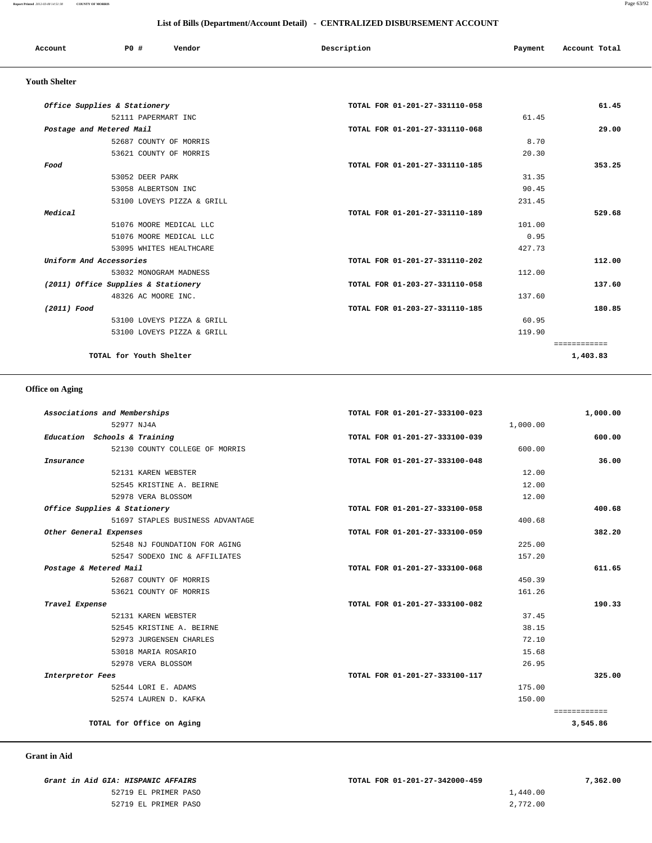### **Report Printed** *2012-03-08 14:51:38* **COUNTY OF MORRIS** Page 63/92

### **List of Bills (Department/Account Detail) - CENTRALIZED DISBURSEMENT ACCOUNT**

| Account              | PO#<br>Vendor                       | Description                    | Payment | Account Total |
|----------------------|-------------------------------------|--------------------------------|---------|---------------|
| <b>Youth Shelter</b> |                                     |                                |         |               |
|                      | Office Supplies & Stationery        | TOTAL FOR 01-201-27-331110-058 |         | 61.45         |
|                      | 52111 PAPERMART INC                 |                                | 61.45   |               |
|                      | Postage and Metered Mail            | TOTAL FOR 01-201-27-331110-068 |         | 29.00         |
|                      | 52687 COUNTY OF MORRIS              |                                | 8.70    |               |
|                      | 53621 COUNTY OF MORRIS              |                                | 20.30   |               |
| Food                 |                                     | TOTAL FOR 01-201-27-331110-185 |         | 353.25        |
|                      | 53052 DEER PARK                     |                                | 31.35   |               |
|                      | 53058 ALBERTSON INC                 |                                | 90.45   |               |
|                      | 53100 LOVEYS PIZZA & GRILL          |                                | 231.45  |               |
| Medical              |                                     | TOTAL FOR 01-201-27-331110-189 |         | 529.68        |
|                      | 51076 MOORE MEDICAL LLC             |                                | 101.00  |               |
|                      | 51076 MOORE MEDICAL LLC             |                                | 0.95    |               |
|                      | 53095 WHITES HEALTHCARE             |                                | 427.73  |               |
|                      | Uniform And Accessories             | TOTAL FOR 01-201-27-331110-202 |         | 112.00        |
|                      | 53032 MONOGRAM MADNESS              |                                | 112.00  |               |
|                      | (2011) Office Supplies & Stationery | TOTAL FOR 01-203-27-331110-058 |         | 137.60        |
|                      | 48326 AC MOORE INC.                 |                                | 137.60  |               |
| (2011) Food          |                                     | TOTAL FOR 01-203-27-331110-185 |         | 180.85        |
|                      | 53100 LOVEYS PIZZA & GRILL          |                                | 60.95   |               |
|                      | 53100 LOVEYS PIZZA & GRILL          |                                | 119.90  |               |
|                      |                                     |                                |         | ============  |
|                      | TOTAL for Youth Shelter             |                                |         | 1,403.83      |

## **Office on Aging**

| 1,000.00     | TOTAL FOR 01-201-27-333100-023 | Associations and Memberships     |
|--------------|--------------------------------|----------------------------------|
|              | 1,000.00                       | 52977 NJ4A                       |
| 600.00       | TOTAL FOR 01-201-27-333100-039 | Education Schools & Training     |
|              | 600.00                         | 52130 COUNTY COLLEGE OF MORRIS   |
| 36.00        | TOTAL FOR 01-201-27-333100-048 | Insurance                        |
|              | 12.00                          | 52131 KAREN WEBSTER              |
|              | 12.00                          | 52545 KRISTINE A. BEIRNE         |
|              | 12.00                          | 52978 VERA BLOSSOM               |
| 400.68       | TOTAL FOR 01-201-27-333100-058 | Office Supplies & Stationery     |
|              | 400.68                         | 51697 STAPLES BUSINESS ADVANTAGE |
| 382.20       | TOTAL FOR 01-201-27-333100-059 | Other General Expenses           |
|              | 225.00                         | 52548 NJ FOUNDATION FOR AGING    |
|              | 157.20                         | 52547 SODEXO INC & AFFILIATES    |
| 611.65       | TOTAL FOR 01-201-27-333100-068 | Postage & Metered Mail           |
|              | 450.39                         | 52687 COUNTY OF MORRIS           |
|              | 161.26                         | 53621 COUNTY OF MORRIS           |
| 190.33       | TOTAL FOR 01-201-27-333100-082 | Travel Expense                   |
|              | 37.45                          | 52131 KAREN WEBSTER              |
|              | 38.15                          | 52545 KRISTINE A. BEIRNE         |
|              | 72.10                          | 52973 JURGENSEN CHARLES          |
|              | 15.68                          | 53018 MARIA ROSARIO              |
|              | 26.95                          | 52978 VERA BLOSSOM               |
| 325.00       | TOTAL FOR 01-201-27-333100-117 | Interpretor Fees                 |
|              | 175.00                         | 52544 LORI E. ADAMS              |
|              | 150.00                         | 52574 LAUREN D. KAFKA            |
| ============ |                                |                                  |
| 3,545.86     |                                | TOTAL for Office on Aging        |

### **Grant in Aid**

 **Grant in Aid GIA: HISPANIC AFFAIRS TOTAL FOR 01-201-27-342000-459 7,362.00** 52719 EL PRIMER PASO 1,440.00

52719 EL PRIMER PASO 2,772.00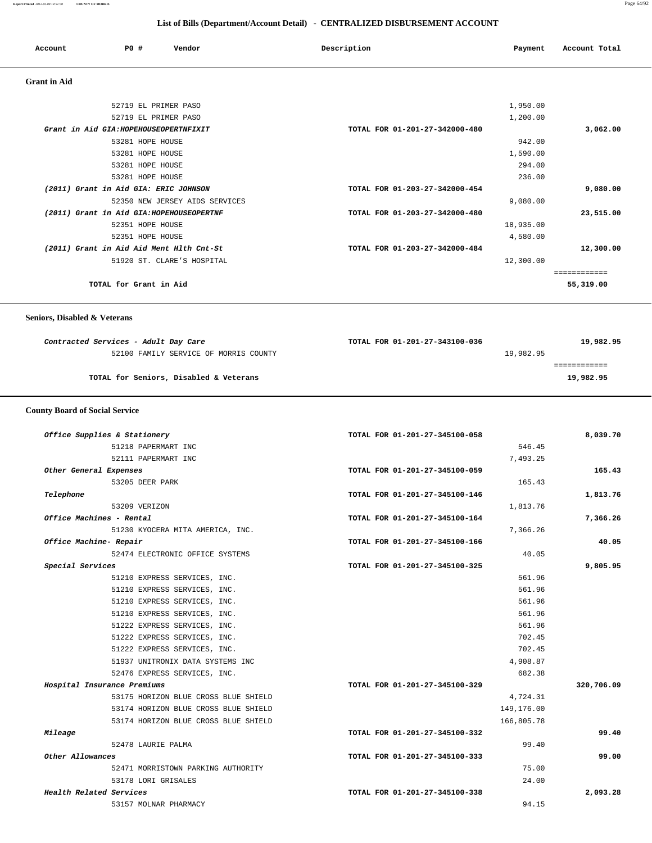| Account             | PO#                    | Vendor                                    | Description                    | Payment   | Account Total |
|---------------------|------------------------|-------------------------------------------|--------------------------------|-----------|---------------|
| <b>Grant</b> in Aid |                        |                                           |                                |           |               |
|                     |                        | 52719 EL PRIMER PASO                      |                                | 1,950.00  |               |
|                     |                        | 52719 EL PRIMER PASO                      |                                | 1,200.00  |               |
|                     |                        | Grant in Aid GIA: HOPEHOUSEOPERTNFIXIT    | TOTAL FOR 01-201-27-342000-480 |           | 3,062.00      |
|                     |                        | 53281 HOPE HOUSE                          |                                | 942.00    |               |
|                     |                        | 53281 HOPE HOUSE                          |                                | 1,590.00  |               |
|                     |                        | 53281 HOPE HOUSE                          |                                | 294.00    |               |
|                     |                        | 53281 HOPE HOUSE                          |                                | 236.00    |               |
|                     |                        | (2011) Grant in Aid GIA: ERIC JOHNSON     | TOTAL FOR 01-203-27-342000-454 |           | 9,080.00      |
|                     |                        | 52350 NEW JERSEY AIDS SERVICES            |                                | 9,080.00  |               |
|                     |                        | (2011) Grant in Aid GIA: HOPEHOUSEOPERTNF | TOTAL FOR 01-203-27-342000-480 |           | 23,515.00     |
|                     |                        | 52351 HOPE HOUSE                          |                                | 18,935.00 |               |
|                     |                        | 52351 HOPE HOUSE                          |                                | 4,580.00  |               |
|                     |                        | (2011) Grant in Aid Aid Ment Hlth Cnt-St  | TOTAL FOR 01-203-27-342000-484 |           | 12,300.00     |
|                     |                        | 51920 ST. CLARE'S HOSPITAL                |                                | 12,300.00 |               |
|                     |                        |                                           |                                |           | ============  |
|                     | TOTAL for Grant in Aid |                                           |                                |           | 55,319.00     |

### **Seniors, Disabled & Veterans**

| Contracted Services - Adult Day Care   | 19,982.95<br>TOTAL FOR 01-201-27-343100-036 |  |
|----------------------------------------|---------------------------------------------|--|
| 52100 FAMILY SERVICE OF MORRIS COUNTY  | 19,982.95                                   |  |
|                                        |                                             |  |
| TOTAL for Seniors, Disabled & Veterans | 19,982.95                                   |  |

## **County Board of Social Service**

| Office Supplies & Stationery |                                      | TOTAL FOR 01-201-27-345100-058 |            | 8,039.70   |
|------------------------------|--------------------------------------|--------------------------------|------------|------------|
|                              | 51218 PAPERMART INC                  |                                | 546.45     |            |
|                              | 52111 PAPERMART INC                  |                                | 7,493.25   |            |
| Other General Expenses       |                                      | TOTAL FOR 01-201-27-345100-059 |            | 165.43     |
|                              | 53205 DEER PARK                      |                                | 165.43     |            |
| Telephone                    |                                      | TOTAL FOR 01-201-27-345100-146 |            | 1,813.76   |
|                              | 53209 VERIZON                        |                                | 1,813.76   |            |
| Office Machines - Rental     |                                      | TOTAL FOR 01-201-27-345100-164 |            | 7,366.26   |
|                              | 51230 KYOCERA MITA AMERICA, INC.     |                                | 7,366.26   |            |
| Office Machine- Repair       |                                      | TOTAL FOR 01-201-27-345100-166 |            | 40.05      |
|                              | 52474 ELECTRONIC OFFICE SYSTEMS      |                                | 40.05      |            |
| Special Services             |                                      | TOTAL FOR 01-201-27-345100-325 |            | 9,805.95   |
|                              | 51210 EXPRESS SERVICES, INC.         |                                | 561.96     |            |
|                              | 51210 EXPRESS SERVICES, INC.         |                                | 561.96     |            |
|                              | 51210 EXPRESS SERVICES, INC.         |                                | 561.96     |            |
|                              | 51210 EXPRESS SERVICES, INC.         |                                | 561.96     |            |
|                              | 51222 EXPRESS SERVICES, INC.         |                                | 561.96     |            |
|                              | 51222 EXPRESS SERVICES, INC.         |                                | 702.45     |            |
|                              | 51222 EXPRESS SERVICES, INC.         |                                | 702.45     |            |
|                              | 51937 UNITRONIX DATA SYSTEMS INC     |                                | 4,908.87   |            |
|                              | 52476 EXPRESS SERVICES, INC.         |                                | 682.38     |            |
| Hospital Insurance Premiums  |                                      | TOTAL FOR 01-201-27-345100-329 |            | 320,706.09 |
|                              | 53175 HORIZON BLUE CROSS BLUE SHIELD |                                | 4,724.31   |            |
|                              | 53174 HORIZON BLUE CROSS BLUE SHIELD |                                | 149,176.00 |            |
|                              | 53174 HORIZON BLUE CROSS BLUE SHIELD |                                | 166,805.78 |            |
| Mileage                      |                                      | TOTAL FOR 01-201-27-345100-332 |            | 99.40      |
|                              | 52478 LAURIE PALMA                   |                                | 99.40      |            |
| Other Allowances             |                                      | TOTAL FOR 01-201-27-345100-333 |            | 99.00      |
|                              | 52471 MORRISTOWN PARKING AUTHORITY   |                                | 75.00      |            |
|                              | 53178 LORI GRISALES                  |                                | 24.00      |            |
| Health Related Services      |                                      | TOTAL FOR 01-201-27-345100-338 |            | 2,093.28   |
|                              | 53157 MOLNAR PHARMACY                |                                | 94.15      |            |
|                              |                                      |                                |            |            |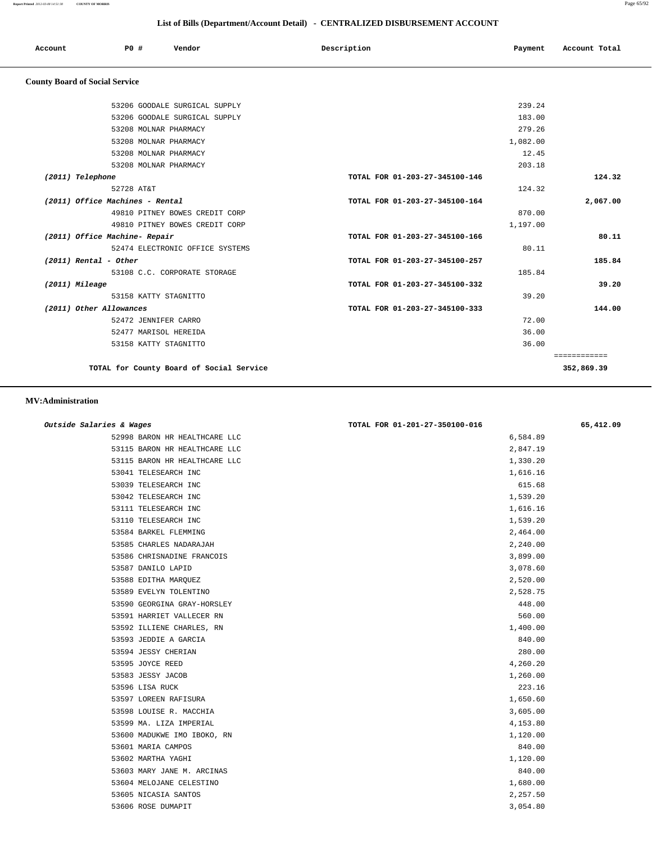**Report Printed** *2012-03-08 14:51:38* **COUNTY OF MORRIS** Page 65/92

| List of Bills (Department/Account Detail) - CENTRALIZED DISBURSEMENT ACCOUNT |                                |          |                            |  |
|------------------------------------------------------------------------------|--------------------------------|----------|----------------------------|--|
| PO#<br>Vendor<br>Account                                                     | Description                    | Payment  | Account Total              |  |
| <b>County Board of Social Service</b>                                        |                                |          |                            |  |
| 53206 GOODALE SURGICAL SUPPLY                                                |                                | 239.24   |                            |  |
| 53206 GOODALE SURGICAL SUPPLY                                                |                                | 183.00   |                            |  |
| 53208 MOLNAR PHARMACY                                                        |                                | 279.26   |                            |  |
| 53208 MOLNAR PHARMACY                                                        |                                | 1,082.00 |                            |  |
| 53208 MOLNAR PHARMACY                                                        |                                | 12.45    |                            |  |
| 53208 MOLNAR PHARMACY                                                        |                                | 203.18   |                            |  |
| (2011) Telephone                                                             | TOTAL FOR 01-203-27-345100-146 |          | 124.32                     |  |
| 52728 AT&T                                                                   |                                | 124.32   |                            |  |
| (2011) Office Machines - Rental                                              | TOTAL FOR 01-203-27-345100-164 |          | 2,067.00                   |  |
| 49810 PITNEY BOWES CREDIT CORP                                               |                                | 870.00   |                            |  |
| 49810 PITNEY BOWES CREDIT CORP                                               |                                | 1,197.00 |                            |  |
| (2011) Office Machine- Repair                                                | TOTAL FOR 01-203-27-345100-166 |          | 80.11                      |  |
| 52474 ELECTRONIC OFFICE SYSTEMS                                              |                                | 80.11    |                            |  |
| $(2011)$ Rental - Other                                                      | TOTAL FOR 01-203-27-345100-257 |          | 185.84                     |  |
| 53108 C.C. CORPORATE STORAGE                                                 |                                | 185.84   |                            |  |
| (2011) Mileage                                                               | TOTAL FOR 01-203-27-345100-332 |          | 39.20                      |  |
| 53158 KATTY STAGNITTO                                                        |                                | 39.20    |                            |  |
| (2011) Other Allowances                                                      | TOTAL FOR 01-203-27-345100-333 |          | 144.00                     |  |
| 52472 JENNIFER CARRO                                                         |                                | 72.00    |                            |  |
| 52477 MARISOL HEREIDA                                                        |                                | 36.00    |                            |  |
| 53158 KATTY STAGNITTO                                                        |                                | 36.00    |                            |  |
| TOTAL for County Board of Social Service                                     |                                |          | ============<br>352,869.39 |  |

 **MV:Administration** 

| Outside Salaries & Wages      | TOTAL FOR 01-201-27-350100-016 | 65,412.09 |
|-------------------------------|--------------------------------|-----------|
| 52998 BARON HR HEALTHCARE LLC | 6,584.89                       |           |
| 53115 BARON HR HEALTHCARE LLC | 2,847.19                       |           |
| 53115 BARON HR HEALTHCARE LLC | 1,330.20                       |           |
| 53041 TELESEARCH INC          | 1,616.16                       |           |
| 53039 TELESEARCH INC          | 615.68                         |           |
| 53042 TELESEARCH INC          | 1,539.20                       |           |
| 53111 TELESEARCH INC          | 1,616.16                       |           |
| 53110 TELESEARCH INC          | 1,539.20                       |           |
| 53584 BARKEL FLEMMING         | 2,464.00                       |           |
| 53585 CHARLES NADARAJAH       | 2,240.00                       |           |
| 53586 CHRISNADINE FRANCOIS    | 3,899.00                       |           |
| 53587 DANILO LAPID            | 3,078.60                       |           |
| 53588 EDITHA MARQUEZ          | 2,520.00                       |           |
| 53589 EVELYN TOLENTINO        | 2,528.75                       |           |
| 53590 GEORGINA GRAY-HORSLEY   | 448.00                         |           |
| 53591 HARRIET VALLECER RN     | 560.00                         |           |
| 53592 ILLIENE CHARLES, RN     | 1,400.00                       |           |
| 53593 JEDDIE A GARCIA         | 840.00                         |           |
| 53594 JESSY CHERIAN           | 280.00                         |           |
| 53595 JOYCE REED              | 4,260.20                       |           |
| 53583 JESSY JACOB             | 1,260.00                       |           |
| 53596 LISA RUCK               | 223.16                         |           |
| 53597 LOREEN RAFISURA         | 1,650.60                       |           |
| 53598 LOUISE R. MACCHIA       | 3,605.00                       |           |
| 53599 MA. LIZA IMPERIAL       | 4,153.80                       |           |
| 53600 MADUKWE IMO IBOKO, RN   | 1,120.00                       |           |
| 53601 MARIA CAMPOS            | 840.00                         |           |
| 53602 MARTHA YAGHI            | 1,120.00                       |           |
| 53603 MARY JANE M. ARCINAS    | 840.00                         |           |
| 53604 MELOJANE CELESTINO      | 1,680.00                       |           |
| 53605 NICASIA SANTOS          | 2,257.50                       |           |
| 53606 ROSE DUMAPIT            | 3,054.80                       |           |
|                               |                                |           |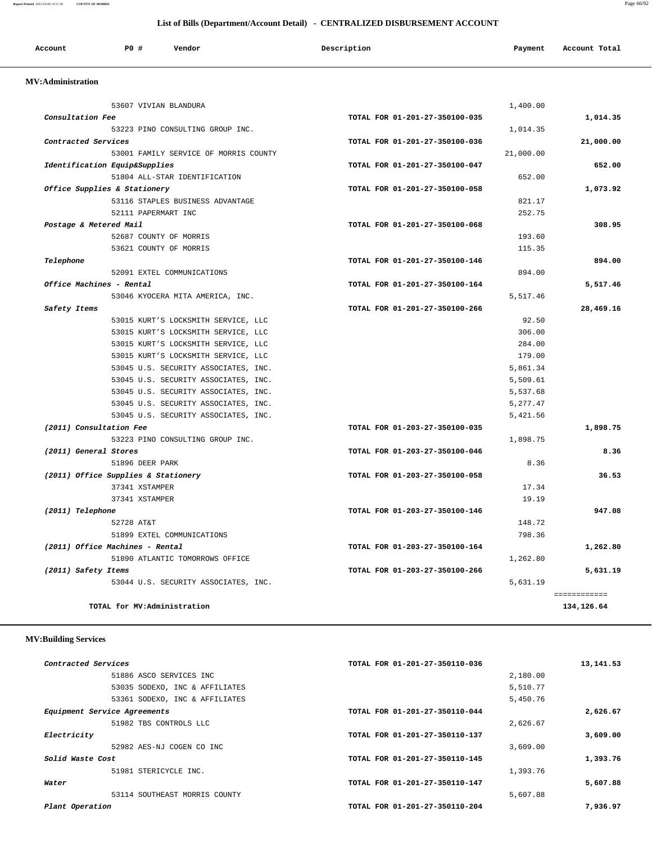**Report Printed** *2012-03-08 14:51:38* **COUNTY OF MORRIS** Page 66/92

## **List of Bills (Department/Account Detail) - CENTRALIZED DISBURSEMENT ACCOUNT**

| Account | <b>PO#</b> | Vendor | Description | Payment | Account Total |
|---------|------------|--------|-------------|---------|---------------|
|         |            |        |             |         |               |

## **MV:Administration**

| 53607 VIVIAN BLANDURA                 | 1,400.00                       |                            |
|---------------------------------------|--------------------------------|----------------------------|
| Consultation Fee                      | TOTAL FOR 01-201-27-350100-035 | 1,014.35                   |
| 53223 PINO CONSULTING GROUP INC.      | 1,014.35                       |                            |
| Contracted Services                   | TOTAL FOR 01-201-27-350100-036 | 21,000.00                  |
| 53001 FAMILY SERVICE OF MORRIS COUNTY | 21,000.00                      |                            |
| Identification Equip&Supplies         | TOTAL FOR 01-201-27-350100-047 | 652.00                     |
| 51804 ALL-STAR IDENTIFICATION         | 652.00                         |                            |
| Office Supplies & Stationery          | TOTAL FOR 01-201-27-350100-058 | 1,073.92                   |
| 53116 STAPLES BUSINESS ADVANTAGE      | 821.17                         |                            |
| 52111 PAPERMART INC                   | 252.75                         |                            |
| Postage & Metered Mail                | TOTAL FOR 01-201-27-350100-068 | 308.95                     |
| 52687 COUNTY OF MORRIS                | 193.60                         |                            |
| 53621 COUNTY OF MORRIS                | 115.35                         |                            |
| Telephone                             | TOTAL FOR 01-201-27-350100-146 | 894.00                     |
| 52091 EXTEL COMMUNICATIONS            | 894.00                         |                            |
| Office Machines - Rental              | TOTAL FOR 01-201-27-350100-164 | 5,517.46                   |
| 53046 KYOCERA MITA AMERICA, INC.      | 5,517.46                       |                            |
| Safety Items                          | TOTAL FOR 01-201-27-350100-266 | 28,469.16                  |
| 53015 KURT'S LOCKSMITH SERVICE, LLC   |                                | 92.50                      |
| 53015 KURT'S LOCKSMITH SERVICE, LLC   | 306.00                         |                            |
| 53015 KURT'S LOCKSMITH SERVICE, LLC   | 284.00                         |                            |
| 53015 KURT'S LOCKSMITH SERVICE, LLC   | 179.00                         |                            |
| 53045 U.S. SECURITY ASSOCIATES, INC.  | 5,861.34                       |                            |
| 53045 U.S. SECURITY ASSOCIATES, INC.  | 5,509.61                       |                            |
| 53045 U.S. SECURITY ASSOCIATES, INC.  | 5,537.68                       |                            |
| 53045 U.S. SECURITY ASSOCIATES, INC.  | 5,277.47                       |                            |
| 53045 U.S. SECURITY ASSOCIATES, INC.  | 5,421.56                       |                            |
| (2011) Consultation Fee               | TOTAL FOR 01-203-27-350100-035 | 1,898.75                   |
| 53223 PINO CONSULTING GROUP INC.      | 1,898.75                       |                            |
| (2011) General Stores                 | TOTAL FOR 01-203-27-350100-046 | 8.36                       |
| 51896 DEER PARK                       |                                | 8.36                       |
| (2011) Office Supplies & Stationery   | TOTAL FOR 01-203-27-350100-058 | 36.53                      |
| 37341 XSTAMPER                        |                                | 17.34                      |
| 37341 XSTAMPER                        |                                | 19.19                      |
| (2011) Telephone                      | TOTAL FOR 01-203-27-350100-146 | 947.08                     |
| 52728 AT&T                            | 148.72                         |                            |
| 51899 EXTEL COMMUNICATIONS            | 798.36                         |                            |
| (2011) Office Machines - Rental       | TOTAL FOR 01-203-27-350100-164 | 1,262.80                   |
| 51890 ATLANTIC TOMORROWS OFFICE       | 1,262.80                       |                            |
| (2011) Safety Items                   | TOTAL FOR 01-203-27-350100-266 | 5,631.19                   |
| 53044 U.S. SECURITY ASSOCIATES, INC.  | 5,631.19                       |                            |
| TOTAL for MV:Administration           |                                | ============<br>134,126.64 |
|                                       |                                |                            |

# **MV:Building Services**

| Contracted Services            | TOTAL FOR 01-201-27-350110-036 | 13, 141.53 |
|--------------------------------|--------------------------------|------------|
| 51886 ASCO SERVICES INC        | 2,180.00                       |            |
| 53035 SODEXO, INC & AFFILIATES | 5,510.77                       |            |
| 53361 SODEXO, INC & AFFILIATES | 5,450.76                       |            |
| Equipment Service Agreements   | TOTAL FOR 01-201-27-350110-044 | 2,626.67   |
| 51982 TBS CONTROLS LLC         | 2,626.67                       |            |
| Electricity                    | TOTAL FOR 01-201-27-350110-137 | 3,609.00   |
| 52982 AES-NJ COGEN CO INC      | 3,609.00                       |            |
| Solid Waste Cost               | TOTAL FOR 01-201-27-350110-145 | 1,393.76   |
| 51981 STERICYCLE INC.          | 1,393.76                       |            |
| Water                          | TOTAL FOR 01-201-27-350110-147 | 5,607.88   |
| 53114 SOUTHEAST MORRIS COUNTY  | 5,607.88                       |            |
| Plant Operation                | TOTAL FOR 01-201-27-350110-204 | 7,936.97   |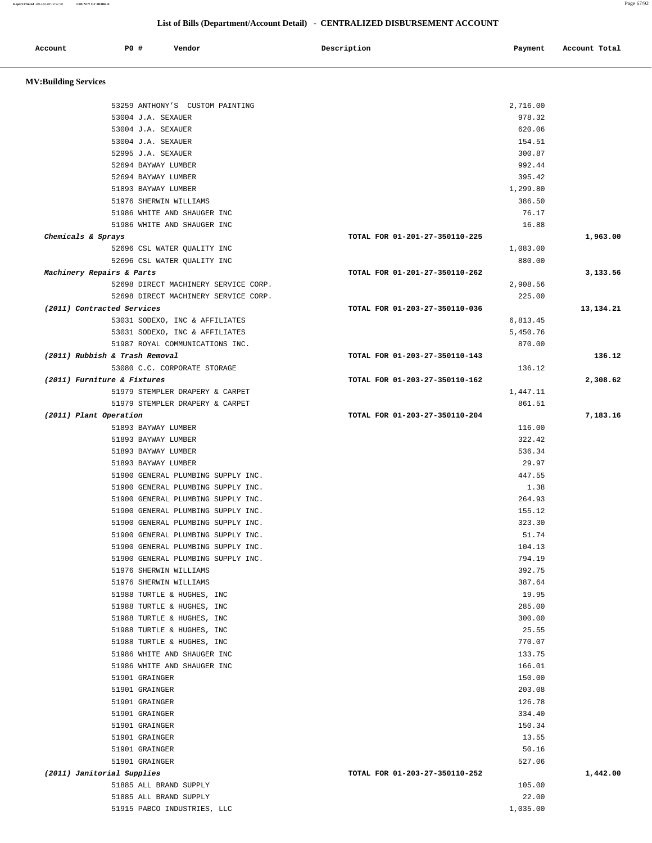| Report Printed 2012-03-08 14:51:38 | <b>COUNTY OF MORRIS</b>                                  |                                                                              | Page 67/92    |
|------------------------------------|----------------------------------------------------------|------------------------------------------------------------------------------|---------------|
|                                    |                                                          | List of Bills (Department/Account Detail) - CENTRALIZED DISBURSEMENT ACCOUNT |               |
| Account                            | <b>PO #</b><br>Vendor                                    | Description<br>Payment                                                       | Account Total |
| <b>MV:Building Services</b>        |                                                          |                                                                              |               |
|                                    | 53259 ANTHONY'S CUSTOM PAINTING                          | 2,716.00                                                                     |               |
|                                    | 53004 J.A. SEXAUER                                       | 978.32                                                                       |               |
|                                    | 53004 J.A. SEXAUER                                       | 620.06                                                                       |               |
|                                    | 53004 J.A. SEXAUER                                       | 154.51                                                                       |               |
|                                    | 52995 J.A. SEXAUER                                       | 300.87                                                                       |               |
|                                    | 52694 BAYWAY LUMBER                                      | 992.44                                                                       |               |
|                                    | 52694 BAYWAY LUMBER                                      | 395.42                                                                       |               |
|                                    | 51893 BAYWAY LUMBER                                      | 1,299.80                                                                     |               |
|                                    | 51976 SHERWIN WILLIAMS                                   | 386.50                                                                       |               |
|                                    | 51986 WHITE AND SHAUGER INC                              | 76.17                                                                        |               |
|                                    | 51986 WHITE AND SHAUGER INC                              | 16.88                                                                        |               |
|                                    | Chemicals & Sprays<br>52696 CSL WATER QUALITY INC        | TOTAL FOR 01-201-27-350110-225<br>1,083.00                                   | 1,963.00      |
|                                    | 52696 CSL WATER QUALITY INC                              | 880.00                                                                       |               |
|                                    | Machinery Repairs & Parts                                | TOTAL FOR 01-201-27-350110-262                                               | 3,133.56      |
|                                    | 52698 DIRECT MACHINERY SERVICE CORP.                     | 2,908.56                                                                     |               |
|                                    | 52698 DIRECT MACHINERY SERVICE CORP.                     | 225.00                                                                       |               |
|                                    | (2011) Contracted Services                               | TOTAL FOR 01-203-27-350110-036                                               | 13,134.21     |
|                                    | 53031 SODEXO, INC & AFFILIATES                           | 6,813.45                                                                     |               |
|                                    | 53031 SODEXO, INC & AFFILIATES                           | 5,450.76                                                                     |               |
|                                    | 51987 ROYAL COMMUNICATIONS INC.                          | 870.00                                                                       |               |
|                                    | (2011) Rubbish & Trash Removal                           | TOTAL FOR 01-203-27-350110-143                                               | 136.12        |
|                                    | 53080 C.C. CORPORATE STORAGE                             | 136.12                                                                       |               |
|                                    | (2011) Furniture & Fixtures                              | TOTAL FOR 01-203-27-350110-162                                               | 2,308.62      |
|                                    | 51979 STEMPLER DRAPERY & CARPET                          | 1,447.11                                                                     |               |
|                                    | 51979 STEMPLER DRAPERY & CARPET                          | 861.51<br>TOTAL FOR 01-203-27-350110-204                                     |               |
|                                    | (2011) Plant Operation<br>51893 BAYWAY LUMBER            | 116.00                                                                       | 7,183.16      |
|                                    | 51893 BAYWAY LUMBER                                      | 322.42                                                                       |               |
|                                    | 51893 BAYWAY LUMBER                                      | 536.34                                                                       |               |
|                                    | 51893 BAYWAY LUMBER                                      | 29.97                                                                        |               |
|                                    | 51900 GENERAL PLUMBING SUPPLY INC.                       | 447.55                                                                       |               |
|                                    | 51900 GENERAL PLUMBING SUPPLY INC.                       | 1.38                                                                         |               |
|                                    | 51900 GENERAL PLUMBING SUPPLY INC.                       | 264.93                                                                       |               |
|                                    | 51900 GENERAL PLUMBING SUPPLY INC.                       | 155.12                                                                       |               |
|                                    | 51900 GENERAL PLUMBING SUPPLY INC.                       | 323.30                                                                       |               |
|                                    | 51900 GENERAL PLUMBING SUPPLY INC.                       | 51.74                                                                        |               |
|                                    | 51900 GENERAL PLUMBING SUPPLY INC.                       | 104.13                                                                       |               |
|                                    | 51900 GENERAL PLUMBING SUPPLY INC.                       | 794.19                                                                       |               |
|                                    | 51976 SHERWIN WILLIAMS                                   | 392.75                                                                       |               |
|                                    | 51976 SHERWIN WILLIAMS                                   | 387.64                                                                       |               |
|                                    | 51988 TURTLE & HUGHES, INC                               | 19.95                                                                        |               |
|                                    | 51988 TURTLE & HUGHES, INC<br>51988 TURTLE & HUGHES, INC | 285.00<br>300.00                                                             |               |
|                                    | 51988 TURTLE & HUGHES, INC                               | 25.55                                                                        |               |
|                                    | 51988 TURTLE & HUGHES, INC                               | 770.07                                                                       |               |
|                                    | 51986 WHITE AND SHAUGER INC                              | 133.75                                                                       |               |
|                                    | 51986 WHITE AND SHAUGER INC                              | 166.01                                                                       |               |
|                                    | 51901 GRAINGER                                           | 150.00                                                                       |               |
|                                    | 51901 GRAINGER                                           | 203.08                                                                       |               |
|                                    | 51901 GRAINGER                                           | 126.78                                                                       |               |
|                                    | 51901 GRAINGER                                           | 334.40                                                                       |               |
|                                    | 51901 GRAINGER                                           | 150.34                                                                       |               |
|                                    | 51901 GRAINGER                                           | 13.55                                                                        |               |
|                                    | 51901 GRAINGER                                           | 50.16                                                                        |               |

51901 GRAINGER 527.06

 **(2011) Janitorial Supplies TOTAL FOR 01-203-27-350110-252 1,442.00**

 51885 ALL BRAND SUPPLY 105.00 51885 ALL BRAND SUPPLY 22.00

51915 PABCO INDUSTRIES, LLC 1,035.00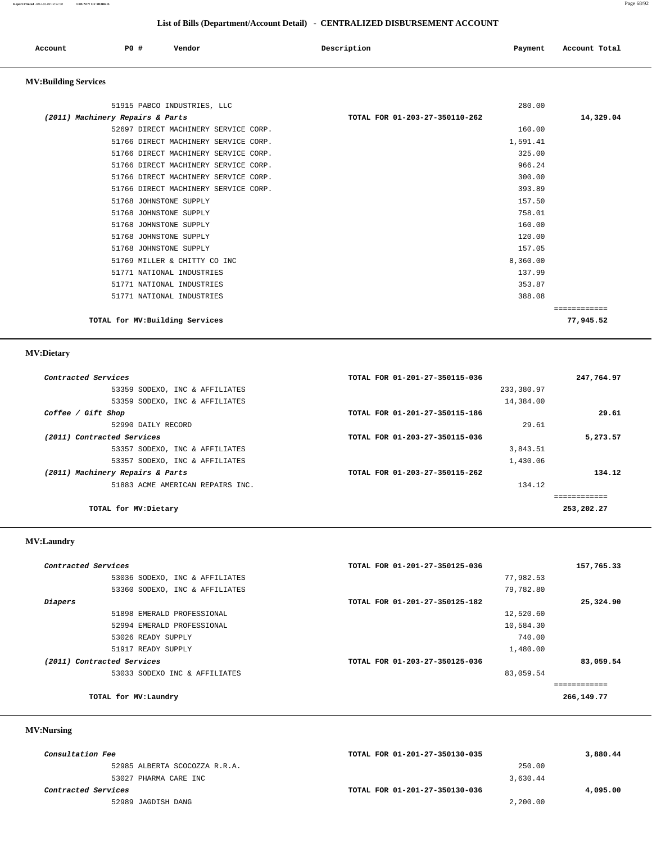**Report Printed** *2012-03-08 14:51:38* **COUNTY OF MORRIS** Page 68/92

## **List of Bills (Department/Account Detail) - CENTRALIZED DISBURSEMENT ACCOUNT**

| Account | PO # | Vendor<br>. | Description | Payment | Account Total |
|---------|------|-------------|-------------|---------|---------------|
|         |      |             |             |         |               |

# **MV:Building Services**

| 280.00<br>51915 PABCO INDUSTRIES, LLC<br>14,329.04<br>(2011) Machinery Repairs & Parts<br>TOTAL FOR 01-203-27-350110-262<br>52697 DIRECT MACHINERY SERVICE CORP.<br>160.00 |  |
|----------------------------------------------------------------------------------------------------------------------------------------------------------------------------|--|
|                                                                                                                                                                            |  |
|                                                                                                                                                                            |  |
|                                                                                                                                                                            |  |
| 51766 DIRECT MACHINERY SERVICE CORP.<br>1,591.41                                                                                                                           |  |
| 51766 DIRECT MACHINERY SERVICE CORP.<br>325.00                                                                                                                             |  |
| 966.24<br>51766 DIRECT MACHINERY SERVICE CORP.                                                                                                                             |  |
| 51766 DIRECT MACHINERY SERVICE CORP.<br>300.00                                                                                                                             |  |
| 51766 DIRECT MACHINERY SERVICE CORP.<br>393.89                                                                                                                             |  |
| 157.50<br>51768 JOHNSTONE SUPPLY                                                                                                                                           |  |
| 51768 JOHNSTONE SUPPLY<br>758.01                                                                                                                                           |  |
| 51768 JOHNSTONE SUPPLY<br>160.00                                                                                                                                           |  |
| 120.00<br>51768 JOHNSTONE SUPPLY                                                                                                                                           |  |
| 51768 JOHNSTONE SUPPLY<br>157.05                                                                                                                                           |  |
| 51769 MILLER & CHITTY CO INC<br>8,360.00                                                                                                                                   |  |
| 51771 NATIONAL INDUSTRIES<br>137.99                                                                                                                                        |  |
| 353.87<br>51771 NATIONAL INDUSTRIES                                                                                                                                        |  |
| 388.08<br>51771 NATIONAL INDUSTRIES                                                                                                                                        |  |
| ============                                                                                                                                                               |  |
| TOTAL for MV: Building Services<br>77,945.52                                                                                                                               |  |

# **MV:Dietary**

| Contracted Services              | TOTAL FOR 01-201-27-350115-036 | 247,764.97 |
|----------------------------------|--------------------------------|------------|
| 53359 SODEXO, INC & AFFILIATES   | 233,380.97                     |            |
| 53359 SODEXO, INC & AFFILIATES   | 14,384.00                      |            |
| Coffee / Gift Shop               | TOTAL FOR 01-201-27-350115-186 | 29.61      |
| 52990 DAILY RECORD               | 29.61                          |            |
| (2011) Contracted Services       | TOTAL FOR 01-203-27-350115-036 | 5,273.57   |
| 53357 SODEXO, INC & AFFILIATES   | 3,843.51                       |            |
| 53357 SODEXO, INC & AFFILIATES   | 1,430.06                       |            |
| (2011) Machinery Repairs & Parts | TOTAL FOR 01-203-27-350115-262 | 134.12     |
| 51883 ACME AMERICAN REPAIRS INC. | 134.12                         |            |
|                                  |                                |            |
| TOTAL for MV:Dietary             |                                | 253,202.27 |

## **MV:Laundry**

| Contracted Services            | TOTAL FOR 01-201-27-350125-036 | 157,765.33 |
|--------------------------------|--------------------------------|------------|
| 53036 SODEXO, INC & AFFILIATES | 77,982.53                      |            |
| 53360 SODEXO, INC & AFFILIATES | 79,782.80                      |            |
| Diapers                        | TOTAL FOR 01-201-27-350125-182 | 25,324.90  |
| 51898 EMERALD PROFESSIONAL     | 12,520.60                      |            |
| 52994 EMERALD PROFESSIONAL     | 10,584.30                      |            |
| 53026 READY SUPPLY             | 740.00                         |            |
| 51917 READY SUPPLY             | 1,480.00                       |            |
| (2011) Contracted Services     | TOTAL FOR 01-203-27-350125-036 | 83,059.54  |
| 53033 SODEXO INC & AFFILIATES  | 83,059.54                      |            |
|                                |                                |            |
| TOTAL for MV: Laundry          |                                | 266,149.77 |

## **MV:Nursing**

| <i>Consultation Fee</i> |                               | TOTAL FOR 01-201-27-350130-035 |          | 3,880.44 |
|-------------------------|-------------------------------|--------------------------------|----------|----------|
|                         | 52985 ALBERTA SCOCOZZA R.R.A. |                                | 250.00   |          |
|                         | 53027 PHARMA CARE INC         |                                | 3,630.44 |          |
| Contracted Services     |                               | TOTAL FOR 01-201-27-350130-036 |          | 4,095.00 |
|                         | 52989 JAGDISH DANG            |                                | 2,200.00 |          |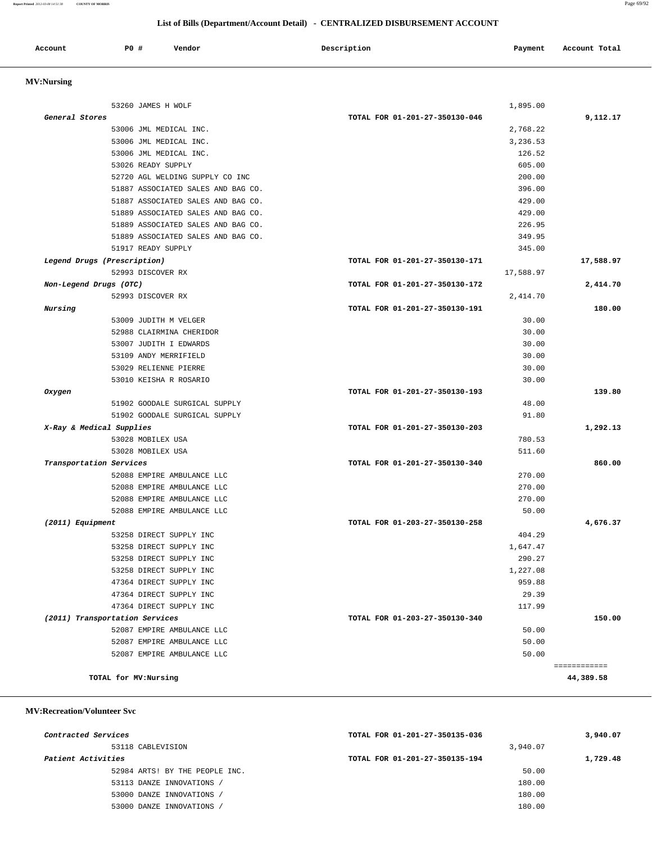| Account | P0 | Vendor | Description<br>$\sim$ $\sim$ | Payment | Total<br>Account |
|---------|----|--------|------------------------------|---------|------------------|
|         |    |        |                              |         |                  |

# **MV:Nursing**

| 53260 JAMES H WOLF<br>General Stores | 1,895.00                       |              |
|--------------------------------------|--------------------------------|--------------|
|                                      | TOTAL FOR 01-201-27-350130-046 | 9,112.17     |
| 53006 JML MEDICAL INC.               | 2,768.22                       |              |
| 53006 JML MEDICAL INC.               | 3,236.53                       |              |
| 53006 JML MEDICAL INC.               | 126.52                         |              |
| 53026 READY SUPPLY                   | 605.00                         |              |
| 52720 AGL WELDING SUPPLY CO INC      | 200.00                         |              |
| 51887 ASSOCIATED SALES AND BAG CO.   | 396.00                         |              |
| 51887 ASSOCIATED SALES AND BAG CO.   | 429.00                         |              |
| 51889 ASSOCIATED SALES AND BAG CO.   | 429.00                         |              |
| 51889 ASSOCIATED SALES AND BAG CO.   | 226.95                         |              |
| 51889 ASSOCIATED SALES AND BAG CO.   | 349.95                         |              |
| 51917 READY SUPPLY                   | 345.00                         |              |
| Legend Drugs (Prescription)          | TOTAL FOR 01-201-27-350130-171 | 17,588.97    |
| 52993 DISCOVER RX                    | 17,588.97                      |              |
| Non-Legend Drugs (OTC)               | TOTAL FOR 01-201-27-350130-172 | 2,414.70     |
| 52993 DISCOVER RX                    | 2,414.70                       |              |
| Nursing                              | TOTAL FOR 01-201-27-350130-191 | 180.00       |
| 53009 JUDITH M VELGER                | 30.00                          |              |
| 52988 CLAIRMINA CHERIDOR             | 30.00                          |              |
| 53007 JUDITH I EDWARDS               | 30.00                          |              |
| 53109 ANDY MERRIFIELD                | 30.00                          |              |
| 53029 RELIENNE PIERRE                | 30.00                          |              |
| 53010 KEISHA R ROSARIO               | 30.00                          |              |
| Oxygen                               | TOTAL FOR 01-201-27-350130-193 | 139.80       |
| 51902 GOODALE SURGICAL SUPPLY        | 48.00                          |              |
| 51902 GOODALE SURGICAL SUPPLY        | 91.80                          |              |
| X-Ray & Medical Supplies             | TOTAL FOR 01-201-27-350130-203 | 1,292.13     |
| 53028 MOBILEX USA                    | 780.53                         |              |
| 53028 MOBILEX USA                    | 511.60                         |              |
| Transportation Services              | TOTAL FOR 01-201-27-350130-340 | 860.00       |
| 52088 EMPIRE AMBULANCE LLC           | 270.00                         |              |
| 52088 EMPIRE AMBULANCE LLC           | 270.00                         |              |
| 52088 EMPIRE AMBULANCE LLC           | 270.00                         |              |
| 52088 EMPIRE AMBULANCE LLC           | 50.00                          |              |
| (2011) Equipment                     | TOTAL FOR 01-203-27-350130-258 | 4,676.37     |
| 53258 DIRECT SUPPLY INC              | 404.29                         |              |
| 53258 DIRECT SUPPLY INC              | 1,647.47                       |              |
| 53258 DIRECT SUPPLY INC              | 290.27                         |              |
| 53258 DIRECT SUPPLY INC              | 1,227.08                       |              |
| 47364 DIRECT SUPPLY INC              | 959.88                         |              |
| 47364 DIRECT SUPPLY INC              | 29.39                          |              |
| 47364 DIRECT SUPPLY INC              | 117.99                         |              |
| (2011) Transportation Services       | TOTAL FOR 01-203-27-350130-340 | 150.00       |
| 52087 EMPIRE AMBULANCE LLC           | 50.00                          |              |
| 52087 EMPIRE AMBULANCE LLC           | 50.00                          |              |
|                                      |                                |              |
| 52087 EMPIRE AMBULANCE LLC           | 50.00                          |              |
|                                      |                                | ============ |
| TOTAL for MV:Nursing                 |                                | 44,389.58    |

 **MV:Recreation/Volunteer Svc**

| Contracted Services |                                | TOTAL FOR 01-201-27-350135-036 |          | 3,940.07 |
|---------------------|--------------------------------|--------------------------------|----------|----------|
|                     | 53118 CABLEVISION              |                                | 3,940.07 |          |
| Patient Activities  |                                | TOTAL FOR 01-201-27-350135-194 |          | 1,729.48 |
|                     | 52984 ARTS! BY THE PEOPLE INC. |                                | 50.00    |          |
|                     | 53113 DANZE INNOVATIONS        |                                | 180.00   |          |
|                     | 53000 DANZE INNOVATIONS /      |                                | 180.00   |          |
|                     | 53000 DANZE INNOVATIONS        |                                | 180.00   |          |
|                     |                                |                                |          |          |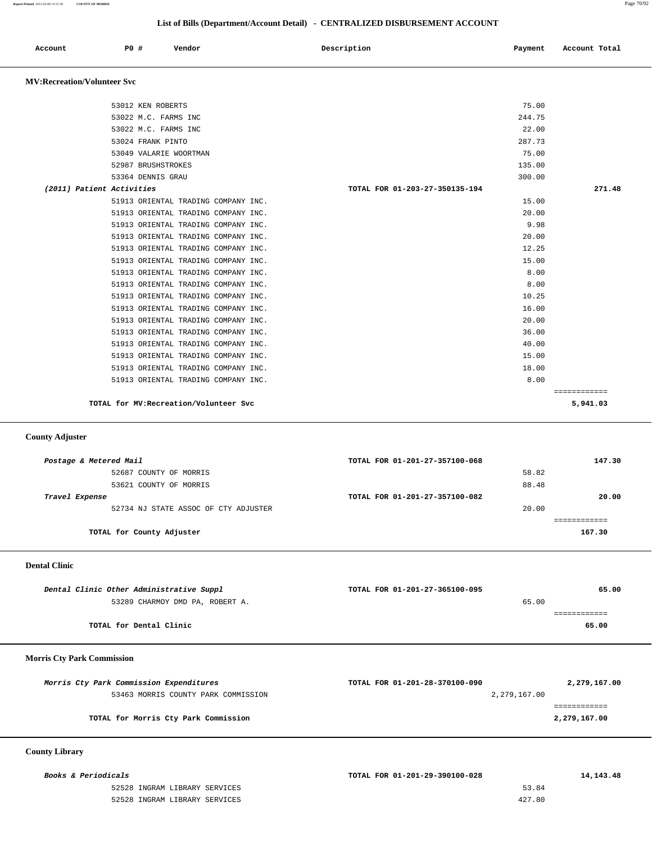**Report Printed** *2012-03-08 14:51:38* **COUNTY OF MORRIS** Page 70/92

## **List of Bills (Department/Account Detail) - CENTRALIZED DISBURSEMENT ACCOUNT**

| Account | PO# | Vendor | Description | Payment | Account Total |
|---------|-----|--------|-------------|---------|---------------|
|         |     |        |             |         |               |

## **MV:Recreation/Volunteer Svc**

|                           | 53012 KEN ROBERTS                      | 75.00                          |              |
|---------------------------|----------------------------------------|--------------------------------|--------------|
|                           | 53022 M.C. FARMS INC                   | 244.75                         |              |
|                           | 53022 M.C. FARMS INC                   | 22.00                          |              |
|                           | 53024 FRANK PINTO                      | 287.73                         |              |
|                           | 53049 VALARIE WOORTMAN                 | 75.00                          |              |
|                           | 52987 BRUSHSTROKES                     | 135.00                         |              |
|                           | 53364 DENNIS GRAU                      | 300.00                         |              |
| (2011) Patient Activities |                                        | TOTAL FOR 01-203-27-350135-194 | 271.48       |
|                           | 51913 ORIENTAL TRADING COMPANY INC.    | 15.00                          |              |
|                           | 51913 ORIENTAL TRADING COMPANY INC.    | 20.00                          |              |
|                           | 51913 ORIENTAL TRADING COMPANY INC.    | 9.98                           |              |
|                           | 51913 ORIENTAL TRADING COMPANY INC.    | 20.00                          |              |
|                           | 51913 ORIENTAL TRADING COMPANY INC.    | 12.25                          |              |
|                           | 51913 ORIENTAL TRADING COMPANY INC.    | 15.00                          |              |
|                           | 51913 ORIENTAL TRADING COMPANY INC.    | 8.00                           |              |
|                           | 51913 ORIENTAL TRADING COMPANY INC.    | 8.00                           |              |
|                           | 51913 ORIENTAL TRADING COMPANY INC.    | 10.25                          |              |
|                           | 51913 ORIENTAL TRADING COMPANY INC.    | 16.00                          |              |
|                           | 51913 ORIENTAL TRADING COMPANY INC.    | 20.00                          |              |
|                           | 51913 ORIENTAL TRADING COMPANY INC.    | 36.00                          |              |
|                           | 51913 ORIENTAL TRADING COMPANY INC.    | 40.00                          |              |
|                           | 51913 ORIENTAL TRADING COMPANY INC.    | 15.00                          |              |
|                           | 51913 ORIENTAL TRADING COMPANY INC.    | 18.00                          |              |
|                           | 51913 ORIENTAL TRADING COMPANY INC.    | 8.00                           |              |
|                           |                                        |                                | ============ |
|                           | TOTAL for MV: Recreation/Volunteer Svc |                                | 5,941.03     |
|                           |                                        |                                |              |

### **County Adjuster**

| Postage & Metered Mail               | TOTAL FOR 01-201-27-357100-068 |       | 147.30 |
|--------------------------------------|--------------------------------|-------|--------|
| 52687 COUNTY OF MORRIS               |                                | 58.82 |        |
| 53621 COUNTY OF MORRIS               |                                | 88.48 |        |
| Travel Expense                       | TOTAL FOR 01-201-27-357100-082 |       | 20.00  |
| 52734 NJ STATE ASSOC OF CTY ADJUSTER |                                | 20.00 |        |
|                                      |                                |       |        |
| TOTAL for County Adjuster            |                                |       | 167.30 |
|                                      |                                |       |        |

### **Dental Clinic**

| Dental Clinic Other Administrative Suppl | TOTAL FOR 01-201-27-365100-095 | 65.00 |
|------------------------------------------|--------------------------------|-------|
| 53289 CHARMOY DMD PA, ROBERT A.          | 65.00                          |       |
|                                          |                                |       |
| TOTAL for Dental Clinic                  |                                | 65.00 |

## **Morris Cty Park Commission**

| Morris Cty Park Commission Expenditures | TOTAL FOR 01-201-28-370100-090 | 2,279,167.00 |
|-----------------------------------------|--------------------------------|--------------|
| 53463 MORRIS COUNTY PARK COMMISSION     | 2,279,167.00                   |              |
|                                         |                                |              |
| TOTAL for Morris Cty Park Commission    |                                | 2,279,167.00 |

## **County Library**

52528 INGRAM LIBRARY SERVICES 52528 INGRAM LIBRARY SERVICES

| <i>Books &amp; Periodicals</i> | TOTAL FOR 01-201-29-390100-028 | 14, 143, 48 |
|--------------------------------|--------------------------------|-------------|
| 52528 INGRAM LIBRARY SERVICES  | 53.84                          |             |
| 52528 INGRAM LIBRARY SERVICES  | 427.80                         |             |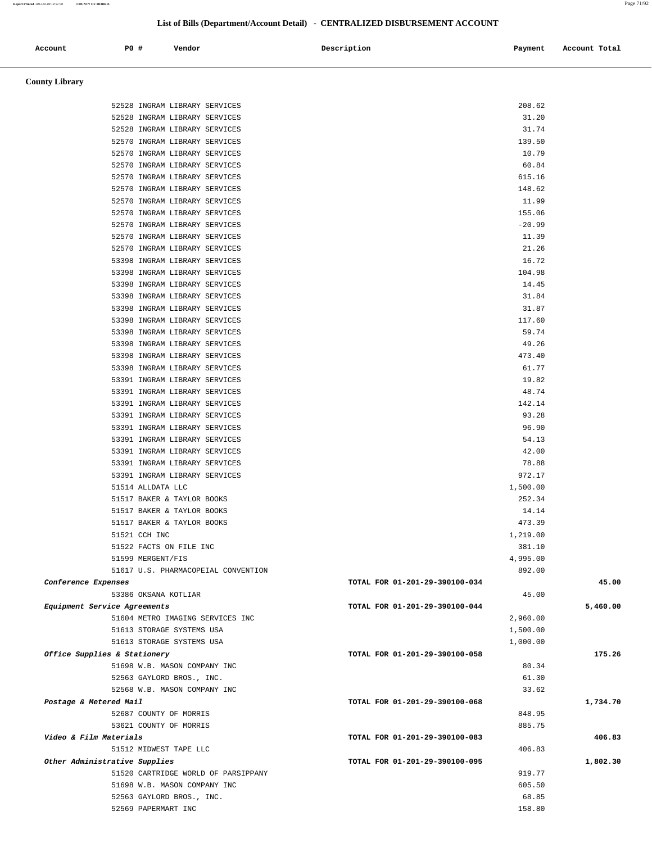| Account                       | <b>PO #</b> | Vendor                                                         |                                     | Description                    | Payment              | Account Total |
|-------------------------------|-------------|----------------------------------------------------------------|-------------------------------------|--------------------------------|----------------------|---------------|
|                               |             |                                                                |                                     |                                |                      |               |
| <b>County Library</b>         |             |                                                                |                                     |                                |                      |               |
|                               |             |                                                                |                                     |                                |                      |               |
|                               |             | 52528 INGRAM LIBRARY SERVICES<br>52528 INGRAM LIBRARY SERVICES |                                     |                                | 208.62<br>31.20      |               |
|                               |             | 52528 INGRAM LIBRARY SERVICES                                  |                                     |                                | 31.74                |               |
|                               |             | 52570 INGRAM LIBRARY SERVICES                                  |                                     |                                | 139.50               |               |
|                               |             | 52570 INGRAM LIBRARY SERVICES                                  |                                     |                                | 10.79                |               |
|                               |             | 52570 INGRAM LIBRARY SERVICES                                  |                                     |                                | 60.84                |               |
|                               |             | 52570 INGRAM LIBRARY SERVICES                                  |                                     |                                | 615.16               |               |
|                               |             | 52570 INGRAM LIBRARY SERVICES                                  |                                     |                                | 148.62               |               |
|                               |             | 52570 INGRAM LIBRARY SERVICES                                  |                                     |                                | 11.99                |               |
|                               |             | 52570 INGRAM LIBRARY SERVICES                                  |                                     |                                | 155.06               |               |
|                               |             | 52570 INGRAM LIBRARY SERVICES                                  |                                     |                                | $-20.99$             |               |
|                               |             | 52570 INGRAM LIBRARY SERVICES                                  |                                     |                                | 11.39                |               |
|                               |             | 52570 INGRAM LIBRARY SERVICES<br>53398 INGRAM LIBRARY SERVICES |                                     |                                | 21.26<br>16.72       |               |
|                               |             | 53398 INGRAM LIBRARY SERVICES                                  |                                     |                                | 104.98               |               |
|                               |             | 53398 INGRAM LIBRARY SERVICES                                  |                                     |                                | 14.45                |               |
|                               |             | 53398 INGRAM LIBRARY SERVICES                                  |                                     |                                | 31.84                |               |
|                               |             | 53398 INGRAM LIBRARY SERVICES                                  |                                     |                                | 31.87                |               |
|                               |             | 53398 INGRAM LIBRARY SERVICES                                  |                                     |                                | 117.60               |               |
|                               |             | 53398 INGRAM LIBRARY SERVICES                                  |                                     |                                | 59.74                |               |
|                               |             | 53398 INGRAM LIBRARY SERVICES                                  |                                     |                                | 49.26                |               |
|                               |             | 53398 INGRAM LIBRARY SERVICES                                  |                                     |                                | 473.40               |               |
|                               |             | 53398 INGRAM LIBRARY SERVICES                                  |                                     |                                | 61.77                |               |
|                               |             | 53391 INGRAM LIBRARY SERVICES                                  |                                     |                                | 19.82                |               |
|                               |             | 53391 INGRAM LIBRARY SERVICES                                  |                                     |                                | 48.74                |               |
|                               |             | 53391 INGRAM LIBRARY SERVICES                                  |                                     |                                | 142.14               |               |
|                               |             | 53391 INGRAM LIBRARY SERVICES                                  |                                     |                                | 93.28                |               |
|                               |             | 53391 INGRAM LIBRARY SERVICES                                  |                                     |                                | 96.90                |               |
|                               |             | 53391 INGRAM LIBRARY SERVICES<br>53391 INGRAM LIBRARY SERVICES |                                     |                                | 54.13<br>42.00       |               |
|                               |             | 53391 INGRAM LIBRARY SERVICES                                  |                                     |                                | 78.88                |               |
|                               |             | 53391 INGRAM LIBRARY SERVICES                                  |                                     |                                | 972.17               |               |
|                               |             | 51514 ALLDATA LLC                                              |                                     |                                | 1,500.00             |               |
|                               |             | 51517 BAKER & TAYLOR BOOKS                                     |                                     |                                | 252.34               |               |
|                               |             | 51517 BAKER & TAYLOR BOOKS                                     |                                     |                                | 14.14                |               |
|                               |             | 51517 BAKER & TAYLOR BOOKS                                     |                                     |                                | 473.39               |               |
|                               |             | 51521 CCH INC                                                  |                                     |                                | 1,219.00             |               |
|                               |             | 51522 FACTS ON FILE INC                                        |                                     |                                | 381.10               |               |
|                               |             | 51599 MERGENT/FIS                                              |                                     |                                | 4,995.00             |               |
|                               |             |                                                                | 51617 U.S. PHARMACOPEIAL CONVENTION |                                | 892.00               |               |
| Conference Expenses           |             |                                                                |                                     | TOTAL FOR 01-201-29-390100-034 |                      | 45.00         |
|                               |             | 53386 OKSANA KOTLIAR                                           |                                     |                                | 45.00                |               |
| Equipment Service Agreements  |             | 51604 METRO IMAGING SERVICES INC                               |                                     | TOTAL FOR 01-201-29-390100-044 |                      | 5,460.00      |
|                               |             | 51613 STORAGE SYSTEMS USA                                      |                                     |                                | 2,960.00<br>1,500.00 |               |
|                               |             | 51613 STORAGE SYSTEMS USA                                      |                                     |                                | 1,000.00             |               |
| Office Supplies & Stationery  |             |                                                                |                                     | TOTAL FOR 01-201-29-390100-058 |                      | 175.26        |
|                               |             | 51698 W.B. MASON COMPANY INC                                   |                                     |                                | 80.34                |               |
|                               |             | 52563 GAYLORD BROS., INC.                                      |                                     |                                | 61.30                |               |
|                               |             | 52568 W.B. MASON COMPANY INC                                   |                                     |                                | 33.62                |               |
| Postage & Metered Mail        |             |                                                                |                                     | TOTAL FOR 01-201-29-390100-068 |                      | 1,734.70      |
|                               |             | 52687 COUNTY OF MORRIS                                         |                                     |                                | 848.95               |               |
|                               |             | 53621 COUNTY OF MORRIS                                         |                                     |                                | 885.75               |               |
| Video & Film Materials        |             |                                                                |                                     | TOTAL FOR 01-201-29-390100-083 |                      | 406.83        |
|                               |             | 51512 MIDWEST TAPE LLC                                         |                                     |                                | 406.83               |               |
| Other Administrative Supplies |             |                                                                |                                     | TOTAL FOR 01-201-29-390100-095 |                      | 1,802.30      |
|                               |             | 51698 W.B. MASON COMPANY INC                                   | 51520 CARTRIDGE WORLD OF PARSIPPANY |                                | 919.77<br>605.50     |               |
|                               |             | 52563 GAYLORD BROS., INC.                                      |                                     |                                | 68.85                |               |
|                               |             |                                                                |                                     |                                |                      |               |

52569 PAPERMART INC 158.80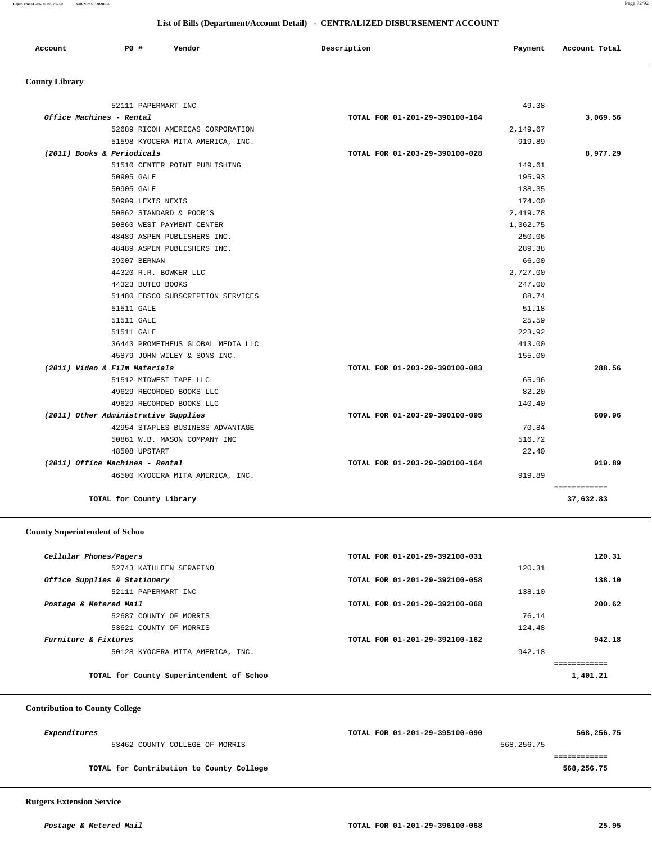| Account | <b>PO #</b> | Vendor | Description | Payment | Account Total |
|---------|-------------|--------|-------------|---------|---------------|
|         |             |        |             |         |               |

# **County Library**

|                                 | 52111 PAPERMART INC                  | 49.38                          |          |
|---------------------------------|--------------------------------------|--------------------------------|----------|
| Office Machines - Rental        |                                      | TOTAL FOR 01-201-29-390100-164 | 3,069.56 |
|                                 | 52689 RICOH AMERICAS CORPORATION     | 2,149.67                       |          |
|                                 | 51598 KYOCERA MITA AMERICA, INC.     | 919.89                         |          |
| (2011) Books & Periodicals      |                                      | TOTAL FOR 01-203-29-390100-028 | 8,977.29 |
|                                 | 51510 CENTER POINT PUBLISHING        | 149.61                         |          |
|                                 | 50905 GALE                           | 195.93                         |          |
|                                 | 50905 GALE                           | 138.35                         |          |
|                                 | 50909 LEXIS NEXIS                    | 174.00                         |          |
|                                 | 50862 STANDARD & POOR'S              | 2,419.78                       |          |
|                                 | 50860 WEST PAYMENT CENTER            | 1,362.75                       |          |
|                                 | 48489 ASPEN PUBLISHERS INC.          | 250.06                         |          |
|                                 | 48489 ASPEN PUBLISHERS INC.          | 289.38                         |          |
|                                 | 39007 BERNAN                         | 66.00                          |          |
|                                 | 44320 R.R. BOWKER LLC                | 2,727.00                       |          |
|                                 | 44323 BUTEO BOOKS                    | 247.00                         |          |
|                                 | 51480 EBSCO SUBSCRIPTION SERVICES    | 88.74                          |          |
|                                 | 51511 GALE                           | 51.18                          |          |
|                                 | 51511 GALE                           | 25.59                          |          |
|                                 | 51511 GALE                           | 223.92                         |          |
|                                 | 36443 PROMETHEUS GLOBAL MEDIA LLC    | 413.00                         |          |
|                                 | 45879 JOHN WILEY & SONS INC.         | 155.00                         |          |
| (2011) Video & Film Materials   |                                      | TOTAL FOR 01-203-29-390100-083 | 288.56   |
|                                 | 51512 MIDWEST TAPE LLC               | 65.96                          |          |
|                                 | 49629 RECORDED BOOKS LLC             | 82.20                          |          |
|                                 | 49629 RECORDED BOOKS LLC             | 140.40                         |          |
|                                 | (2011) Other Administrative Supplies | TOTAL FOR 01-203-29-390100-095 | 609.96   |
|                                 | 42954 STAPLES BUSINESS ADVANTAGE     | 70.84                          |          |
|                                 | 50861 W.B. MASON COMPANY INC         | 516.72                         |          |
|                                 | 48508 UPSTART                        | 22.40                          |          |
| (2011) Office Machines - Rental |                                      | TOTAL FOR 01-203-29-390100-164 | 919.89   |
|                                 | 46500 KYOCERA MITA AMERICA, INC.     | 919.89                         |          |

# **County Superintendent of Schoo**

| Cellular Phones/Pagers                   | TOTAL FOR 01-201-29-392100-031 | 120.31   |
|------------------------------------------|--------------------------------|----------|
| 52743 KATHLEEN SERAFINO                  |                                | 120.31   |
| Office Supplies & Stationery             | TOTAL FOR 01-201-29-392100-058 | 138.10   |
| 52111 PAPERMART INC                      |                                | 138.10   |
| Postage & Metered Mail                   | TOTAL FOR 01-201-29-392100-068 | 200.62   |
| 52687 COUNTY OF MORRIS                   |                                | 76.14    |
| 53621 COUNTY OF MORRIS                   |                                | 124.48   |
| Furniture & Fixtures                     | TOTAL FOR 01-201-29-392100-162 | 942.18   |
| 50128 KYOCERA MITA AMERICA, INC.         |                                | 942.18   |
|                                          |                                |          |
| TOTAL for County Superintendent of Schoo |                                | 1,401.21 |

## **Contribution to County College**

| Expenditures                             | TOTAL FOR 01-201-29-395100-090 | 568,256.75 |
|------------------------------------------|--------------------------------|------------|
| 53462 COUNTY COLLEGE OF MORRIS           | 568,256.75                     |            |
|                                          |                                |            |
| TOTAL for Contribution to County College |                                | 568,256.75 |

# **Rutgers Extension Service**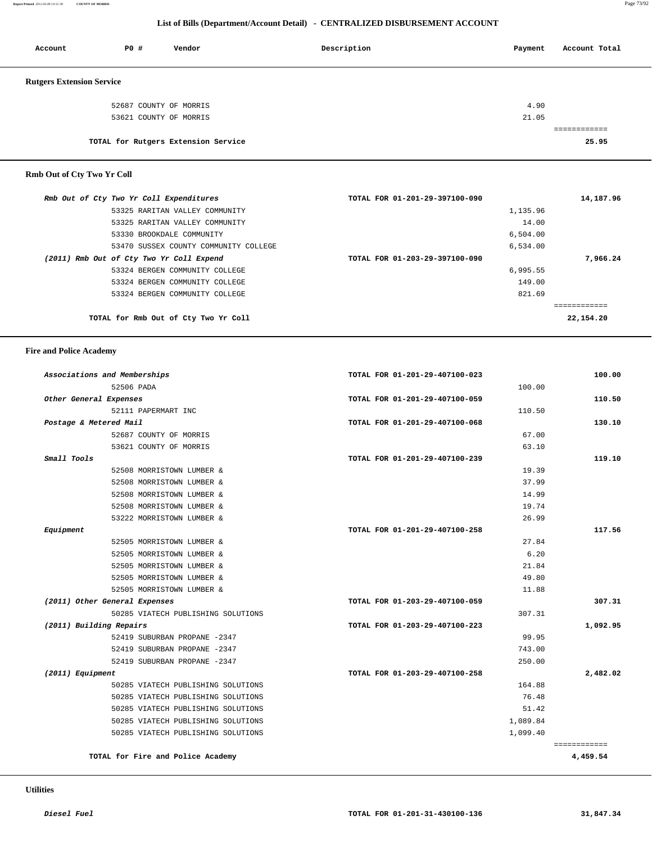**Report Printed** *2012-03-08 14:51:38* **COUNTY OF MORRIS** Page 73/92

## **List of Bills (Department/Account Detail) - CENTRALIZED DISBURSEMENT ACCOUNT**

| Account                          | <b>PO #</b> | Vendor                              | Description | Payment | Account Total |
|----------------------------------|-------------|-------------------------------------|-------------|---------|---------------|
| <b>Rutgers Extension Service</b> |             |                                     |             |         |               |
|                                  |             | 52687 COUNTY OF MORRIS              |             | 4.90    |               |
|                                  |             | 53621 COUNTY OF MORRIS              |             | 21.05   |               |
|                                  |             |                                     |             |         |               |
|                                  |             | TOTAL for Rutgers Extension Service |             |         | 25.95         |
|                                  |             |                                     |             |         |               |

# **Rmb Out of Cty Two Yr Coll**

| Rmb Out of Cty Two Yr Coll Expenditures  | TOTAL FOR 01-201-29-397100-090 | 14,187.96 |
|------------------------------------------|--------------------------------|-----------|
| 53325 RARITAN VALLEY COMMUNITY           | 1,135.96                       |           |
| 53325 RARITAN VALLEY COMMUNITY           | 14.00                          |           |
| 53330 BROOKDALE COMMUNITY                | 6,504.00                       |           |
| 53470 SUSSEX COUNTY COMMUNITY COLLEGE    | 6,534.00                       |           |
| (2011) Rmb Out of Cty Two Yr Coll Expend | TOTAL FOR 01-203-29-397100-090 | 7,966.24  |
| 53324 BERGEN COMMUNITY COLLEGE           | 6,995.55                       |           |
| 53324 BERGEN COMMUNITY COLLEGE           | 149.00                         |           |
| 53324 BERGEN COMMUNITY COLLEGE           | 821.69                         |           |
|                                          |                                |           |
| TOTAL for Rmb Out of Cty Two Yr Coll     |                                | 22,154.20 |

### **Fire and Police Academy**

| Associations and Memberships  |                                    | TOTAL FOR 01-201-29-407100-023 | 100.00       |
|-------------------------------|------------------------------------|--------------------------------|--------------|
| 52506 PADA                    |                                    | 100.00                         |              |
| Other General Expenses        |                                    | TOTAL FOR 01-201-29-407100-059 | 110.50       |
|                               | 52111 PAPERMART INC                | 110.50                         |              |
| Postage & Metered Mail        |                                    | TOTAL FOR 01-201-29-407100-068 | 130.10       |
|                               | 52687 COUNTY OF MORRIS             | 67.00                          |              |
|                               | 53621 COUNTY OF MORRIS             | 63.10                          |              |
| Small Tools                   |                                    | TOTAL FOR 01-201-29-407100-239 | 119.10       |
|                               | 52508 MORRISTOWN LUMBER &          | 19.39                          |              |
|                               | 52508 MORRISTOWN LUMBER &          | 37.99                          |              |
|                               | 52508 MORRISTOWN LUMBER &          | 14.99                          |              |
|                               | 52508 MORRISTOWN LUMBER &          | 19.74                          |              |
|                               | 53222 MORRISTOWN LUMBER &          | 26.99                          |              |
| Equipment                     |                                    | TOTAL FOR 01-201-29-407100-258 | 117.56       |
|                               | 52505 MORRISTOWN LUMBER &          | 27.84                          |              |
|                               | 52505 MORRISTOWN LUMBER &          | 6.20                           |              |
|                               | 52505 MORRISTOWN LUMBER &          | 21.84                          |              |
|                               | 52505 MORRISTOWN LUMBER &          | 49.80                          |              |
|                               | 52505 MORRISTOWN LUMBER &          | 11.88                          |              |
| (2011) Other General Expenses |                                    | TOTAL FOR 01-203-29-407100-059 | 307.31       |
|                               | 50285 VIATECH PUBLISHING SOLUTIONS | 307.31                         |              |
| (2011) Building Repairs       |                                    | TOTAL FOR 01-203-29-407100-223 | 1,092.95     |
|                               | 52419 SUBURBAN PROPANE -2347       | 99.95                          |              |
|                               | 52419 SUBURBAN PROPANE -2347       | 743.00                         |              |
|                               | 52419 SUBURBAN PROPANE -2347       | 250.00                         |              |
| (2011) Equipment              |                                    | TOTAL FOR 01-203-29-407100-258 | 2,482.02     |
|                               | 50285 VIATECH PUBLISHING SOLUTIONS | 164.88                         |              |
|                               | 50285 VIATECH PUBLISHING SOLUTIONS | 76.48                          |              |
|                               | 50285 VIATECH PUBLISHING SOLUTIONS | 51.42                          |              |
|                               | 50285 VIATECH PUBLISHING SOLUTIONS | 1,089.84                       |              |
|                               | 50285 VIATECH PUBLISHING SOLUTIONS | 1,099.40                       |              |
|                               |                                    |                                | ============ |
|                               | TOTAL for Fire and Police Academy  |                                | 4,459.54     |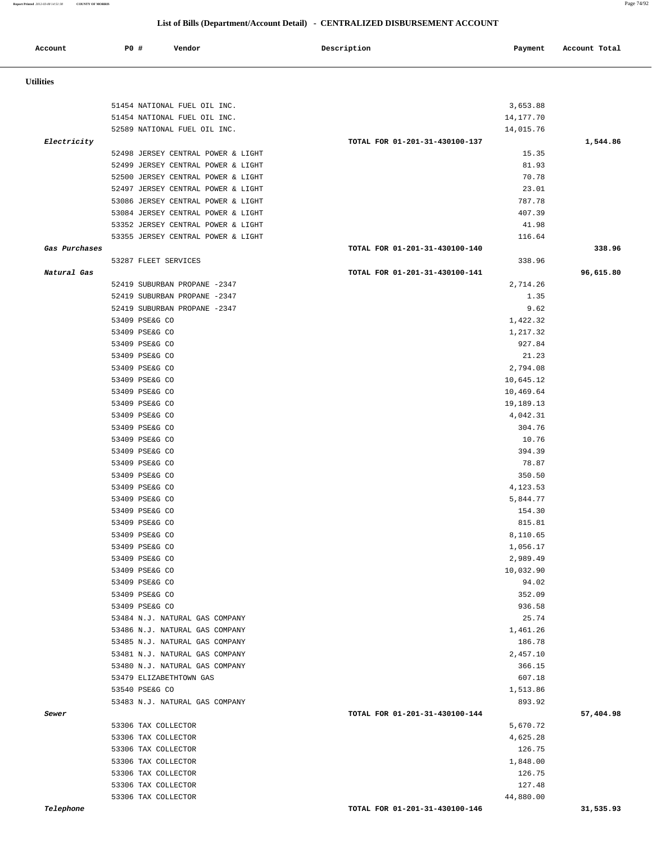**Report Printed** *2012-03-08 14:51:38* **COUNTY OF MORRIS** Page 74/92

# **List of Bills (Department/Account Detail) - CENTRALIZED DISBURSEMENT ACCOUNT**

| Account          | <b>PO #</b> | Vendor                                                    | Description<br>Payment                      | Account Total |
|------------------|-------------|-----------------------------------------------------------|---------------------------------------------|---------------|
| <b>Utilities</b> |             |                                                           |                                             |               |
|                  |             |                                                           |                                             |               |
|                  |             | 51454 NATIONAL FUEL OIL INC.                              | 3,653.88                                    |               |
|                  |             | 51454 NATIONAL FUEL OIL INC.                              | 14,177.70                                   |               |
| Electricity      |             | 52589 NATIONAL FUEL OIL INC.                              | 14,015.76<br>TOTAL FOR 01-201-31-430100-137 |               |
|                  |             | 52498 JERSEY CENTRAL POWER & LIGHT                        | 15.35                                       | 1,544.86      |
|                  |             | 52499 JERSEY CENTRAL POWER & LIGHT                        | 81.93                                       |               |
|                  |             | 52500 JERSEY CENTRAL POWER & LIGHT                        | 70.78                                       |               |
|                  |             | 52497 JERSEY CENTRAL POWER & LIGHT                        | 23.01                                       |               |
|                  |             | 53086 JERSEY CENTRAL POWER & LIGHT                        | 787.78                                      |               |
|                  |             | 53084 JERSEY CENTRAL POWER & LIGHT                        | 407.39                                      |               |
|                  |             | 53352 JERSEY CENTRAL POWER & LIGHT                        | 41.98                                       |               |
|                  |             | 53355 JERSEY CENTRAL POWER & LIGHT                        | 116.64                                      |               |
| Gas Purchases    |             |                                                           | TOTAL FOR 01-201-31-430100-140              | 338.96        |
|                  |             | 53287 FLEET SERVICES                                      | 338.96                                      |               |
| Natural Gas      |             |                                                           | TOTAL FOR 01-201-31-430100-141              | 96,615.80     |
|                  |             | 52419 SUBURBAN PROPANE -2347                              | 2,714.26                                    |               |
|                  |             | 52419 SUBURBAN PROPANE -2347                              | 1.35                                        |               |
|                  |             | 52419 SUBURBAN PROPANE -2347                              | 9.62                                        |               |
|                  |             | 53409 PSE&G CO                                            | 1,422.32                                    |               |
|                  |             | 53409 PSE&G CO                                            | 1,217.32                                    |               |
|                  |             | 53409 PSE&G CO                                            | 927.84                                      |               |
|                  |             | 53409 PSE&G CO                                            | 21.23                                       |               |
|                  |             | 53409 PSE&G CO                                            | 2,794.08                                    |               |
|                  |             | 53409 PSE&G CO                                            | 10,645.12                                   |               |
|                  |             | 53409 PSE&G CO                                            | 10,469.64                                   |               |
|                  |             | 53409 PSE&G CO                                            | 19,189.13                                   |               |
|                  |             | 53409 PSE&G CO                                            | 4,042.31                                    |               |
|                  |             | 53409 PSE&G CO                                            | 304.76                                      |               |
|                  |             | 53409 PSE&G CO                                            | 10.76                                       |               |
|                  |             | 53409 PSE&G CO                                            | 394.39                                      |               |
|                  |             | 53409 PSE&G CO                                            | 78.87                                       |               |
|                  |             | 53409 PSE&G CO                                            | 350.50                                      |               |
|                  |             | 53409 PSE&G CO                                            | 4,123.53                                    |               |
|                  |             | 53409 PSE&G CO                                            | 5,844.77                                    |               |
|                  |             | 53409 PSE&G CO                                            | 154.30                                      |               |
|                  |             | 53409 PSE&G CO                                            | 815.81                                      |               |
|                  |             | 53409 PSE&G CO                                            | 8,110.65                                    |               |
|                  |             | 53409 PSE&G CO                                            | 1,056.17                                    |               |
|                  |             | 53409 PSE&G CO                                            | 2,989.49                                    |               |
|                  |             | 53409 PSE&G CO                                            | 10,032.90                                   |               |
|                  |             | 53409 PSE&G CO                                            | 94.02                                       |               |
|                  |             | 53409 PSE&G CO                                            | 352.09                                      |               |
|                  |             | 53409 PSE&G CO                                            | 936.58                                      |               |
|                  |             | 53484 N.J. NATURAL GAS COMPANY                            | 25.74                                       |               |
|                  |             | 53486 N.J. NATURAL GAS COMPANY                            | 1,461.26                                    |               |
|                  |             | 53485 N.J. NATURAL GAS COMPANY                            | 186.78                                      |               |
|                  |             | 53481 N.J. NATURAL GAS COMPANY                            | 2,457.10                                    |               |
|                  |             | 53480 N.J. NATURAL GAS COMPANY<br>53479 ELIZABETHTOWN GAS | 366.15<br>607.18                            |               |
|                  |             | 53540 PSE&G CO                                            | 1,513.86                                    |               |
|                  |             | 53483 N.J. NATURAL GAS COMPANY                            | 893.92                                      |               |
| Sewer            |             |                                                           | TOTAL FOR 01-201-31-430100-144              | 57,404.98     |
|                  |             | 53306 TAX COLLECTOR                                       | 5,670.72                                    |               |
|                  |             | 53306 TAX COLLECTOR                                       | 4,625.28                                    |               |
|                  |             | 53306 TAX COLLECTOR                                       | 126.75                                      |               |
|                  |             | 53306 TAX COLLECTOR                                       | 1,848.00                                    |               |
|                  |             | 53306 TAX COLLECTOR                                       | 126.75                                      |               |
|                  |             | 53306 TAX COLLECTOR                                       | 127.48                                      |               |
|                  |             |                                                           | 44,880.00                                   |               |
|                  |             | 53306 TAX COLLECTOR                                       |                                             |               |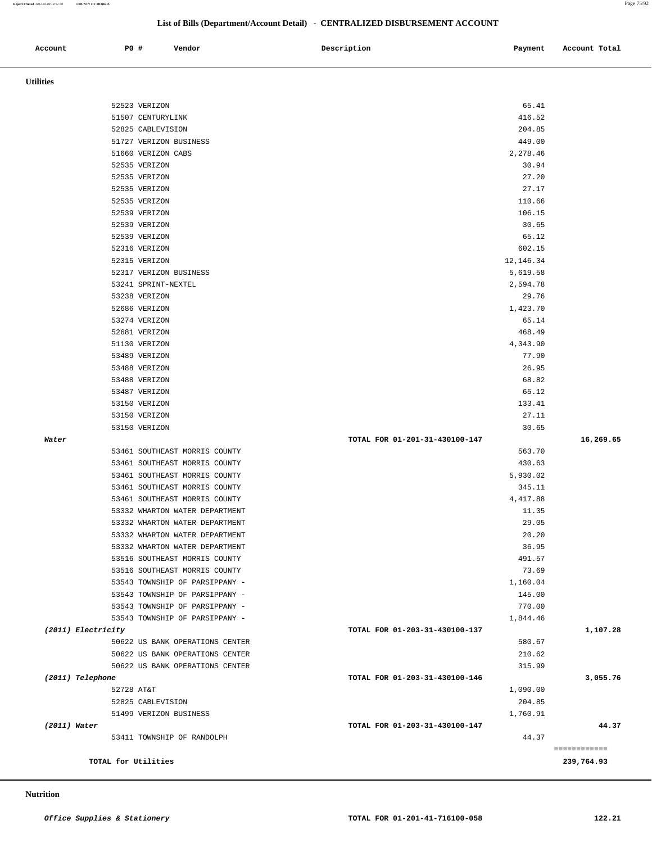**Report Printed** *2012-03-08 14:51:38* **COUNTY OF MORRIS** Page 75/92

## **List of Bills (Department/Account Detail) - CENTRALIZED DISBURSEMENT ACCOUNT**

| Account | PO # | Vendor<br>. | Description | Payment | Account Total |
|---------|------|-------------|-------------|---------|---------------|
|         |      |             |             |         |               |

 **Utilities** 

|                    |                                             |                                         | ============ |
|--------------------|---------------------------------------------|-----------------------------------------|--------------|
| (2011) Water       | 53411 TOWNSHIP OF RANDOLPH                  | TOTAL FOR 01-203-31-430100-147<br>44.37 | 44.37        |
|                    | 51499 VERIZON BUSINESS                      | 1,760.91                                |              |
|                    | 52825 CABLEVISION                           | 204.85                                  |              |
|                    | 52728 AT&T                                  | 1,090.00                                |              |
| (2011) Telephone   |                                             | TOTAL FOR 01-203-31-430100-146          | 3,055.76     |
|                    | 50622 US BANK OPERATIONS CENTER             | 315.99                                  |              |
|                    | 50622 US BANK OPERATIONS CENTER             | 210.62                                  |              |
|                    | 50622 US BANK OPERATIONS CENTER             | 580.67                                  |              |
| (2011) Electricity |                                             | TOTAL FOR 01-203-31-430100-137          | 1,107.28     |
|                    | 53543 TOWNSHIP OF PARSIPPANY -              | 1,844.46                                |              |
|                    | 53543 TOWNSHIP OF PARSIPPANY -              | 770.00                                  |              |
|                    | 53543 TOWNSHIP OF PARSIPPANY -              | 145.00                                  |              |
|                    | 53543 TOWNSHIP OF PARSIPPANY -              | 1,160.04                                |              |
|                    | 53516 SOUTHEAST MORRIS COUNTY               | 73.69                                   |              |
|                    | 53516 SOUTHEAST MORRIS COUNTY               | 491.57                                  |              |
|                    | 53332 WHARTON WATER DEPARTMENT              | 36.95                                   |              |
|                    | 53332 WHARTON WATER DEPARTMENT              | 20.20                                   |              |
|                    | 53332 WHARTON WATER DEPARTMENT              | 29.05                                   |              |
|                    | 53332 WHARTON WATER DEPARTMENT              | 11.35                                   |              |
|                    | 53461 SOUTHEAST MORRIS COUNTY               | 4,417.88                                |              |
|                    | 53461 SOUTHEAST MORRIS COUNTY               | 345.11                                  |              |
|                    | 53461 SOUTHEAST MORRIS COUNTY               | 5,930.02                                |              |
|                    | 53461 SOUTHEAST MORRIS COUNTY               | 430.63                                  |              |
|                    | 53461 SOUTHEAST MORRIS COUNTY               | 563.70                                  |              |
| Water              |                                             | TOTAL FOR 01-201-31-430100-147          | 16,269.65    |
|                    | 53150 VERIZON                               | 30.65                                   |              |
|                    | 53150 VERIZON                               | 27.11                                   |              |
|                    | 53150 VERIZON                               | 133.41                                  |              |
|                    | 53487 VERIZON                               | 65.12                                   |              |
|                    | 53488 VERIZON                               | 68.82                                   |              |
|                    | 53488 VERIZON                               | 26.95                                   |              |
|                    | 53489 VERIZON                               | 77.90                                   |              |
|                    | 51130 VERIZON                               | 4,343.90                                |              |
|                    | 52681 VERIZON                               | 468.49                                  |              |
|                    | 53274 VERIZON                               | 65.14                                   |              |
|                    | 52686 VERIZON                               | 1,423.70                                |              |
|                    | 53238 VERIZON                               | 29.76                                   |              |
|                    | 53241 SPRINT-NEXTEL                         | 2,594.78                                |              |
|                    | 52317 VERIZON BUSINESS                      | 5,619.58                                |              |
|                    | 52315 VERIZON                               | 12,146.34                               |              |
|                    | 52316 VERIZON                               | 602.15                                  |              |
|                    | 52539 VERIZON                               | 65.12                                   |              |
|                    | 52539 VERIZON                               | 30.65                                   |              |
|                    | 52539 VERIZON                               | 106.15                                  |              |
|                    | 52535 VERIZON                               | 110.66                                  |              |
|                    | 52535 VERIZON                               | 27.17                                   |              |
|                    | 52535 VERIZON                               | 27.20                                   |              |
|                    | 52535 VERIZON                               | 30.94                                   |              |
|                    | 51660 VERIZON CABS                          | 2,278.46                                |              |
|                    | 52825 CABLEVISION<br>51727 VERIZON BUSINESS | 204.85<br>449.00                        |              |
|                    |                                             |                                         |              |
|                    | 51507 CENTURYLINK                           | 416.52                                  |              |